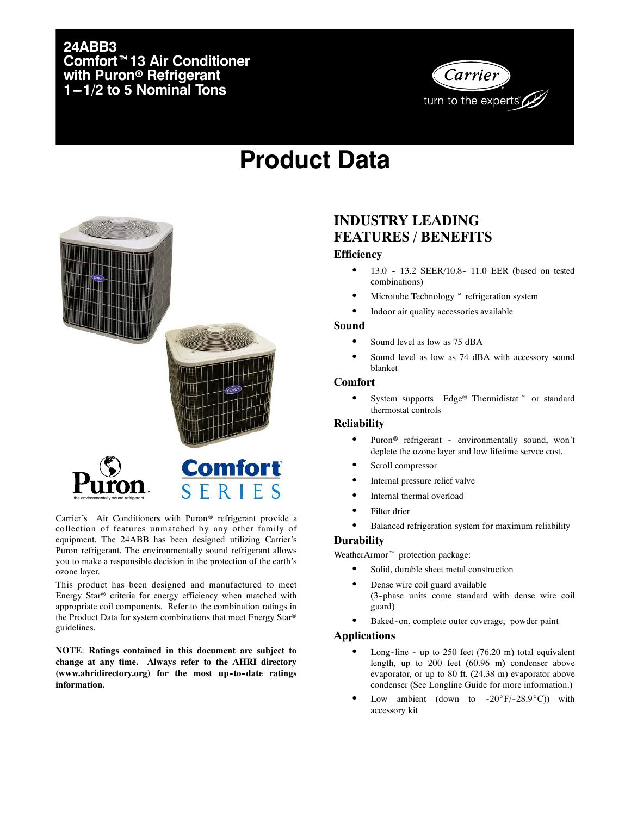#### **24ABB3 Comfort<sup>™</sup> 13 Air Conditioner with Puron<sup>®</sup> Refrigerant 1-1/2 to 5 Nominal Tons**



## **Product Data**



Carrier's Air Conditioners with Puron<sup>®</sup> refrigerant provide a collection of features unmatched by any other family of equipment. The 24ABB has been designed utilizing Carrier's Puron refrigerant. The environmentally sound refrigerant allows you to make a responsible decision in the protection of the earth's ozone layer.

This product has been designed and manufactured to meet Energy Star® criteria for energy efficiency when matched with appropriate coil components. Refer to the combination ratings in the Product Data for system combinations that meet Energy Star® guidelines.

**NOTE**: **Ratings contained in this document are subject to change at any time. Always refer to the AHRI directory** (www.ahridirectory.org) for the most up-to-date ratings **information.**

#### **INDUSTRY LEADING FEATURES / BENEFITS**

#### **Efficiency**

- 13.0 13.2 SEER/10.8- 11.0 EER (based on tested combinations)
- Microtube Technology<sup> $M$ </sup> refrigeration system
- Indoor air quality accessories available

#### **Sound**

- Sound level as low as 75 dBA
- Sound level as low as 74 dBA with accessory sound blanket

#### **Comfort**

• System supports Edge<sup>®</sup> Thermidistat<sup>™</sup> or standard thermostat controls

#### **Reliability**

- $\bullet$  Puron<sup>®</sup> refrigerant environmentally sound, won't deplete the ozone layer and low lifetime servce cost.
- Scroll compressor
- Internal pressure relief valve
- Internal thermal overload
- Filter drier
- Balanced refrigeration system for maximum reliability

#### **Durability**

WeatherArmor $\mathbbm{m}$  protection package:

- Solid, durable sheet metal construction
- Dense wire coil guard available (3--phase units come standard with dense wire coil guard)
- Baked-on, complete outer coverage, powder paint

#### **Applications**

- Long-line up to  $250$  feet (76.20 m) total equivalent length, up to 200 feet (60.96 m) condenser above evaporator, or up to 80 ft. (24.38 m) evaporator above condenser (See Longline Guide for more information.)
- Low ambient (down to  $-20^\circ F/-28.9^\circ C$ ) with accessory kit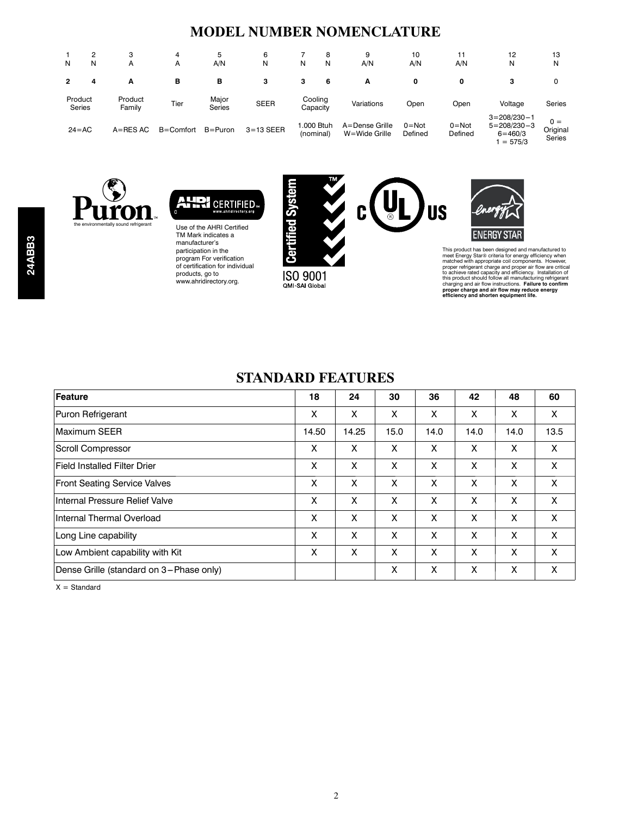#### **MODEL NUMBER NOMENCLATURE**

| N | 2<br>N                   | з<br>A            | 4<br>A        | 5<br>A/N               | 6<br>Ν        | 8<br>N<br>N             | 9<br>A/N                        | 10<br>A/N            | 11<br>A/N            | 12<br>Ν                                                            | 13<br>N                            |
|---|--------------------------|-------------------|---------------|------------------------|---------------|-------------------------|---------------------------------|----------------------|----------------------|--------------------------------------------------------------------|------------------------------------|
| 2 | 4                        | А                 | в             | в                      | з             | 3<br>6                  | А                               | 0                    | 0                    | з                                                                  | 0                                  |
|   | Product<br><b>Series</b> | Product<br>Family | Tier          | Major<br><b>Series</b> | <b>SEER</b>   | Cooling<br>Capacity     | Variations                      | Open                 | Open                 | Voltage                                                            | Series                             |
|   | $24 = AC$                | $A = RES AC$      | $B =$ Comfort | $B = Puron$            | $3 = 13$ SEER | 1.000 Btuh<br>(nominal) | A=Dense Grille<br>W=Wide Grille | $0 = Not$<br>Defined | $0 = Not$<br>Defined | $3 = 208/230 - 1$<br>$5 = 208/230 - 3$<br>$6 = 460/3$<br>$= 575/3$ | $0 =$<br>Original<br><b>Series</b> |





Use of the AHRI Certified TM Mark indicates a manufacturer's participation in the program For verification of certification for individual products, go to www.ahridirectory.org.



ISO 9001 QMI-SAI Global





This product has been designed and manufactured to<br>meet Energy Star® criteria for energy efficiency when<br>matched with appropriate coil components. However,<br>proper refrigerant charge and proper air flow are crited<br>to achiev

#### **STANDARD FEATURES**

| Feature                                 | 18    | 24    | 30   | 36   | 42   | 48   | 60   |
|-----------------------------------------|-------|-------|------|------|------|------|------|
| Puron Refrigerant                       | X     | X     | X    | X    | x    | X    | X    |
| Maximum SEER                            | 14.50 | 14.25 | 15.0 | 14.0 | 14.0 | 14.0 | 13.5 |
| Scroll Compressor                       | X     | X     | X    | X    | x    | X    | X    |
| <b>Field Installed Filter Drier</b>     | X     | X     | X    | X    | x    | X    | X    |
| <b>Front Seating Service Valves</b>     | X     | X     | X    | X    | X    | X    | X    |
| Internal Pressure Relief Valve          | X     | X     | X    | X    | X    | X    | X    |
| Internal Thermal Overload               | X     | X     | X    | X    | x    | X    | X    |
| Long Line capability                    | X     | X     | X    | X    | x    | X    | X    |
| Low Ambient capability with Kit         | X     | X     | X    | X    | X    | X    | X    |
| Dense Grille (standard on 3-Phase only) |       |       | X    | X    | Χ    | X    | X    |

 $X = Standard$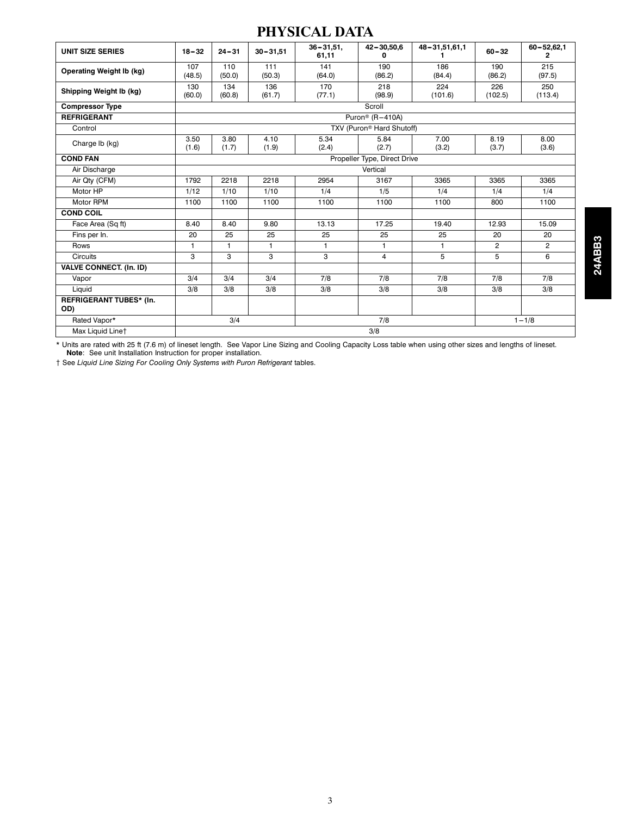#### **PHYSICAL DATA**

| <b>UNIT SIZE SERIES</b>         | $18 - 32$     | $24 - 31$     | $30 - 31,51$  | $36 - 31.51$ .<br>61,11 | $42 - 30,50,6$                        | 48-31,51,61,1  | $60 - 32$      | $60 - 52,62,1$<br>2   |
|---------------------------------|---------------|---------------|---------------|-------------------------|---------------------------------------|----------------|----------------|-----------------------|
| <b>Operating Weight Ib (kg)</b> | 107           | 110           | 111           | 141                     | 190                                   | 186            | 190            | 215                   |
|                                 | (48.5)        | (50.0)        | (50.3)        | (64.0)                  | (86.2)                                | (84.4)         | (86.2)         | (97.5)                |
| Shipping Weight Ib (kg)         | 130<br>(60.0) | 134<br>(60.8) | 136<br>(61.7) | 170<br>(77.1)           | 218<br>(98.9)                         | 224<br>(101.6) | 226<br>(102.5) | 250<br>(113.4)        |
|                                 |               |               |               |                         | Scroll                                |                |                |                       |
| <b>Compressor Type</b>          |               |               |               |                         |                                       |                |                |                       |
| <b>REFRIGERANT</b>              |               |               |               |                         | Puron <sup>®</sup> (R-410A)           |                |                |                       |
| Control                         |               |               |               |                         | TXV (Puron <sup>®</sup> Hard Shutoff) |                |                |                       |
| Charge Ib (kg)                  | 3.50          | 3.80          | 4.10          | 5.34                    | 5.84                                  | 7.00           | 8.19           | 8.00                  |
|                                 | (1.6)         | (1.7)         | (1.9)         | (2.4)                   | (2.7)                                 | (3.2)          | (3.7)          | (3.6)                 |
| <b>COND FAN</b>                 |               |               |               |                         | Propeller Type, Direct Drive          |                |                |                       |
| Air Discharge                   |               |               |               |                         | Vertical                              |                |                |                       |
| Air Qty (CFM)                   | 1792          | 2218          | 2218          | 2954                    | 3167                                  | 3365           | 3365           | 3365                  |
| Motor HP                        | 1/12          | 1/10          | 1/10          | 1/4                     | 1/5                                   | 1/4            | 1/4            | 1/4                   |
| Motor RPM                       | 1100          | 1100          | 1100          | 1100                    | 1100                                  | 1100           | 800            | 1100                  |
| <b>COND COIL</b>                |               |               |               |                         |                                       |                |                |                       |
| Face Area (Sq ft)               | 8.40          | 8.40          | 9.80          | 13.13                   | 17.25                                 | 19.40          | 12.93          | 15.09                 |
| Fins per In.                    | 20            | 25            | 25            | 25                      | 25                                    | 25             | 20             | 20                    |
| Rows                            | $\mathbf{1}$  | 1             | $\mathbf{1}$  | $\mathbf{1}$            | 1.                                    | $\mathbf{1}$   | $\overline{2}$ | $\mathbf{2}^{\prime}$ |
| <b>Circuits</b>                 | 3             | 3             | 3             | 3                       | $\overline{4}$                        | 5              | 5              | 6                     |
| <b>VALVE CONNECT. (In. ID)</b>  |               |               |               |                         |                                       |                |                |                       |
| Vapor                           | 3/4           | 3/4           | 3/4           | 7/8                     | 7/8                                   | 7/8            | 7/8            | 7/8                   |
| Liquid                          | 3/8           | 3/8           | 3/8           | 3/8                     | 3/8                                   | 3/8            | 3/8            | 3/8                   |
| REFRIGERANT TUBES* (In.<br>OD)  |               |               |               |                         |                                       |                |                |                       |
| Rated Vapor*                    |               | 3/4           |               |                         | 7/8                                   |                |                | $1 - 1/8$             |
| Max Liquid Linet                |               |               |               |                         | 3/8                                   |                |                |                       |

\* Units are rated with 25 ft (7.6 m) of lineset length. See Vapor Line Sizing and Cooling Capacity Loss table when using other sizes and lengths of lineset.<br>Note: See unit Installation Instruction for proper installation.

{ See *Liquid Line Sizing For Cooling Only Systems with Puron Refrigerant* tables.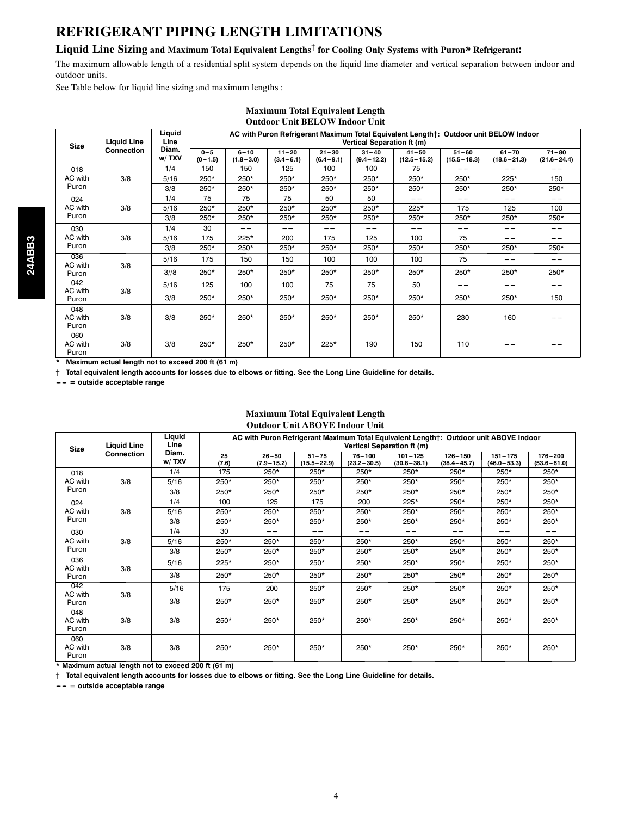#### **REFRIGERANT PIPING LENGTH LIMITATIONS**

#### **Liquid Line Sizing and Maximum Total Equivalent Lengths**{ **for Cooling Only Systems with Puron**r **Refrigerant:**

The maximum allowable length of a residential split system depends on the liquid line diameter and vertical separation between indoor and outdoor units.

**Maximum Total Equivalent Length**

See Table below for liquid line sizing and maximum lengths :

|                         |                    |                |                        |                           |                            | <b>Outdoor Unit BELOW Indoor Unit</b> |                             |                              |                              |                                                                                       |                              |
|-------------------------|--------------------|----------------|------------------------|---------------------------|----------------------------|---------------------------------------|-----------------------------|------------------------------|------------------------------|---------------------------------------------------------------------------------------|------------------------------|
| <b>Size</b>             | <b>Liquid Line</b> | Liquid<br>Line |                        |                           |                            |                                       | Vertical Separation ft (m)  |                              |                              | AC with Puron Refrigerant Maximum Total Equivalent Length†: Outdoor unit BELOW Indoor |                              |
|                         | Connection         | Diam.<br>w/TXV | $0 - 5$<br>$(0 - 1.5)$ | $6 - 10$<br>$(1.8 - 3.0)$ | $11 - 20$<br>$(3.4 - 6.1)$ | $21 - 30$<br>$(6.4 - 9.1)$            | $31 - 40$<br>$(9.4 - 12.2)$ | $41 - 50$<br>$(12.5 - 15.2)$ | $51 - 60$<br>$(15.5 - 18.3)$ | $61 - 70$<br>$(18.6 - 21.3)$                                                          | $71 - 80$<br>$(21.6 - 24.4)$ |
| 018                     |                    | 1/4            | 150                    | 150                       | 125                        | 100                                   | 100                         | 75                           | ---                          | ---                                                                                   | ---                          |
| AC with                 | 3/8                | 5/16           | 250*                   | 250*                      | 250*                       | 250*                                  | 250*                        | 250*                         | 250*                         | 225*                                                                                  | 150                          |
| Puron                   |                    | 3/8            | $250*$                 | $250*$                    | 250*                       | $250*$                                | $250*$                      | $250*$                       | 250*                         | $250*$                                                                                | 250*                         |
| 024                     |                    | 1/4            | 75                     | 75                        | 75                         | 50                                    | 50                          | --                           | ---                          | --                                                                                    | --                           |
| AC with                 | 3/8                | 5/16           | 250*                   | 250*                      | 250*                       | $250*$                                | $250*$                      | $225*$                       | 175                          | 125                                                                                   | 100                          |
| Puron                   |                    | 3/8            | 250*                   | 250*                      | $250*$                     | $250*$                                | 250*                        | 250*                         | 250*                         | 250*                                                                                  | 250*                         |
| 030                     |                    | 1/4            | 30                     | $-1$                      | $- -$                      | ---                                   | ---                         | $- -$                        | ---                          | ---                                                                                   | $- -$                        |
| AC with                 | 3/8                | 5/16           | 175                    | $225*$                    | 200                        | 175                                   | 125                         | 100                          | 75                           | --                                                                                    | $- -$                        |
| Puron                   |                    | 3/8            | $250*$                 | $250*$                    | $250*$                     | $250*$                                | $250*$                      | $250*$                       | $250*$                       | $250*$                                                                                | 250*                         |
| 036<br>AC with          | 3/8                | 5/16           | 175                    | 150                       | 150                        | 100                                   | 100                         | 100                          | 75                           | -- --                                                                                 | -- --                        |
| Puron                   |                    | 3/8            | 250*                   | $250*$                    | 250*                       | 250*                                  | 250*                        | 250*                         | 250*                         | $250*$                                                                                | 250*                         |
| 042<br>AC with          | 3/8                | 5/16           | 125                    | 100                       | 100                        | 75                                    | 75                          | 50                           |                              |                                                                                       | -- -                         |
| Puron                   |                    | 3/8            | 250*                   | $250*$                    | $250*$                     | $250*$                                | 250*                        | 250*                         | 250*                         | $250*$                                                                                | 150                          |
| 048<br>AC with<br>Puron | 3/8                | 3/8            | 250*                   | $250*$                    | 250*                       | $250*$                                | $250*$                      | $250*$                       | 230                          | 160                                                                                   |                              |
| 060<br>AC with<br>Puron | 3/8                | 3/8            | 250*                   | 250*                      | 250*                       | 225*                                  | 190                         | 150                          | 110                          |                                                                                       |                              |

**\* Maximum actual length not to exceed 200 ft (61 m)**

{ **Total equivalent length accounts for losses due to elbows or fitting. See the Long Line Guideline for details.**

**--- --- = outside acceptable range**

#### **Maximum Total Equivalent Length Outdoor Unit ABOVE Indoor Unit**

| <b>Size</b>             | <b>Liquid Line</b> | Liquid<br>Line |             |                             | AC with Puron Refrigerant Maximum Total Equivalent Length†: Outdoor unit ABOVE Indoor | Vertical Separation ft (m)    |                                |                                |                                |                                |
|-------------------------|--------------------|----------------|-------------|-----------------------------|---------------------------------------------------------------------------------------|-------------------------------|--------------------------------|--------------------------------|--------------------------------|--------------------------------|
|                         | Connection         | Diam.<br>w/TXV | 25<br>(7.6) | $26 - 50$<br>$(7.9 - 15.2)$ | $51 - 75$<br>$(15.5 - 22.9)$                                                          | $76 - 100$<br>$(23.2 - 30.5)$ | $101 - 125$<br>$(30.8 - 38.1)$ | $126 - 150$<br>$(38.4 - 45.7)$ | $151 - 175$<br>$(46.0 - 53.3)$ | $176 - 200$<br>$(53.6 - 61.0)$ |
| 018                     |                    | 1/4            | 175         | 250*                        | $250*$                                                                                | $250*$                        | 250*                           | $250*$                         | $250*$                         | 250*                           |
| AC with                 | 3/8                | 5/16           | 250*        | $250*$                      | $250*$                                                                                | 250*                          | $250*$                         | $250*$                         | 250*                           | $250*$                         |
| Puron                   |                    | 3/8            | $250*$      | $250*$                      | $250*$                                                                                | 250*                          | $250*$                         | 250*                           | $250*$                         | $250*$                         |
| 024                     |                    | 1/4            | 100         | 125                         | 175                                                                                   | 200                           | $225*$                         | $250*$                         | $250*$                         | 250*                           |
| AC with                 | 3/8                | 5/16           | 250*        | 250*                        | $250*$                                                                                | $250*$                        | 250*                           | $250*$                         | $250*$                         | 250*                           |
| Puron                   |                    | 3/8            | 250*        | 250*                        | $250*$                                                                                | 250*                          | 250*                           | 250*                           | 250*                           | 250*                           |
| 030                     |                    | 1/4            | 30          | --                          | --                                                                                    | ---                           | --                             | -- --                          | --                             | --                             |
| AC with                 | 3/8                | 5/16           | $250*$      | $250*$                      | $250*$                                                                                | 250*                          | $250*$                         | 250*                           | 250*                           | $250*$                         |
| Puron                   |                    | 3/8            | 250*        | 250*                        | $250*$                                                                                | $250*$                        | $250*$                         | $250*$                         | $250*$                         | 250*                           |
| 036<br>AC with          | 3/8                | 5/16           | $225*$      | $250*$                      | $250*$                                                                                | $250*$                        | 250*                           | 250*                           | 250*                           | $250*$                         |
| Puron                   |                    | 3/8            | $250*$      | $250*$                      | $250*$                                                                                | $250*$                        | $250*$                         | $250*$                         | $250*$                         | 250*                           |
| 042<br>AC with          | 3/8                | 5/16           | 175         | 200                         | $250*$                                                                                | $250*$                        | $250*$                         | $250*$                         | $250*$                         | 250*                           |
| Puron                   |                    | 3/8            | $250*$      | $250*$                      | $250*$                                                                                | $250*$                        | $250*$                         | $250*$                         | 250*                           | 250*                           |
| 048<br>AC with<br>Puron | 3/8                | 3/8            | 250*        | 250*                        | 250*                                                                                  | 250*                          | 250*                           | 250*                           | $250*$                         | 250*                           |
| 060<br>AC with<br>Puron | 3/8                | 3/8            | $250*$      | 250*                        | 250*                                                                                  | 250*                          | 250*                           | 250*                           | 250*                           | 250*                           |

**\* Maximum actual length not to exceed 200 ft (61 m)**

{ **Total equivalent length accounts for losses due to elbows or fitting. See the Long Line Guideline for details.**

**--- --- = outside acceptable range**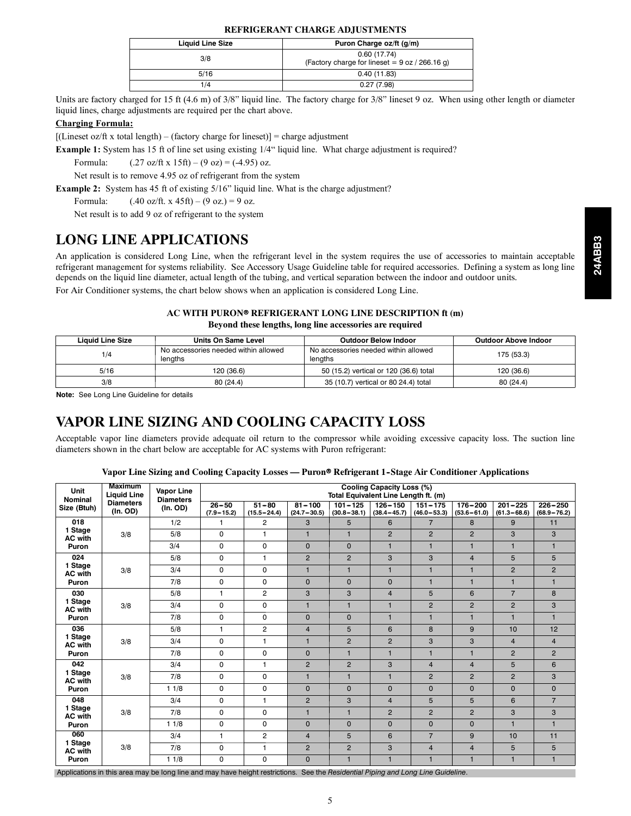#### **REFRIGERANT CHARGE ADJUSTMENTS**

| <b>Liquid Line Size</b> | Puron Charge oz/ft (g/m)                                        |
|-------------------------|-----------------------------------------------------------------|
| 3/8                     | 0.60(17.74)<br>(Factory charge for lineset = $9$ oz / 266.16 g) |
| 5/16                    | 0.40(11.83)                                                     |
| 1/4                     | 0.27(7.98)                                                      |

Units are factory charged for 15 ft (4.6 m) of 3/8" liquid line. The factory charge for 3/8" lineset 9 oz. When using other length or diameter liquid lines, charge adjustments are required per the chart above.

#### **Charging Formula:**

 $[(\text{Lineset oz/ft x total length}) - (\text{factory charge for lineset})] = \text{charge adjustment}$ 

**Example 1:** System has 15 ft of line set using existing  $1/4$ " liquid line. What charge adjustment is required?

Formula:  $(0.27 \text{ oz/ft x } 15 \text{ ft}) - (9 \text{ oz}) = (-4.95) \text{ oz.}$ 

Net result is to remove 4.95 oz of refrigerant from the system

**Example 2:** System has 45 ft of existing 5/16" liquid line. What is the charge adjustment?

Formula:  $(.40 \text{ oz/ft. x } 45 \text{ ft}) - (9 \text{ oz.}) = 9 \text{ oz.}$ 

Net result is to add 9 oz of refrigerant to the system

#### **LONG LINE APPLICATIONS**

| <b>Liquid Line Size</b> | Units On Same Level                             | <b>Outdoor Below Indoor</b>                     | <b>Outdoor Above Indoor</b> |
|-------------------------|-------------------------------------------------|-------------------------------------------------|-----------------------------|
| 1/4                     | No accessories needed within allowed<br>lengths | No accessories needed within allowed<br>lengths | 175 (53.3)                  |
| 5/16                    | 120 (36.6)                                      | 50 (15.2) vertical or 120 (36.6) total          | 120 (36.6)                  |
| 3/8                     | 80(24.4)                                        | 35 (10.7) vertical or 80 24.4) total            | 80(24.4)                    |

#### **VAPOR LINE SIZING AND COOLING CAPACITY LOSS**

|                           |                                                                                                                                                                                                                                                                                                                                                                                                                            |                                                                                                         | LONG LINE APPLICATIONS               |                                                          |                               |                                                                                |                                  |                                |                                |                                |                                |
|---------------------------|----------------------------------------------------------------------------------------------------------------------------------------------------------------------------------------------------------------------------------------------------------------------------------------------------------------------------------------------------------------------------------------------------------------------------|---------------------------------------------------------------------------------------------------------|--------------------------------------|----------------------------------------------------------|-------------------------------|--------------------------------------------------------------------------------|----------------------------------|--------------------------------|--------------------------------|--------------------------------|--------------------------------|
|                           | An application is considered Long Line, when the refrigerant level in the system requires the use of accessories to maintain acceptable<br>refrigerant management for systems reliability. See Accessory Usage Guideline table for required accessories. Defining a system as long line<br>depends on the liquid line diameter, actual length of the tubing, and vertical separation between the indoor and outdoor units. |                                                                                                         |                                      |                                                          |                               |                                                                                |                                  |                                |                                |                                |                                |
|                           | For Air Conditioner systems, the chart below shows when an application is considered Long Line.                                                                                                                                                                                                                                                                                                                            |                                                                                                         |                                      |                                                          |                               |                                                                                |                                  |                                |                                |                                |                                |
|                           |                                                                                                                                                                                                                                                                                                                                                                                                                            |                                                                                                         |                                      |                                                          |                               |                                                                                |                                  |                                |                                |                                |                                |
|                           |                                                                                                                                                                                                                                                                                                                                                                                                                            |                                                                                                         |                                      | AC WITH PURON® REFRIGERANT LONG LINE DESCRIPTION ft (m)  |                               |                                                                                |                                  |                                |                                |                                |                                |
|                           |                                                                                                                                                                                                                                                                                                                                                                                                                            |                                                                                                         |                                      | Beyond these lengths, long line accessories are required |                               |                                                                                |                                  |                                |                                |                                |                                |
|                           | <b>Liquid Line Size</b>                                                                                                                                                                                                                                                                                                                                                                                                    |                                                                                                         | <b>Units On Same Level</b>           |                                                          |                               |                                                                                | <b>Outdoor Below Indoor</b>      |                                |                                | <b>Outdoor Above Indoor</b>    |                                |
|                           | 1/4                                                                                                                                                                                                                                                                                                                                                                                                                        |                                                                                                         | No accessories needed within allowed |                                                          |                               | No accessories needed within allowed                                           |                                  |                                |                                | 175 (53.3)                     |                                |
|                           | 5/16                                                                                                                                                                                                                                                                                                                                                                                                                       | lengths                                                                                                 | 120 (36.6)                           |                                                          | lengths                       |                                                                                |                                  |                                |                                |                                |                                |
|                           | 3/8                                                                                                                                                                                                                                                                                                                                                                                                                        |                                                                                                         | 80 (24.4)                            |                                                          |                               | 50 (15.2) vertical or 120 (36.6) total<br>35 (10.7) vertical or 80 24.4) total |                                  |                                |                                | 120 (36.6)<br>80 (24.4)        |                                |
|                           | Note: See Long Line Guideline for details                                                                                                                                                                                                                                                                                                                                                                                  |                                                                                                         |                                      |                                                          |                               |                                                                                |                                  |                                |                                |                                |                                |
|                           | Acceptable vapor line diameters provide adequate oil return to the compressor while avoiding excessive capacity loss. The suction line<br>diameters shown in the chart below are acceptable for AC systems with Puron refrigerant:                                                                                                                                                                                         | Vapor Line Sizing and Cooling Capacity Losses — Puron® Refrigerant 1-Stage Air Conditioner Applications |                                      |                                                          |                               |                                                                                |                                  |                                |                                |                                |                                |
|                           | <b>Maximum</b>                                                                                                                                                                                                                                                                                                                                                                                                             |                                                                                                         |                                      |                                                          |                               |                                                                                | <b>Cooling Capacity Loss (%)</b> |                                |                                |                                |                                |
| Unit<br>Nominal           | <b>Liquid Line</b>                                                                                                                                                                                                                                                                                                                                                                                                         | Vapor Line<br><b>Diameters</b>                                                                          |                                      |                                                          |                               | Total Equivalent Line Length ft. (m)                                           |                                  |                                |                                |                                |                                |
| Size (Btuh)               | <b>Diameters</b><br>(In. OD)                                                                                                                                                                                                                                                                                                                                                                                               | (In. OD)                                                                                                | $26 - 50$<br>$(7.9 - 15.2)$          | $51 - 80$<br>$(15.5 - 24.4)$                             | $81 - 100$<br>$(24.7 - 30.5)$ | $101 - 125$<br>$(30.8 - 38.1)$                                                 | $126 - 150$<br>$(38.4 - 45.7)$   | $151 - 175$<br>$(46.0 - 53.3)$ | $176 - 200$<br>$(53.6 - 61.0)$ | $201 - 225$<br>$(61.3 - 68.6)$ | $226 - 250$<br>$(68.9 - 76.2)$ |
| 018                       |                                                                                                                                                                                                                                                                                                                                                                                                                            | 1/2                                                                                                     | 1                                    | $\overline{2}$                                           | 3                             | 5                                                                              | 6                                | $\overline{7}$                 | 8                              | 9                              | 11                             |
| 1 Stage<br><b>AC with</b> | 3/8                                                                                                                                                                                                                                                                                                                                                                                                                        | 5/8                                                                                                     | $\mathbf 0$                          | $\mathbf{1}$                                             | $\mathbf{1}$                  | $\mathbf{1}$                                                                   | $\overline{2}$                   | $\overline{2}$                 | $\overline{2}$                 | 3                              | 3                              |
| Puron                     |                                                                                                                                                                                                                                                                                                                                                                                                                            | 3/4                                                                                                     | $\Omega$                             | $\Omega$                                                 | $\overline{0}$                | $\Omega$                                                                       | $\mathbf{1}$                     | $\mathbf{1}$                   | $\mathbf{1}$                   | $\mathbf{1}$                   | $\mathbf{1}$                   |
|                           |                                                                                                                                                                                                                                                                                                                                                                                                                            |                                                                                                         |                                      |                                                          |                               |                                                                                |                                  |                                |                                |                                |                                |
| 024                       |                                                                                                                                                                                                                                                                                                                                                                                                                            | 5/8                                                                                                     | $\mathbf 0$                          | $\mathbf{1}$                                             | $\overline{2}$                | $\overline{2}$                                                                 | 3                                | 3                              | $\overline{\mathbf{4}}$        | 5                              | 5                              |
| 1 Stage<br><b>AC with</b> | 3/8                                                                                                                                                                                                                                                                                                                                                                                                                        | 3/4                                                                                                     | $\Omega$                             | $\mathbf 0$                                              | $\mathbf{1}$                  | $\mathbf{1}$                                                                   | $\mathbf{1}$                     | $\mathbf{1}$                   | $\mathbf{1}$                   | $\overline{2}$                 | $\overline{2}$                 |
| Puron                     |                                                                                                                                                                                                                                                                                                                                                                                                                            | 7/8                                                                                                     | $\Omega$                             | $\pmb{0}$                                                | $\overline{0}$                | $\Omega$                                                                       | $\Omega$                         | $\mathbf{1}$                   | $\mathbf{1}$                   | $\mathbf{1}$                   | $\blacksquare$                 |
| 030                       |                                                                                                                                                                                                                                                                                                                                                                                                                            | 5/8                                                                                                     | $\mathbf{1}$                         | $\overline{2}$                                           | 3                             | 3                                                                              | $\overline{4}$                   | 5                              | 6                              | $\overline{7}$                 | 8                              |
| 1 Stage<br><b>AC with</b> | 3/8                                                                                                                                                                                                                                                                                                                                                                                                                        | 3/4                                                                                                     | $\mathbf 0$                          | $\mathbf 0$                                              | $\mathbf{1}$                  | $\mathbf{1}$                                                                   | $\mathbf{1}$                     | $\overline{2}$                 | $\overline{2}$                 | $\overline{2}$                 | 3                              |
| Puron                     |                                                                                                                                                                                                                                                                                                                                                                                                                            | 7/8                                                                                                     | $\Omega$                             | $\pmb{0}$                                                | $\mathbf 0$                   | $\pmb{0}$                                                                      | $\mathbf{1}$                     | $\mathbf{1}$                   | $\mathbf{1}$                   | $\mathbf{1}$                   | $\mathbf{1}$                   |
| 036<br>1 Stage            |                                                                                                                                                                                                                                                                                                                                                                                                                            | 5/8                                                                                                     | $\mathbf{1}$                         | $\overline{2}$                                           | $\overline{\mathbf{4}}$       | 5                                                                              | 6                                | 8                              | 9                              | 10                             | 12                             |
| <b>AC with</b>            | 3/8                                                                                                                                                                                                                                                                                                                                                                                                                        | 3/4                                                                                                     | $\mathbf 0$                          | $\mathbf{1}$                                             | $\mathbf{1}$                  | $\overline{2}$                                                                 | $\overline{2}$                   | 3                              | 3                              | $\overline{4}$                 | $\overline{4}$                 |
| Puron                     |                                                                                                                                                                                                                                                                                                                                                                                                                            | 7/8                                                                                                     | $\mathbf 0$                          | $\pmb{0}$                                                | $\mathbf 0$                   | $\mathbf{1}$                                                                   | $\overline{1}$                   | $\mathbf{1}$                   | $\mathbf{1}$                   | $\overline{2}$                 | $\overline{2}$                 |
| 042<br>1 Stage            |                                                                                                                                                                                                                                                                                                                                                                                                                            | 3/4                                                                                                     | $\mathbf 0$                          | $\mathbf{1}$                                             | $\overline{2}$                | $\overline{2}$                                                                 | 3                                | $\overline{4}$                 | $\overline{\mathbf{4}}$        | 5                              | 6                              |
| <b>AC with</b>            | 3/8                                                                                                                                                                                                                                                                                                                                                                                                                        | 7/8                                                                                                     | $\mathbf 0$                          | $\mathbf 0$                                              | $\mathbf{1}$                  | $\mathbf{1}$                                                                   | $\mathbf{1}$                     | $\overline{2}$                 | $\overline{2}$                 | $\overline{2}$                 | 3                              |
| Puron                     |                                                                                                                                                                                                                                                                                                                                                                                                                            | 11/8                                                                                                    | $\Omega$                             | $\Omega$                                                 | $\mathbf 0$                   | $\Omega$                                                                       | $\mathbf 0$                      | $\mathbf{0}$                   | $\mathsf 0$                    | $\mathbf 0$                    | 0                              |
| 048<br>1 Stage            |                                                                                                                                                                                                                                                                                                                                                                                                                            | 3/4                                                                                                     | $\mathbf 0$                          | $\mathbf{1}$                                             | $\overline{2}$                | 3                                                                              | $\overline{4}$                   | 5                              | 5                              | 6                              | $\overline{7}$                 |
| AC with                   | 3/8                                                                                                                                                                                                                                                                                                                                                                                                                        | 7/8                                                                                                     | $\mathbf 0$                          | $\mathbf 0$                                              | $\mathbf{1}$                  | $\mathbf{1}$                                                                   | $\overline{2}$                   | $\overline{2}$                 | $\overline{2}$                 | 3                              | 3                              |
| Puron<br>060              |                                                                                                                                                                                                                                                                                                                                                                                                                            | 11/8                                                                                                    | $\Omega$                             | $\Omega$                                                 | $\Omega$                      | $\Omega$                                                                       | $\Omega$                         | $\Omega$                       | $\pmb{0}$                      | $\mathbf{1}$                   | $\mathbf{1}$                   |
| 1 Stage                   |                                                                                                                                                                                                                                                                                                                                                                                                                            | 3/4                                                                                                     | $\mathbf{1}$                         | $\overline{c}$                                           | 4                             | 5                                                                              | 6                                | $\overline{7}$                 | 9                              | 10                             | 11                             |
| <b>AC with</b><br>Puron   | 3/8                                                                                                                                                                                                                                                                                                                                                                                                                        | 7/8<br>11/8                                                                                             | $\Omega$<br>$\Omega$                 | $\mathbf{1}$<br>$\Omega$                                 | $\overline{2}$<br>$\Omega$    | $\overline{2}$<br>$\mathbf{1}$                                                 | 3<br>$\mathbf{1}$                | $\overline{4}$<br>$\mathbf{1}$ | $\overline{4}$<br>$\mathbf{1}$ | 5<br>$\mathbf{1}$              | 5<br>$\mathbf{1}$              |

#### Vapor Line Sizing and Cooling Capacity Losses — Puron<sup>®</sup> Refrigerant 1-Stage Air Conditioner Applications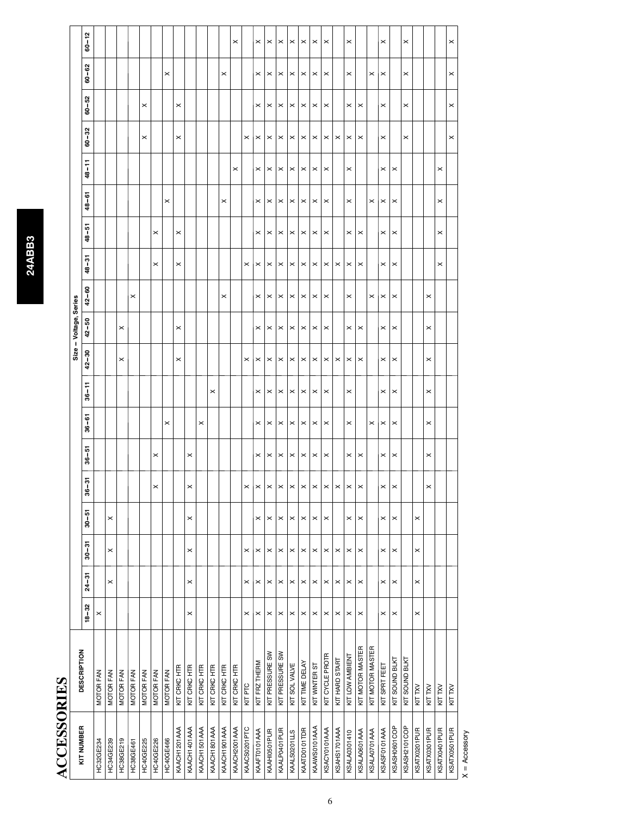# **ACCESSORIES ACCESSORIES**

| KIT NUMBER          | <b>DESCRIPTION</b> |                       |                       |                       |                       |         |                     |                       |                       |                       | Size - Voltage, Series |                |                       |                       |                       |                |                |                       |                       |           |
|---------------------|--------------------|-----------------------|-----------------------|-----------------------|-----------------------|---------|---------------------|-----------------------|-----------------------|-----------------------|------------------------|----------------|-----------------------|-----------------------|-----------------------|----------------|----------------|-----------------------|-----------------------|-----------|
|                     |                    | $18 - 32$             | $24 - 31$             | $30 - 31$             | $30 - 51$             | 5<br>နွ | io<br>$\frac{1}{8}$ | $36 - 61$             | $36 - 11$             | $42 - 30$             | $42 - 50$              | $42 - 60$      | $48 - 31$             | $48 - 51$             | $48 - 61$             | $48 - 11$      | $60 - 32$      | $60 - 52$             | $60 - 62$             | $60 - 12$ |
| <b>HC32GE234</b>    | <b>MOTOR FAN</b>   | ×                     |                       |                       |                       |         |                     |                       |                       |                       |                        |                |                       |                       |                       |                |                |                       |                       |           |
| HC34GE239           | MOTOR FAN          |                       | $\boldsymbol{\times}$ | $\times$              | ×                     |         |                     |                       |                       |                       |                        |                |                       |                       |                       |                |                |                       |                       |           |
| HC38GE219           | <b>MOTOR FAN</b>   |                       |                       |                       |                       |         |                     |                       |                       | $\times$              | $\times$               |                |                       |                       |                       |                |                |                       |                       |           |
| HC38GE461           | <b>MOTOR FAN</b>   |                       |                       |                       |                       |         |                     |                       |                       |                       |                        | ×              |                       |                       |                       |                |                |                       |                       |           |
| HC40GE225           | <b>MOTOR FAN</b>   |                       |                       |                       |                       |         |                     |                       |                       |                       |                        |                |                       |                       |                       |                | $\times$       | $\times$              |                       |           |
| <b>HC40GE226</b>    | MOTOR FAN          |                       |                       |                       |                       | ×       | ×                   |                       |                       |                       |                        |                | ×                     | $\pmb{\times}$        |                       |                |                |                       |                       |           |
| <b>HC40GE466</b>    | MOTOR FAN          |                       |                       |                       |                       |         |                     | $\times$              |                       |                       |                        |                |                       |                       | ×                     |                |                |                       | $\times$              |           |
| KAACH1201AAA        | KIT CRKC HTR       |                       |                       |                       |                       |         |                     |                       |                       | $\times$              | $\pmb{\times}$         |                | $\pmb{\times}$        | ×                     |                       |                | $\times$       | $\pmb{\times}$        |                       |           |
| KAACH1401AAA        | KIT CRKC HTR       | $\times$              | $\times$              | $\times$              | ×                     | ×       | ×                   |                       |                       |                       |                        |                |                       |                       |                       |                |                |                       |                       |           |
| KAACH1501AAA        | KIT CRKC HTR       |                       |                       |                       |                       |         |                     | ×                     |                       |                       |                        |                |                       |                       |                       |                |                |                       |                       |           |
| KAACH1801AAA        | KIT CRKC HTR       |                       |                       |                       |                       |         |                     |                       | ×                     |                       |                        |                |                       |                       |                       |                |                |                       |                       |           |
| KAACH1901AAA        | KIT CRKC HTR       |                       |                       |                       |                       |         |                     |                       |                       |                       |                        | $\times$       |                       |                       | ×                     |                |                |                       | $\times$              |           |
| KAACH2001AAA        | KIT CRKC HTR       |                       |                       |                       |                       |         |                     |                       |                       |                       |                        |                |                       |                       |                       | $\times$       |                |                       |                       | $\times$  |
| KAACS0201PTC        | KIT PTC            | ×                     | ×                     | $\times$              |                       |         |                     |                       |                       | $\times$              |                        |                | $\times$              |                       |                       |                | $\times$       |                       |                       |           |
| KAAFT0101AAA        | KIT FRZ THERM      | ×                     | $\times$              | $\times$              | ×                     | ×       | ×                   | ×                     | ×                     | ×                     | ×                      | ×              | ×                     | ×                     | ×                     | ×              | ×              | ×                     | $\times$              | ×         |
| KAAHI0501PUR        | KIT PRESSURE SW    | $\pmb{\times}$        | $\times$              | $\pmb{\times}$        | $\times$              | ×       | ×                   | $\times$              | ×                     | $\times$              | $\times$               | ×              | $\times$              | ×                     | $\,\times\,$          | $\times$       | ×              | $\times$              | $\times$              | ×         |
| KAALP0401PUR        | KIT PRESSURE SW    | $\times$              | $\boldsymbol{\times}$ | $\times$              | $\times$              | ×       | ×                   | $\boldsymbol{\times}$ | ×                     | ×                     | $\times$               | ×              | $\times$              | ×                     | ×                     | ×              | ×              | ×                     | ×                     | ×         |
| KAALS0201LLS        | KIT SOL VALVE      | ×                     | $\times$              | $\pmb{\times}$        | $\times$              | ×       | ×                   | $\boldsymbol{\times}$ | ×                     | ×                     | $\boldsymbol{\times}$  | ×              | ×                     | ×                     | $\boldsymbol{\times}$ | ×              | ×              | $\boldsymbol{\times}$ | ×                     | ×         |
| KAATD0101TDR        | KIT TIME DELAY     | $\times$              | $\times$              | $\times$              | $\times$              | ×       | $\times$            | $\boldsymbol{\times}$ | $\boldsymbol{\times}$ | $\boldsymbol{\times}$ | $\times$               | $\times$       | $\,\varkappa\,$       | $\boldsymbol{\times}$ | $\,\varkappa\,$       | $\pmb{\times}$ | ×              | $\times$              | $\boldsymbol{\times}$ | ×         |
| KAAWS0101AAA        | KIT WINTER ST      | ×                     | ×                     | ×                     | $\times$              |         | $\times$            | ×                     | ×                     | ×                     | $\boldsymbol{\times}$  | ×              | ×                     | ×                     | ×                     | ×              | ×              | ×                     | ×                     | ×         |
| KSACY0101AAA        | KIT CYCLE PROTR    | $\times$              | ×                     | $\pmb{\times}$        | $\times$              | ×       | ×                   | $\times$              | ×                     | ×                     | $\times$               | ×              | $\times$              | ×                     | $\times$              | ×              | ×              | $\times$              | ×                     | ×         |
| KSAHS1701AAA        | KIT HARD START     | ×                     | $\times$              | $\times$              |                       |         |                     |                       |                       | $\times$              |                        |                | ×                     |                       |                       |                | ×              |                       |                       |           |
| <b>KSALA0301410</b> | KIT LOW AMBIENT    | ×                     | $\pmb{\times}$        | $\pmb{\times}$        | ×                     | ×       | ×                   | ×                     | ×                     | ×                     | ×                      | ×              | ×                     | ×                     | ×                     | ×              | ×              | ×                     | ×                     | ×         |
| KSALA0601AAA        | KIT MOTOR MASTER   | $\times$              | $\times$              | $\times$              | ×                     | ×       | $\pmb{\times}$      |                       |                       | $\pmb{\times}$        | $\boldsymbol{\times}$  |                | $\pmb{\times}$        | $\pmb{\times}$        |                       |                | $\pmb{\times}$ | $\pmb{\times}$        |                       |           |
| KSALA0701AAA        | KIT MOTOR MASTER   |                       |                       |                       |                       |         |                     | $\times$              |                       |                       |                        | ×              |                       |                       | $\boldsymbol{\times}$ |                |                |                       | $\times$              |           |
| KSASF0101AAA        | KIT SPRT FEET      | ×                     | $\boldsymbol{\times}$ | $\times$              | $\boldsymbol{\times}$ | ×       | ×                   | $\pmb{\times}$        | ×                     | $\pmb{\times}$        | ×                      | $\pmb{\times}$ | ×                     | ×                     | $\,\varkappa\,$       | ×              | ×              | ×                     | ×                     | ×         |
| KSASH0601COP        | KIT SOUND BLKT     | ×                     | ×                     | $\boldsymbol{\times}$ | $\times$              | ×       | ×                   | ×                     | ×                     | ×                     | $\times$               | $\times$       | $\boldsymbol{\times}$ | ×                     | $\times$              | ×              |                |                       |                       |           |
| KSASH2101COP        | KIT SOUND BLKT     |                       |                       |                       |                       |         |                     |                       |                       |                       |                        |                |                       |                       |                       |                | $\times$       | ×                     | $\times$              | ×         |
| KSATX0201PUR        | KIT TXV            | $\boldsymbol{\times}$ | $\times$              | $\times$              | ×                     |         |                     |                       |                       |                       |                        |                |                       |                       |                       |                |                |                       |                       |           |
| KSATX0301PUR        | KIT TXV            |                       |                       |                       |                       | ×       | $\times$            | $\times$              | $\times$              | $\times$              | $\times$               | $\times$       |                       |                       |                       |                |                |                       |                       |           |
| KSATX0401PUR        | KIT TXV            |                       |                       |                       |                       |         |                     |                       |                       |                       |                        |                | ×                     | ×                     | ×                     | ×              |                |                       |                       |           |
| KSATX0501PUR        | KIT TXV            |                       |                       |                       |                       |         |                     |                       |                       |                       |                        |                |                       |                       |                       |                | $\times$       | $\times$              | $\times$              | $\times$  |

 $X =$  Accessory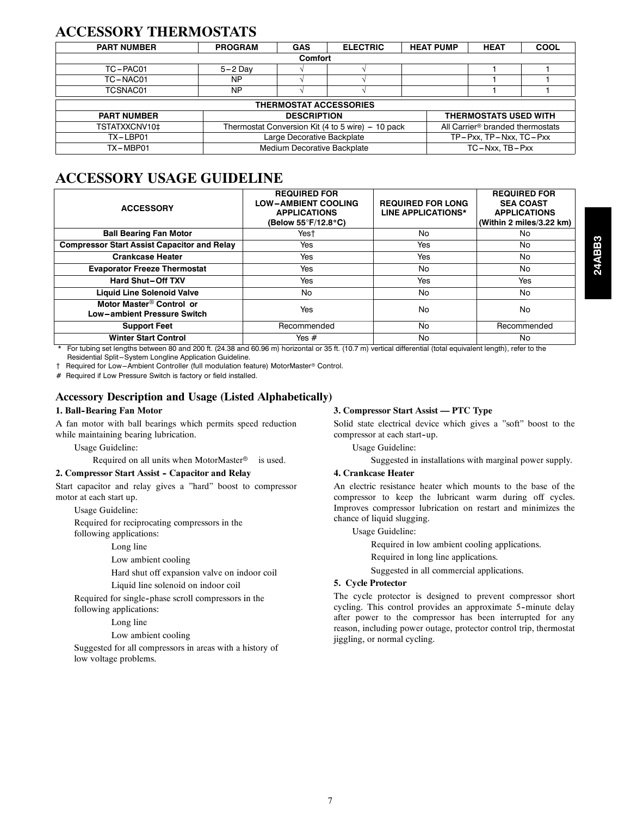#### **ACCESSORY THERMOSTATS**

| <b>PART NUMBER</b> | <b>PROGRAM</b>                            | <b>GAS</b>                         | <b>ELECTRIC</b>               |  | <b>HEAT PUMP</b> | <b>HEAT</b>                                  | <b>COOL</b> |  |  |  |  |  |  |
|--------------------|-------------------------------------------|------------------------------------|-------------------------------|--|------------------|----------------------------------------------|-------------|--|--|--|--|--|--|
|                    |                                           | <b>Comfort</b>                     |                               |  |                  |                                              |             |  |  |  |  |  |  |
| TC-PAC01           | $5-2$ Day                                 |                                    |                               |  |                  |                                              |             |  |  |  |  |  |  |
| TC-NAC01           | <b>NP</b>                                 |                                    |                               |  |                  |                                              |             |  |  |  |  |  |  |
| TCSNAC01           | NP                                        |                                    |                               |  |                  |                                              |             |  |  |  |  |  |  |
|                    |                                           |                                    | <b>THERMOSTAT ACCESSORIES</b> |  |                  |                                              |             |  |  |  |  |  |  |
| <b>PART NUMBER</b> |                                           | <b>DESCRIPTION</b>                 |                               |  |                  | <b>THERMOSTATS USED WITH</b>                 |             |  |  |  |  |  |  |
| TSTATXXCNV10‡      | Thermostat Conversion Kit (4 to 5 wire) - |                                    | 10 pack                       |  |                  | All Carrier <sup>®</sup> branded thermostats |             |  |  |  |  |  |  |
| TX-LBP01           |                                           | Large Decorative Backplate         |                               |  |                  | TP-Pxx, TP-Nxx, TC-Pxx                       |             |  |  |  |  |  |  |
| TX-MBP01           |                                           | <b>Medium Decorative Backplate</b> |                               |  |                  | $TC - Nxx$ . $TB - Pxx$                      |             |  |  |  |  |  |  |

#### **ACCESSORY USAGE GUIDELINE**

| <b>ACCESSORY</b>                                                           | <b>REQUIRED FOR</b><br><b>LOW-AMBIENT COOLING</b><br><b>APPLICATIONS</b><br>(Below 55°F/12.8°C) | <b>REQUIRED FOR LONG</b><br><b>LINE APPLICATIONS*</b> | <b>REQUIRED FOR</b><br><b>SEA COAST</b><br><b>APPLICATIONS</b><br>(Within 2 miles/3.22 km) |
|----------------------------------------------------------------------------|-------------------------------------------------------------------------------------------------|-------------------------------------------------------|--------------------------------------------------------------------------------------------|
| <b>Ball Bearing Fan Motor</b>                                              | Yest                                                                                            | No                                                    | No                                                                                         |
| <b>Compressor Start Assist Capacitor and Relay</b>                         | Yes                                                                                             | <b>Yes</b>                                            | No.                                                                                        |
| <b>Crankcase Heater</b>                                                    | Yes                                                                                             | Yes                                                   | No                                                                                         |
| <b>Evaporator Freeze Thermostat</b>                                        | Yes                                                                                             | No                                                    | No                                                                                         |
| <b>Hard Shut-Off TXV</b>                                                   | Yes                                                                                             | Yes                                                   | Yes                                                                                        |
| <b>Liquid Line Solenoid Valve</b>                                          | No.                                                                                             | No                                                    | No                                                                                         |
| Motor Master <sup>®</sup> Control or<br><b>Low-ambient Pressure Switch</b> | Yes                                                                                             | No                                                    | No                                                                                         |
| <b>Support Feet</b>                                                        | Recommended                                                                                     | No                                                    | Recommended                                                                                |
| <b>Winter Start Control</b>                                                | Yes $#$                                                                                         | No                                                    | No.                                                                                        |

For tubing set lengths between 80 and 200 ft. (24.38 and 60.96 m) horizontal or 35 ft. (10.7 m) vertical differential (total equivalent length), refer to the Residential Split-System Longline Application Guideline.

 $\dagger$  Required for Low--Ambient Controller (full modulation feature) MotorMaster® Control.

# Required if Low Pressure Switch is factory or field installed.

#### **Accessory Description and Usage (Listed Alphabetically)**

#### **1. Ball--Bearing Fan Motor**

A fan motor with ball bearings which permits speed reduction while maintaining bearing lubrication.

Usage Guideline:

Required on all units when MotorMaster® is used.

#### 2. Compressor Start Assist - Capacitor and Relay

Start capacitor and relay gives a "hard" boost to compressor motor at each start up.

Usage Guideline:

Required for reciprocating compressors in the following applications:

Long line

Low ambient cooling

Hard shut off expansion valve on indoor coil

Liquid line solenoid on indoor coil

Required for single-phase scroll compressors in the following applications:

Long line

Low ambient cooling

Suggested for all compressors in areas with a history of low voltage problems.

#### **3. Compressor Start Assist — PTC Type**

Solid state electrical device which gives a "soft" boost to the compressor at each start-up.

Usage Guideline:

Suggested in installations with marginal power supply.

#### **4. Crankcase Heater**

An electric resistance heater which mounts to the base of the compressor to keep the lubricant warm during off cycles. Improves compressor lubrication on restart and minimizes the chance of liquid slugging.

Usage Guideline:

Required in low ambient cooling applications.

Required in long line applications.

Suggested in all commercial applications.

#### **5. Cycle Protector**

The cycle protector is designed to prevent compressor short cycling. This control provides an approximate 5--minute delay after power to the compressor has been interrupted for any reason, including power outage, protector control trip, thermostat jiggling, or normal cycling.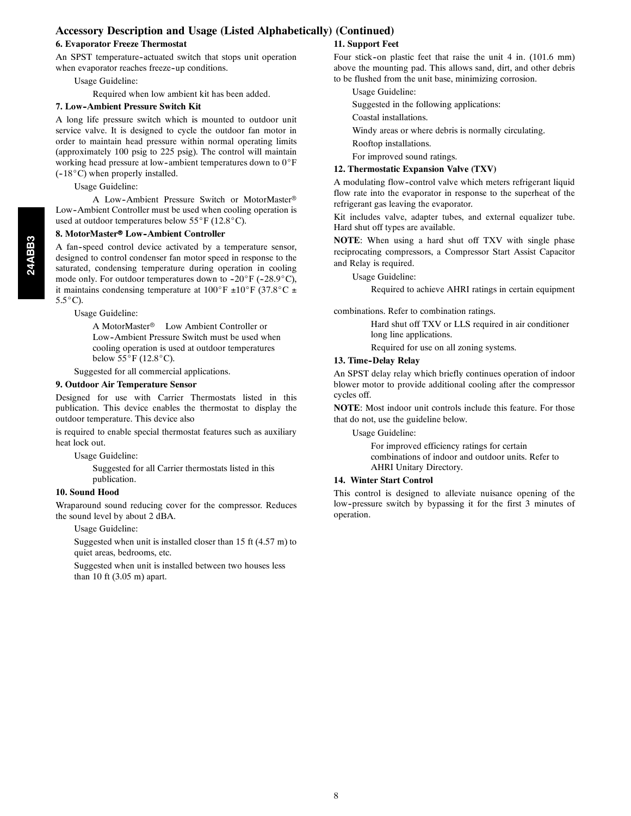#### **Accessory Description and Usage (Listed Alphabetically) (Continued)**

#### **6. Evaporator Freeze Thermostat**

An SPST temperature-actuated switch that stops unit operation when evaporator reaches freeze-up conditions.

Usage Guideline:

Required when low ambient kit has been added.

#### **7. Low--Ambient Pressure Switch Kit**

A long life pressure switch which is mounted to outdoor unit service valve. It is designed to cycle the outdoor fan motor in order to maintain head pressure within normal operating limits (approximately 100 psig to 225 psig). The control will maintain working head pressure at low-ambient temperatures down to  $0^{\circ}F$  $(-18^{\circ}C)$  when properly installed.

#### Usage Guideline:

A Low-Ambient Pressure Switch or MotorMaster® Low--Ambient Controller must be used when cooling operation is used at outdoor temperatures below  $55^{\circ}$ F (12.8 $^{\circ}$ C).

#### 8. MotorMaster<sup>®</sup> Low-Ambient Controller

A fan--speed control device activated by a temperature sensor, designed to control condenser fan motor speed in response to the saturated, condensing temperature during operation in cooling mode only. For outdoor temperatures down to  $-20^\circ$  F ( $-28.9^\circ$ C), it maintains condensing temperature at  $100^\circ F \pm 10^\circ F$  (37.8°C  $\pm$  $5.5^{\circ}$ C).

Usage Guideline:

A MotorMaster<sup>®</sup> Low Ambient Controller or Low--Ambient Pressure Switch must be used when cooling operation is used at outdoor temperatures below  $55^{\circ}$ F (12.8 $^{\circ}$ C).

Suggested for all commercial applications.

#### **9. Outdoor Air Temperature Sensor**

Designed for use with Carrier Thermostats listed in this publication. This device enables the thermostat to display the outdoor temperature. This device also

is required to enable special thermostat features such as auxiliary heat lock out.

Usage Guideline:

Suggested for all Carrier thermostats listed in this publication.

#### **10. Sound Hood**

Wraparound sound reducing cover for the compressor. Reduces the sound level by about 2 dBA.

Usage Guideline:

Suggested when unit is installed closer than 15 ft (4.57 m) to quiet areas, bedrooms, etc.

Suggested when unit is installed between two houses less than 10 ft (3.05 m) apart.

#### **11. Support Feet**

Four stick-on plastic feet that raise the unit 4 in. (101.6 mm) above the mounting pad. This allows sand, dirt, and other debris to be flushed from the unit base, minimizing corrosion.

Usage Guideline:

Suggested in the following applications:

Coastal installations.

Windy areas or where debris is normally circulating.

Rooftop installations.

For improved sound ratings.

#### **12. Thermostatic Expansion Valve (TXV)**

A modulating flow--control valve which meters refrigerant liquid flow rate into the evaporator in response to the superheat of the refrigerant gas leaving the evaporator.

Kit includes valve, adapter tubes, and external equalizer tube. Hard shut off types are available.

**NOTE**: When using a hard shut off TXV with single phase reciprocating compressors, a Compressor Start Assist Capacitor and Relay is required.

Usage Guideline:

Required to achieve AHRI ratings in certain equipment

combinations. Refer to combination ratings.

Hard shut off TXV or LLS required in air conditioner long line applications.

Required for use on all zoning systems.

#### 13. Time-Delay Relay

An SPST delay relay which briefly continues operation of indoor blower motor to provide additional cooling after the compressor cycles off.

**NOTE**: Most indoor unit controls include this feature. For those that do not, use the guideline below.

Usage Guideline:

For improved efficiency ratings for certain combinations of indoor and outdoor units. Refer to AHRI Unitary Directory.

#### **14. Winter Start Control**

This control is designed to alleviate nuisance opening of the low--pressure switch by bypassing it for the first 3 minutes of operation.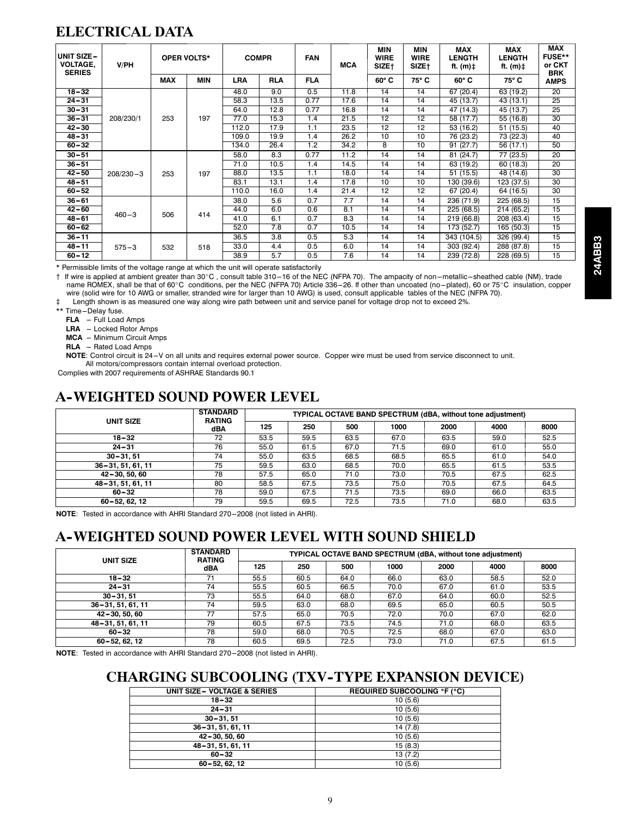#### **ELECTRICAL DATA**

| UNIT SIZE-<br><b>VOLTAGE,</b><br><b>SERIES</b> | V/PH        |            | <b>OPER VOLTS*</b> | <b>COMPR</b> |            | <b>FAN</b> | <b>MCA</b> | <b>MIN</b><br><b>WIRE</b><br>SIZE† | <b>MIN</b><br><b>WIRE</b><br>SIZE† | <b>MAX</b><br><b>LENGTH</b><br>ft. (m)‡ | MAX<br><b>LENGTH</b><br>ft. (m)‡ | <b>MAX</b><br>FUSE**<br>or CKT<br><b>BRK</b> |
|------------------------------------------------|-------------|------------|--------------------|--------------|------------|------------|------------|------------------------------------|------------------------------------|-----------------------------------------|----------------------------------|----------------------------------------------|
|                                                |             | <b>MAX</b> | <b>MIN</b>         | <b>LRA</b>   | <b>RLA</b> | <b>FLA</b> |            | $60^\circ C$                       | 75° C                              | $60^\circ C$                            | 75° C                            | <b>AMPS</b>                                  |
| $18 - 32$                                      |             |            |                    | 48.0         | 9.0        | 0.5        | 11.8       | 14                                 | 14                                 | 67 (20.4)                               | 63 (19.2)                        | $\overline{20}$                              |
| $24 - 31$                                      |             |            |                    | 58.3         | 13.5       | 0.77       | 17.6       | 14                                 | 14                                 | 45 (13.7)                               | 43 (13.1)                        | 25                                           |
| $30 - 31$                                      |             |            |                    | 64.0         | 12.8       | 0.77       | 16.8       | 14                                 | 14                                 | 47 (14.3)                               | 45 (13.7)                        | 25                                           |
| $36 - 31$                                      | 208/230/1   | 253        | 197                | 77.0         | 15.3       | 1.4        | 21.5       | 12                                 | 12                                 | 58 (17.7)                               | 55 (16.8)                        | 30                                           |
| $42 - 30$                                      |             |            |                    | 112.0        | 17.9       | 1.1        | 23.5       | 12                                 | 12                                 | 53 (16.2)                               | 51 (15.5)                        | 40                                           |
| $48 - 31$                                      |             |            |                    | 109.0        | 19.9       | 1.4        | 26.2       | 10                                 | 10                                 | 76 (23.2)                               | 73 (22.3)                        | 40                                           |
| $60 - 32$                                      |             |            |                    | 134.0        | 26.4       | 1.2        | 34.2       | 8                                  | 10                                 | 91(27.7)                                | 56 (17.1)                        | 50                                           |
| $30 - 51$                                      |             |            |                    | 58.0         | 8.3        | 0.77       | 11.2       | 14                                 | 14                                 | 81 (24.7)                               | 77 (23.5)                        | 20                                           |
| $36 - 51$                                      |             |            |                    | 71.0         | 10.5       | 1.4        | 14.5       | 14                                 | 14                                 | 63 (19.2)                               | 60 (18.3)                        | 20                                           |
| $42 - 50$                                      | $208/230-3$ | 253        | 197                | 88.0         | 13.5       | 1.1        | 18.0       | 14                                 | 14                                 | 51 (15.5)                               | 48 (14.6)                        | 30                                           |
| $48 - 51$                                      |             |            |                    | 83.1         | 13.1       | 1.4        | 17.8       | 10                                 | 10                                 | 130 (39.6)                              | 123 (37.5)                       | 30                                           |
| $60 - 52$                                      |             |            |                    | 110.0        | 16.0       | 1.4        | 21.4       | 12                                 | 12                                 | 67 (20.4)                               | 64 (16.5)                        | 30                                           |
| $36 - 61$                                      |             |            |                    | 38.0         | 5.6        | 0.7        | 7.7        | 14                                 | 14                                 | 236 (71.9)                              | 225 (68.5)                       | 15                                           |
| $42 - 60$                                      |             |            |                    | 44.0         | 6.0        | 0.6        | 8.1        | 14                                 | 14                                 | 225 (68.5)                              | 214 (65.2)                       | 15                                           |
| $48 - 61$                                      | $460 - 3$   | 506        | 414                | 41.0         | 6.1        | 0.7        | 8.3        | 14                                 | 14                                 | 219 (66.8)                              | 208 (63.4)                       | 15                                           |
| $60 - 62$                                      |             |            |                    | 52.0         | 7.8        | 0.7        | 10.5       | 14                                 | 14                                 | 173 (52.7)                              | 165 (50.3)                       | 15                                           |
| $36 - 11$                                      |             |            |                    | 36.5         | 3.8        | 0.5        | 5.3        | 14                                 | 14                                 | 343 (104.5)                             | 326 (99.4)                       | 15                                           |
| 48-11                                          | $575 - 3$   | 532        | 518                | 33.0         | 4.4        | 0.5        | 6.0        | 14                                 | 14                                 | 303 (92.4)                              | 288 (87.8)                       | 15                                           |
| $60 - 12$                                      |             |            |                    | 38.9         | 5.7        | 0.5        | 7.6        | 14                                 | 14                                 | 239 (72.8)                              | 228 (69.5)                       | 15                                           |

\* Permissible limits of the voltage range at which the unit will operate satisfactorily

1 If wire is applied at ambient greater than 30°C, consult table 310-16 of the NEC (NFPA 70). The ampacity of non-metallic-sheathed cable (NM), trade name ROMEX, shall be that of 60°C conditions, per the NEC (NFPA 70) Article 336-26. If other than uncoated (no-plated), 60 or 75°C insulation, copper wire (solid wire for 10 AWG or smaller, stranded wire for larger than 10 AWG) is used, consult applicable tables of the NEC (NFPA 70).

Length shown is as measured one way along wire path between unit and service panel for voltage drop not to exceed 2%.

\*\* Time-Delay fuse.

FLA -- Full Load Amps

LRA - Locked Rotor Amps

**MCA** -- Minimum Circuit Amps

**RLA** - Rated Load Amps

NOTE: Control circuit is 24-V on all units and requires external power source. Copper wire must be used from service disconnect to unit. All motors/compressors contain internal overload protection.

Complies with 2007 requirements of ASHRAE Standards 90.1

#### **A--WEIGHTED SOUND POWER LEVEL**

| UNIT SIZE         | <b>STANDARD</b><br><b>RATING</b> |      |      |      |      |      | TYPICAL OCTAVE BAND SPECTRUM (dBA, without tone adjustment) |      |
|-------------------|----------------------------------|------|------|------|------|------|-------------------------------------------------------------|------|
|                   | dBA                              | 125  | 250  | 500  | 1000 | 2000 | 4000                                                        | 8000 |
| $18 - 32$         | 72                               | 53.5 | 59.5 | 63.5 | 67.0 | 63.5 | 59.0                                                        | 52.5 |
| $24 - 31$         | 76                               | 55.0 | 61.5 | 67.0 | 71.5 | 69.0 | 61.0                                                        | 55.0 |
| $30 - 31.51$      | 74                               | 55.0 | 63.5 | 68.5 | 68.5 | 65.5 | 61.0                                                        | 54.0 |
| 36-31, 51, 61, 11 | 75                               | 59.5 | 63.0 | 68.5 | 70.0 | 65.5 | 61.5                                                        | 53.5 |
| 42-30, 50, 60     | 78                               | 57.5 | 65.0 | 71.0 | 73.0 | 70.5 | 67.5                                                        | 62.5 |
| 48-31, 51, 61, 11 | 80                               | 58.5 | 67.5 | 73.5 | 75.0 | 70.5 | 67.5                                                        | 64.5 |
| $60 - 32$         | 78                               | 59.0 | 67.5 | 71.5 | 73.5 | 69.0 | 66.0                                                        | 63.5 |
| 60-52, 62, 12     | 79                               | 59.5 | 69.5 | 72.5 | 73.5 | 71.0 | 68.0                                                        | 63.5 |

**NOTE:** Tested in accordance with AHRI Standard 270-2008 (not listed in AHRI).

#### **A--WEIGHTED SOUND POWER LEVEL WITH SOUND SHIELD**

| UNIT SIZE             | <b>STANDARD</b><br><b>RATING</b> |      |      |      |      | <b>TYPICAL OCTAVE BAND SPECTRUM (dBA, without tone adjustment)</b> |      |      |
|-----------------------|----------------------------------|------|------|------|------|--------------------------------------------------------------------|------|------|
|                       | dBA                              | 125  | 250  | 500  | 1000 | 2000                                                               | 4000 | 8000 |
| $18 - 32$             | 71                               | 55.5 | 60.5 | 64.0 | 66.0 | 63.0                                                               | 58.5 | 52.0 |
| $24 - 31$             | 74                               | 55.5 | 60.5 | 66.5 | 70.0 | 67.0                                                               | 61.0 | 53.5 |
| $30 - 31.51$          | 73                               | 55.5 | 64.0 | 68.0 | 67.0 | 64.0                                                               | 60.0 | 52.5 |
| $36 - 31, 51, 61, 11$ | 74                               | 59.5 | 63.0 | 68.0 | 69.5 | 65.0                                                               | 60.5 | 50.5 |
| 42-30, 50, 60         | 77                               | 57.5 | 65.0 | 70.5 | 72.0 | 70.0                                                               | 67.0 | 62.0 |
| 48-31, 51, 61, 11     | 79                               | 60.5 | 67.5 | 73.5 | 74.5 | 71.0                                                               | 68.0 | 63.5 |
| $60 - 32$             | 78                               | 59.0 | 68.0 | 70.5 | 72.5 | 68.0                                                               | 67.0 | 63.0 |
| 60-52, 62, 12         | 78                               | 60.5 | 69.5 | 72.5 | 73.0 | 71.0                                                               | 67.5 | 61.5 |

**NOTE:** Tested in accordance with AHRI Standard 270-2008 (not listed in AHRI).

#### **CHARGING SUBCOOLING (TXV--TYPE EXPANSION DEVICE)**

| UNIT SIZE - VOLTAGE & SERIES | <b>REQUIRED SUBCOOLING °F (°C)</b> |
|------------------------------|------------------------------------|
| $18 - 32$                    | 10(5.6)                            |
| $24 - 31$                    | 10(5.6)                            |
| $30 - 31.51$                 | 10(5.6)                            |
| $36 - 31, 51, 61, 11$        | 14(7.8)                            |
| 42-30, 50, 60                | 10(5.6)                            |
| 48-31, 51, 61, 11            | 15(8.3)                            |
| $60 - 32$                    | 13(7.2)                            |
| 60-52, 62, 12                | 10(5.6)                            |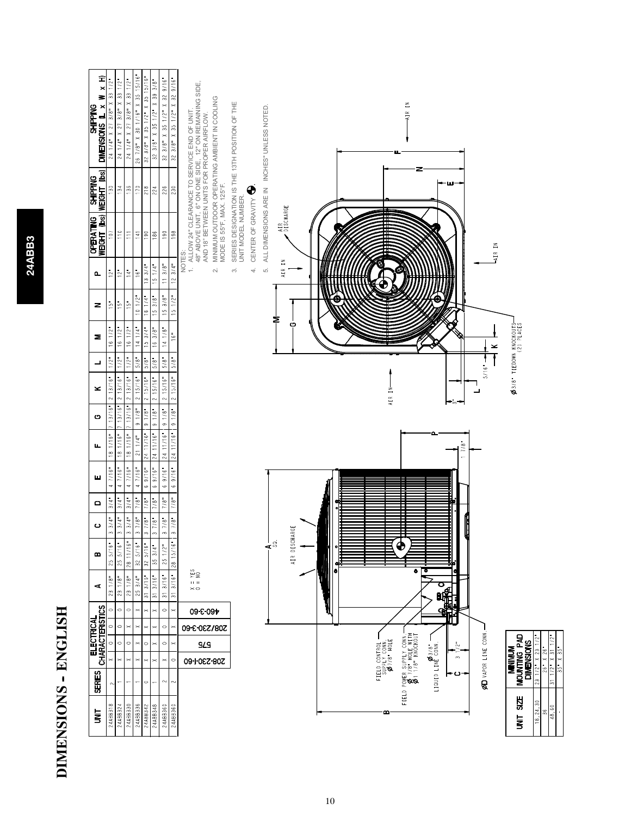| ø |  |
|---|--|
| M |  |
|   |  |
| ۰ |  |
| ≂ |  |
|   |  |
|   |  |
|   |  |
|   |  |

# DIMENSIONS - ENGLISH **DIMENSIONS -- ENGLISH**

| $\overline{\mathbf{s}}$     | <b>SERIES</b>                                              |                                                               |                                       | ELECTRICAL<br>CHARACTERISTICS | ⋖                                                                             | m                   | ပ                 | $\mathbf{\Omega}$                                   | Щ                  |                   | Щ,                     | ပ              | ≍                    | ᆜ                  | Σ                                                    | z                          | உ                          | OPERATING   SHIPPING<br>Weight (ibs)   Weight (ibs) |                          | Î<br>×<br>∍<br>DIMENSIONS IL x<br><b>SHIPPING</b>                                                                                                                                                  |
|-----------------------------|------------------------------------------------------------|---------------------------------------------------------------|---------------------------------------|-------------------------------|-------------------------------------------------------------------------------|---------------------|-------------------|-----------------------------------------------------|--------------------|-------------------|------------------------|----------------|----------------------|--------------------|------------------------------------------------------|----------------------------|----------------------------|-----------------------------------------------------|--------------------------|----------------------------------------------------------------------------------------------------------------------------------------------------------------------------------------------------|
| 24ABB318                    | $\sim$                                                     | $\times$                                                      | $\circ$                               | $\circ$                       | 231/8<br>$\circ$                                                              | $5/16$ "<br>25      |                   | $3/4$ "<br>3/4"                                     | 47/16              |                   | 18 1/16"               | 13/16"         | 2 13/16              | $1/2$ "            | 16112                                                | $rac{1}{2}$ = $rac{1}{2}$  | $\frac{12}{12}$            | 107                                                 | 130                      | $33 \frac{1}{2}$<br>24 1/4" X 27 3/8" X                                                                                                                                                            |
| 24ABB324                    | ↽                                                          | $\times$                                                      | $\circ$                               | $\circ$                       | 231/8"<br>$\circ$                                                             | 25 5/16"            |                   | 3/4"<br>$3/4$ "                                     | 47/16"             |                   | 18 1/16"               | 13/16"         | 2 13/16              | $1/2$ "            | 161/2"                                               |                            |                            | 110                                                 | 134                      | $33 \frac{1}{2}$<br>24 1/4" X 27 3/8" X                                                                                                                                                            |
| 24ABB330                    |                                                            | $\mathord{\approx}$                                           | $\circ$                               | ×                             | 231/8<br>$\circ$                                                              | 28 11/16"           |                   | 3/4"<br>$3/4$ <sup>m</sup>                          | 4                  | 7/16 <sup>"</sup> | 18 1/16'               | 13/16"         | 213/16               | $1/2$ <sup>u</sup> | 161/2                                                | $\frac{15}{2}$             | $\frac{1}{4}$              | Ξ                                                   | 136                      | $33 \frac{1}{2}$<br>$24$ 1/4" X 27 3/8" X                                                                                                                                                          |
| 24ABB336                    | $\overline{\phantom{0}}$                                   | $\times$                                                      | $\mathord{\vphantom{1}}^{\mathbf{<}}$ | ×                             | $25 \frac{3}{4}$<br>×                                                         | $32\ 5/16"$         |                   | $\frac{1}{18}$<br>$\frac{1}{8}$                     | 47/16"             |                   | 211/4"                 | 91/8           | 2 15/16              | $5/8$ "            | 14.1/4"                                              | 101/2"                     | $\stackrel{=}{}{8}$        | $\frac{1}{2}$                                       | $\overline{170}$         | 26 7/8" X 30 1/16" X 35 15/16"                                                                                                                                                                     |
| 24ABB342                    | $\circ$                                                    | $\asymp$                                                      | $\circ$                               |                               | $313/16$ "<br>$\times$                                                        | 32 5/16"            | ∾                 | 7/8"<br>7/8"                                        | 6.9/16             |                   | 24 11/16"              | 91/8"          | $2 - 15/16$ "        | 5/8"               | 15.3/4                                               | $16$ $1/4$ <sup>=</sup>    | $13.3/4$ <sup>"</sup>      | 190                                                 | 218                      | $32$ $3/8$ $\degree$ X 35 $1/2$ $\degree$ X 35 $15/16$ $\degree$                                                                                                                                   |
| 24ABB348                    | ÷                                                          | ×                                                             | ×                                     |                               | $31 \frac{3}{16}$<br>×                                                        | $35.314$ "          | ∽                 | 7/8"<br>$7/8$ "                                     | 6.9/16             |                   | 24 11/16"              | 9118           | 215/16"              | 5/8"               | 16.3/8"                                              | 15.3/8                     | $151/4$ "                  | 186                                                 | 224                      | 32 3/8" X 35 1/2" X 39 3/8"                                                                                                                                                                        |
| 24ABB360<br>24ABB360        | $\sim$<br>$\sim$                                           | $\circ$<br>$\mathord{\sim}$                                   | $\circ$<br>×                          | $\circ$                       | 3/16"<br>3/16"<br>$\overline{5}$<br>$\overline{5}$<br>$\circ$<br>$\mathbb{1}$ | 28 15/16"<br>251/2" |                   | $7/8$ "<br>$7/8$ "<br>$7/8$ "<br>$7/8$ <sup>"</sup> | 69/16<br>$69/16$ " |                   | 24 11/16"<br>24 11/16" | 9118"<br>9118" | 2 15/16"<br>2 15/16" | 5/8"<br>5/8"       | 141/8"<br>16"                                        | $15 \frac{3}{8}$<br>151/2" | 12.3 / 4"<br>113/8"        | 190<br>198                                          | $226$<br>$\frac{230}{2}$ | 329/16<br>32 3/8" X 35 1/2" X 32 9/16"<br>32 3/8" X 35 1/2" X                                                                                                                                      |
|                             |                                                            | 09-1-027-80Z                                                  | <b>STS</b>                            | 208/230-3-60                  | $\pm 1$<br>$\times$<br>09-8-09+                                               | ξŞ                  |                   |                                                     |                    |                   |                        |                |                      |                    |                                                      |                            | NOTES:<br>$\div$<br>$\sim$ | MODE IS 55°F, MAX. 125°F.                           |                          | ALLOW 24" CLEARANCE TO SERVICE END OF UNIT.<br>48" ABOVE UNIT, 6" ON ONE SIDE, 12" ON REMAINING SIDE,<br>AND 18" BETWEEN UNITS FOR PROPER AIRFLOW.<br>MINIMUM OUTDOOR OPERATING AMBIENT IN COOLING |
|                             |                                                            |                                                               |                                       |                               |                                                                               |                     |                   |                                                     |                    |                   |                        |                |                      |                    |                                                      |                            | $\sim$                     | UNIT MODEL NUMBER.                                  |                          | SERIES DESIGNATION IS THE 13TH POSITION OF THE                                                                                                                                                     |
|                             |                                                            |                                                               |                                       |                               |                                                                               |                     |                   |                                                     |                    |                   |                        |                |                      |                    |                                                      |                            | 4.                         | CENTER OF GRAVITY                                   |                          |                                                                                                                                                                                                    |
|                             |                                                            |                                                               |                                       |                               |                                                                               |                     | ⊰ँ                |                                                     |                    |                   |                        |                |                      |                    |                                                      |                            | LÓ.                        |                                                     |                          | ALL DIMENSIONS ARE IN INCHES" UNLESS NOTED                                                                                                                                                         |
|                             |                                                            |                                                               |                                       |                               |                                                                               |                     | ξĚ<br>AIR DISCHAR |                                                     |                    |                   |                        |                |                      |                    | O                                                    | ≅                          | AIR IN                     | AIR<br>DISCHARGE                                    |                          |                                                                                                                                                                                                    |
|                             |                                                            |                                                               |                                       |                               |                                                                               |                     |                   |                                                     |                    |                   |                        |                |                      |                    |                                                      |                            |                            |                                                     |                          |                                                                                                                                                                                                    |
|                             |                                                            |                                                               |                                       |                               |                                                                               |                     |                   |                                                     |                    |                   |                        |                |                      |                    |                                                      |                            |                            |                                                     |                          |                                                                                                                                                                                                    |
|                             |                                                            |                                                               |                                       |                               |                                                                               | c                   |                   |                                                     |                    |                   |                        |                |                      |                    |                                                      |                            |                            |                                                     |                          |                                                                                                                                                                                                    |
|                             |                                                            |                                                               |                                       |                               |                                                                               |                     |                   |                                                     |                    |                   |                        |                |                      |                    |                                                      |                            |                            |                                                     |                          |                                                                                                                                                                                                    |
|                             |                                                            |                                                               |                                       |                               |                                                                               |                     |                   |                                                     |                    |                   |                        |                |                      |                    |                                                      |                            |                            |                                                     |                          |                                                                                                                                                                                                    |
| ≏                           |                                                            | FIELD CONTROL -<br>SUPPLY CONN.<br>SUPPLY CONN.<br>Ø7/8" HOLE |                                       |                               |                                                                               |                     |                   |                                                     |                    |                   |                        |                | AIR IN               |                    |                                                      |                            | $\hat{\mathbf{\Theta}}$    |                                                     |                          |                                                                                                                                                                                                    |
| FIELD                       |                                                            |                                                               |                                       |                               |                                                                               |                     | ♦                 |                                                     |                    |                   |                        |                |                      |                    |                                                      |                            |                            |                                                     |                          |                                                                                                                                                                                                    |
|                             | POWER SUPPLY CONN.—<br>0 7/8" HOLE WITH<br>0 7/8" KNOCKOUT |                                                               |                                       |                               |                                                                               | ۰                   |                   |                                                     |                    |                   |                        |                |                      |                    |                                                      |                            |                            |                                                     |                          | AIR IN                                                                                                                                                                                             |
|                             | LIQUID LINÉ CONN.                                          |                                                               |                                       |                               |                                                                               | τ                   |                   |                                                     |                    |                   |                        |                |                      |                    |                                                      |                            |                            |                                                     |                          |                                                                                                                                                                                                    |
|                             |                                                            | $\infty$                                                      | تہ                                    |                               | О<br><b>Head</b>                                                              |                     |                   |                                                     |                    |                   |                        | •್ಲ            |                      |                    |                                                      |                            |                            |                                                     | 'nщ,                     |                                                                                                                                                                                                    |
|                             |                                                            |                                                               |                                       |                               |                                                                               |                     |                   |                                                     |                    |                   | 7/8"                   |                |                      |                    |                                                      |                            |                            |                                                     |                          |                                                                                                                                                                                                    |
|                             | ØD VAPOR LINE CONN                                         |                                                               |                                       |                               |                                                                               |                     |                   |                                                     |                    |                   |                        |                | $5/16$ "             |                    | ×                                                    |                            |                            | 즠<br>-AIR                                           |                          |                                                                                                                                                                                                    |
| SIZE<br>š                   |                                                            | MOUNTING PAD<br><b>MINIMIN</b>                                |                                       |                               |                                                                               |                     |                   |                                                     |                    |                   |                        |                |                      |                    | Ø3/8" TIEDOWN KNOCKOUTS-<br>Ø3/8" TIEDOWN KNOCKOUTS- |                            |                            |                                                     |                          |                                                                                                                                                                                                    |
|                             |                                                            | <b>DIMENSIONS</b>                                             |                                       |                               |                                                                               |                     |                   |                                                     |                    |                   |                        |                |                      |                    |                                                      |                            |                            |                                                     |                          |                                                                                                                                                                                                    |
| 18, 24, 30<br>$\frac{6}{2}$ |                                                            | $26'' \times 26'$<br>$231/2$ $X23$                            |                                       |                               |                                                                               |                     |                   |                                                     |                    |                   |                        |                |                      |                    |                                                      |                            |                            |                                                     |                          |                                                                                                                                                                                                    |
| 48,60                       | $\frac{1}{2}$<br>$\frac{1}{2}$                             | $35''$ X $35''$<br>비                                          |                                       |                               |                                                                               |                     |                   |                                                     |                    |                   |                        |                |                      |                    |                                                      |                            |                            |                                                     |                          |                                                                                                                                                                                                    |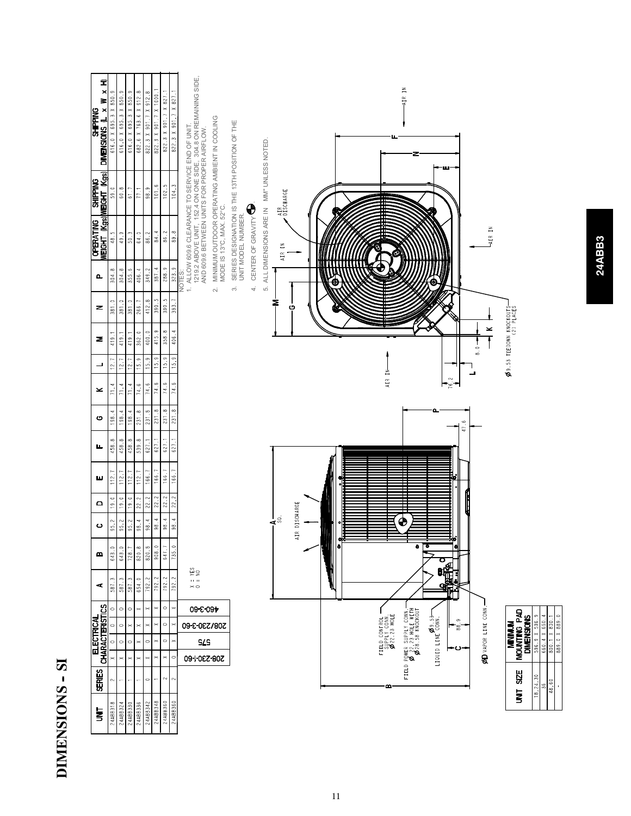| Î<br>×<br>s<br>DIMENSIONS IL x<br><b>SHIPPING</b> | 616.0 X 695.3 X 850.9 | 616.0 X 695.3 X 850.9      | 616.0 X 695.3 X 850.9 | 682.6 X 763.6 X 912.8 | 822.3 X 901.7 X 912.8 | 822.3 X 901.7 X 1000.<br>822.3 X 901.7 X 827.1 | 822.3 X 901.7 X 827.1 | 1219.2 ABOVE UNIT, 152.4 ON ONE SIDE, 304.8 ON REMAINING SIDE.<br>AND 609.6 BETWEEN UNITS FOR PROPER AIRFLOW. |                                                |                                                             |                  |   |                                               | AIR IN                                                           |                   |               |      |                     |                                                                  |               |                                             |               |
|---------------------------------------------------|-----------------------|----------------------------|-----------------------|-----------------------|-----------------------|------------------------------------------------|-----------------------|---------------------------------------------------------------------------------------------------------------|------------------------------------------------|-------------------------------------------------------------|------------------|---|-----------------------------------------------|------------------------------------------------------------------|-------------------|---------------|------|---------------------|------------------------------------------------------------------|---------------|---------------------------------------------|---------------|
| WEIGHT (Kgs) WEIGHT (Kgs)<br><b>SHIPPING</b>      | 59.0                  | 60.8                       | 61.7                  | 77.1                  | 98.9                  | 101.6<br>102.5                                 | 104.3                 | MINIMUM OUTDOOR OPERATING AMBIENT IN COOLING<br>1. ALLOW 609.6 CLEARANCE TO SERVICE END OF UNIT.              | SERIES DESIGNATION IS THE 13TH POSITION OF THE | ALL DIMENSIONS ARE IN MM" UNLESS NOTED.<br>AIR<br>DISCHARGE |                  |   |                                               |                                                                  |                   |               |      |                     |                                                                  |               |                                             |               |
| <b>OPERATING</b>                                  | 48.5                  | 49.9                       | 50.3                  | 64.0                  | 86.2                  | 84.4<br>86.2                                   | 89.8                  | MODE IS 13°C, MAX. 52°C.                                                                                      | CENTER OF GRAVITY<br>UNIT MODEL NUMBER.        | AIR IN                                                      |                  |   |                                               |                                                                  |                   |               |      | AIR IN              |                                                                  |               |                                             |               |
| $\mathbf{a}$                                      | 304.8                 | 304.8                      | 355.6                 | 406.4                 | 349.2                 | 288.9<br>387.4                                 | 323.9                 | NOTES:<br>$\sim$                                                                                              | $\overline{+}$<br>$\sim$                       | $\vec{5}$                                                   |                  |   |                                               |                                                                  |                   |               |      |                     |                                                                  |               |                                             |               |
| z                                                 | 381.0                 | 381.0                      | 381.0                 | 266.7                 | 412.8                 | 390.5<br>$\frac{1}{390.5}$                     | 393.7                 |                                                                                                               |                                                | ≅                                                           | O                |   |                                               |                                                                  |                   |               |      |                     |                                                                  |               |                                             |               |
| Σ                                                 | 419.1                 | 419.1                      | 419.1                 | 362.0                 | 400.0                 | 415.9<br>358.8                                 | 406.4                 |                                                                                                               |                                                |                                                             |                  |   |                                               |                                                                  |                   |               |      | ×<br>$\frac{1}{8}$  | $\phi$ 9.53 TIEDOWN KNOCKOUTS-                                   |               |                                             |               |
| ┙                                                 | 12.                   | 12.7                       | 12.7                  | 15.9                  | 15.9                  | 15.9<br>15.9                                   | 15.9                  |                                                                                                               |                                                |                                                             |                  |   |                                               |                                                                  |                   |               |      |                     |                                                                  |               |                                             |               |
| ≍                                                 | 71.4                  | 71.4                       | 71.4                  | 74.6                  | 74.6                  | 74.6<br>74.6                                   | 74.6                  |                                                                                                               |                                                |                                                             |                  |   | AIR IN                                        |                                                                  |                   |               |      |                     |                                                                  |               |                                             |               |
| $\bullet$                                         | 198.4                 | 198.4                      | 198.4                 | $\frac{1}{231.8}$     | 231.8                 | 231.8<br>$\frac{8}{131.8}$                     | $\frac{8}{131}$       |                                                                                                               |                                                |                                                             |                  |   |                                               |                                                                  |                   |               | 47.6 |                     |                                                                  |               |                                             |               |
| щ                                                 | 458.8                 | 458.8                      | 458.8                 | $\frac{8}{33.8}$      | 627.1                 | 627.1<br>627.1                                 | 621.1                 |                                                                                                               |                                                |                                                             |                  |   |                                               |                                                                  |                   |               |      |                     |                                                                  |               |                                             |               |
| ш                                                 | 112.                  | 112.7                      | 112.7                 | 112.1                 | 166.7                 | 166.7<br>166.7                                 | 166.7                 |                                                                                                               |                                                |                                                             |                  |   |                                               |                                                                  |                   |               |      |                     |                                                                  |               |                                             |               |
| $\mathbf{\Omega}$                                 | 19.0                  | 19.0                       | 19.0                  | $\overline{22.2}$     | $\overline{22.2}$     | 22.2<br>22.2                                   | $\frac{22.2}{2}$      |                                                                                                               |                                                |                                                             |                  |   |                                               |                                                                  |                   |               |      |                     |                                                                  |               |                                             |               |
| ပ                                                 | 95.2                  | 95.2                       | 95.2                  | $\frac{1}{98.4}$      | $\frac{1}{98.4}$      | 98.4<br>$\frac{1}{36}$                         | 98.4                  |                                                                                                               |                                                | $\mathbf{A}^{\mathbb{S}}$                                   | DISCHARGE<br>AIR |   |                                               | ♦                                                                |                   |               |      |                     |                                                                  |               |                                             |               |
| ≃                                                 | 643.0                 | 643.0                      | 728.7                 | 820.8                 | 820.8                 | 908.0<br>647.7                                 | 735.0                 |                                                                                                               |                                                |                                                             |                  | c |                                               | ۰                                                                | ढ                 | ٠<br>ο        |      |                     |                                                                  |               |                                             |               |
| ⋖                                                 | 587.3                 | 587.3                      | 587.3                 | 654.0                 | 792.2                 | 792.2<br>792.2                                 | Z<br>792.             | $= 100$<br>$\geq$                                                                                             |                                                |                                                             |                  |   |                                               |                                                                  |                   | 囁             |      |                     |                                                                  |               |                                             |               |
|                                                   | $\circ$               | $\circ$                    | $\circ$               | ×                     | $\asymp$              | $\circ$<br>×                                   |                       | 09-8-09+                                                                                                      |                                                |                                                             |                  |   |                                               |                                                                  |                   |               |      |                     |                                                                  |               |                                             |               |
|                                                   | $\circ$               | $\circ$                    | $\times$              | ×                     |                       | $\circ$                                        |                       | 308\230-3-00                                                                                                  |                                                |                                                             |                  |   |                                               |                                                                  |                   | $\circ$<br>38 |      |                     |                                                                  | 596.9 X 596.9 |                                             | 889.0 X 889.0 |
| <b>CHARACTERISTICS</b><br><b>ELECTRICAL</b>       | $\circ$               | $\circ$                    | $\circ$               |                       | $\circ$               | $\circ$<br>×                                   | $\geq$                | STS                                                                                                           |                                                |                                                             |                  |   | FIELD CONTROL -<br>SUPPLY CONN<br>Ø22.23 HOLE |                                                                  | LIQUID LINE CONN. |               |      | ØD VAPOR LINE CONN. | <b>OV</b> SNILINDIN<br>Monnling<br>Monnling<br><b>DIMENSIONS</b> |               | $\frac{660.4 \times 600}{800.1 \times 800}$ |               |
| <b>SERIES</b>                                     | ×<br>2                | $\times$<br>$\overline{ }$ | $\times$<br>÷         | ×<br>÷                | ×<br>$\circ$          | ×<br>×<br>$\sim$                               | C<br>$\sim$           | 09-1-0EZ-80Z                                                                                                  |                                                |                                                             |                  |   | ≃                                             | FIELD POWER SUPPLY CONN.<br>Ø 22.23 HOLE WITH<br>Ø28.58 KNOCKOUT |                   |               |      |                     | UNIT SIZE                                                        | 18,24,30      | 48,60                                       |               |
| $\overline{\mathbf{s}}$                           | 24ABB318              | 24ABB324                   | 24ABB330              | 24ABB336              | 24ABB342              | 24ABB348<br>24ABB360                           | 24ABB360              |                                                                                                               |                                                |                                                             |                  |   |                                               |                                                                  |                   |               |      |                     |                                                                  |               |                                             |               |

**DIMENSIONS -- SI**

DIMENSIONS - SI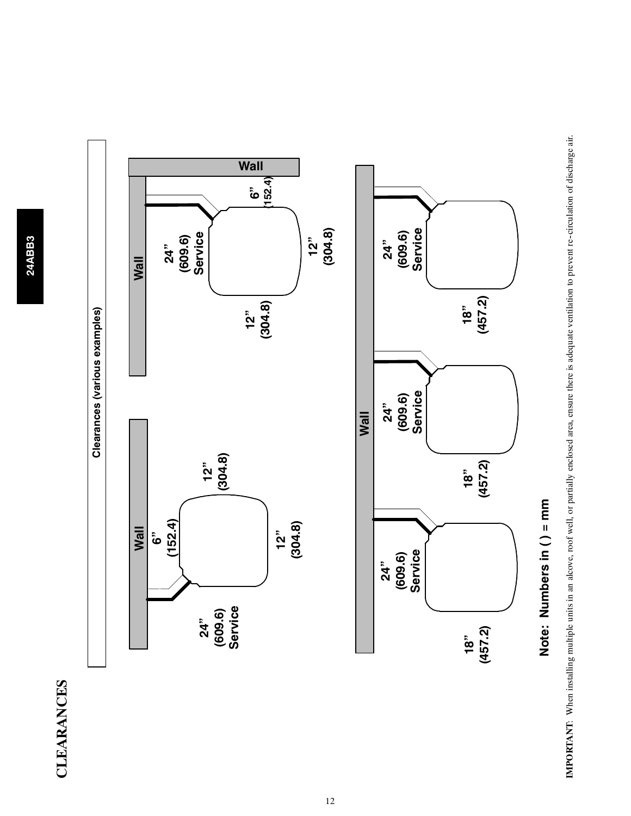# **CLEARANCES CLEARANCES**



IMPORTANT: When installing multiple units in an alcove, roof well, or partially enclosed area, ensure there is adequate ventilation to prevent re-circulation of discharge air. **IMPORTANT**: When installing multiple units in an alcove, roof well, or partially enclosed area, ensure there is adequate ventilation to prevent re--circulation of discharge air.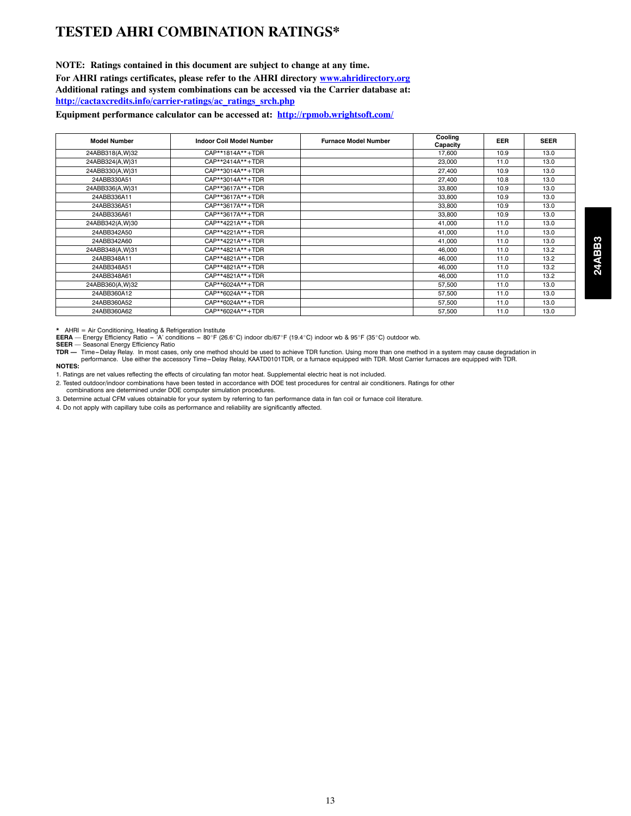#### **TESTED AHRI COMBINATION RATINGS\***

#### **NOTE: Ratings contained in this document are subject to change at any time.**

**For AHRI ratings certificates, please refer to the AHRI directory www.ahridirectory.org**

**Additional ratings and system combinations can be accessed via the Carrier database at:**

**http://cactaxcredits.info/carrier-ratings/ac\_ratings\_srch.php**

**Equipment performance calculator can be accessed at: http://rpmob.wrightsoft.com/**

| <b>Model Number</b> | <b>Indoor Coil Model Number</b> | <b>Furnace Model Number</b> | Cooling<br>Capacity | <b>EER</b> | <b>SEER</b> |
|---------------------|---------------------------------|-----------------------------|---------------------|------------|-------------|
| 24ABB318(A,W)32     | CAP**1814A**+TDR                |                             | 17,600              | 10.9       | 13.0        |
| 24ABB324(A,W)31     | CAP**2414A**+TDR                |                             | 23,000              | 11.0       | 13.0        |
| 24ABB330(A,W)31     | CAP**3014A**+TDR                |                             | 27,400              | 10.9       | 13.0        |
| 24ABB330A51         | CAP**3014A**+TDR                |                             | 27,400              | 10.8       | 13.0        |
| 24ABB336(A,W)31     | CAP**3617A**+TDR                |                             | 33,800              | 10.9       | 13.0        |
| 24ABB336A11         | CAP**3617A**+TDR                |                             | 33,800              | 10.9       | 13.0        |
| 24ABB336A51         | CAP**3617A**+TDR                |                             | 33,800              | 10.9       | 13.0        |
| 24ABB336A61         | CAP**3617A**+TDR                |                             | 33,800              | 10.9       | 13.0        |
| 24ABB342(A,W)30     | CAP**4221A**+TDR                |                             | 41.000              | 11.0       | 13.0        |
| 24ABB342A50         | CAP**4221A**+TDR                |                             | 41,000              | 11.0       | 13.0        |
| 24ABB342A60         | CAP**4221A**+TDR                |                             | 41,000              | 11.0       | 13.0        |
| 24ABB348(A,W)31     | CAP**4821A**+TDR                |                             | 46,000              | 11.0       | 13.2        |
| 24ABB348A11         | CAP**4821A**+TDR                |                             | 46.000              | 11.0       | 13.2        |
| 24ABB348A51         | CAP**4821A**+TDR                |                             | 46,000              | 11.0       | 13.2        |
| 24ABB348A61         | CAP**4821A**+TDR                |                             | 46,000              | 11.0       | 13.2        |
| 24ABB360(A,W)32     | CAP**6024A**+TDR                |                             | 57,500              | 11.0       | 13.0        |
| 24ABB360A12         | CAP**6024A**+TDR                |                             | 57.500              | 11.0       | 13.0        |
| 24ABB360A52         | CAP**6024A**+TDR                |                             | 57,500              | 11.0       | 13.0        |
| 24ABB360A62         | CAP**6024A**+TDR                |                             | 57.500              | 11.0       | 13.0        |

\* AHRI = Air Conditioning, Heating & Refrigeration Institute<br>EERA — Energy Efficiency Ratio – 'A' conditions – 80°F (26.6°C) indoor db/67°F (19.4°C) indoor wb & 95°F (35°C) outdoor wb.<br>SEER — Seasonal Energy Efficiency performance. Use either the accessory Time-Delay Relay, KAATD0101TDR, or a furnace equipped with TDR. Most Carrier furnaces are equipped with TDR. **NOTES:**

1. Ratings are net values reflecting the effects of circulating fan motor heat. Supplemental electric heat is not included.

2. Tested outdoor/indoor combinations have been tested in accordance with DOE test procedures for central air conditioners. Ratings for other

combinations are determined under DOE computer simulation procedures.

3. Determine actual CFM values obtainable for your system by referring to fan performance data in fan coil or furnace coil literature.

4. Do not apply with capillary tube coils as performance and reliability are significantly affected.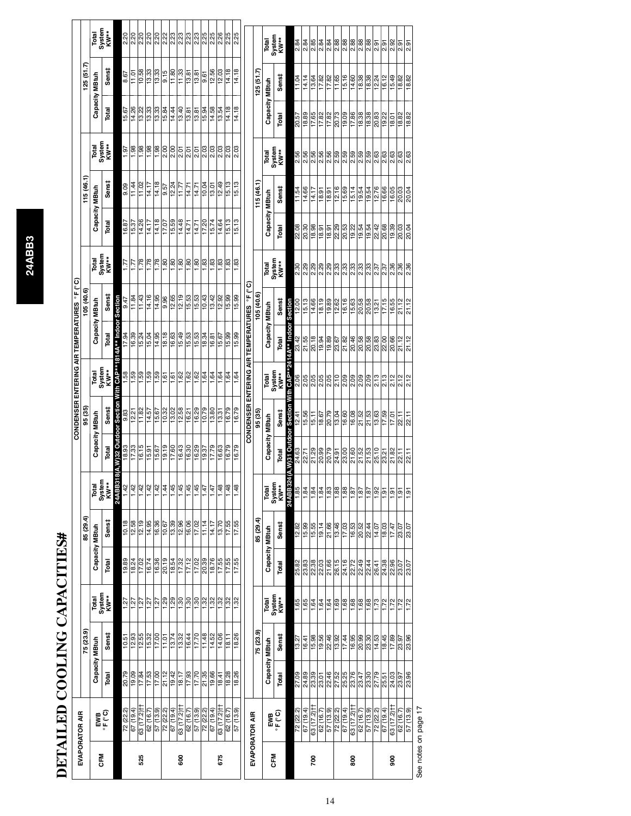# DETAILED COOLING CAPACITIES# **DETAILED COOLING CAPACITIES#**

| 75 (23.9)<br>75 (23.9)<br>Sens‡<br>18.26<br>11.48<br>Sens‡<br>12.93<br>12.55<br>13.32<br>16.44<br>17.70<br>14.52<br>15.32<br>$\frac{17.00}{ }$<br>11.01<br>13.74<br>14.06<br>10.51<br>18.11<br>$\frac{15.98}{19.56}$<br>$\frac{46}{13}$<br>17.44<br>13.27<br>16.41<br>Capacity MBtuh<br>Capacity MBtuh<br>21.12<br>18.28<br>18.26<br>20.79<br>19.09<br>17.53<br>17.00<br>17.93<br>17.70<br>21.35<br>19.66<br>$\frac{46}{8!} \times \frac{1}{8!}$<br>Total<br>17.84<br>19.42<br>27.09<br>$\frac{8}{3}$ $\frac{8}{3}$ $\frac{8}{3}$ $\frac{1}{3}$<br>18.17<br>Total<br>18.41<br>H(Z'ZL) 89<br>H(Z'ZL) 89<br>63 (17.2) H<br>63 (17.2) <sup>+</sup><br>63 (17.2) <sup>+</sup><br>72 (22.2)<br>57 (13.9)<br>67 (19.4)<br>57 (13.9)<br>72 (22.2)<br>67(19.4)<br>57(13.9)<br>72 (22.2)<br>67(19.4)<br>72 (22.2)<br>(19.4)<br>6'81) 25<br>$\frac{72 (22.2)}{67 (19.4)}$<br>62 (16.7)<br>62 (16.7)<br>62 (16.7)<br>62 (16.7<br>$\frac{EMB}{4 \epsilon}$<br>EVAPORATOR AIR<br>EVAPORATOR AIR<br>$\sum_{\alpha \in \mathcal{C}}$<br><b>SFM</b><br>CFM<br>525<br>8<br>675<br>200<br>80 | Total<br>System<br>KW**<br>1.29<br>1.30<br>$\frac{1}{2}$<br>1.32<br>1.27<br>1.29<br>$\frac{1.30}{ }$<br>1.32<br>1.32<br>1.27<br>1.27<br>1.27<br>1.27 | Capacity MBtuh<br>20.19<br>17.12<br>19.89<br>16.36<br>17.32<br>17.02<br>$\frac{16.74}{ }$<br>18.54<br>Total<br>18.24<br>17.02 | 85 (29.4)<br>Sens‡ | Total<br>System<br>KW** | Capacity MBtuh              | 95 (35)                                            |                                           |                                                                                                          | 105(40.6)<br>Capacity MBtuh                       |                                           |                       | 115(46.1)         |                                                              | Capacity MBtuh                                     | 125(51.7)                                                            |                                                  |
|----------------------------------------------------------------------------------------------------------------------------------------------------------------------------------------------------------------------------------------------------------------------------------------------------------------------------------------------------------------------------------------------------------------------------------------------------------------------------------------------------------------------------------------------------------------------------------------------------------------------------------------------------------------------------------------------------------------------------------------------------------------------------------------------------------------------------------------------------------------------------------------------------------------------------------------------------------------------------------------------------------------------------------------------------------------------------|------------------------------------------------------------------------------------------------------------------------------------------------------|-------------------------------------------------------------------------------------------------------------------------------|--------------------|-------------------------|-----------------------------|----------------------------------------------------|-------------------------------------------|----------------------------------------------------------------------------------------------------------|---------------------------------------------------|-------------------------------------------|-----------------------|-------------------|--------------------------------------------------------------|----------------------------------------------------|----------------------------------------------------------------------|--------------------------------------------------|
|                                                                                                                                                                                                                                                                                                                                                                                                                                                                                                                                                                                                                                                                                                                                                                                                                                                                                                                                                                                                                                                                            |                                                                                                                                                      |                                                                                                                               |                    |                         |                             |                                                    |                                           |                                                                                                          |                                                   |                                           |                       |                   |                                                              |                                                    |                                                                      |                                                  |
|                                                                                                                                                                                                                                                                                                                                                                                                                                                                                                                                                                                                                                                                                                                                                                                                                                                                                                                                                                                                                                                                            |                                                                                                                                                      |                                                                                                                               |                    |                         |                             |                                                    |                                           |                                                                                                          |                                                   |                                           | Capacity MBtuh        |                   |                                                              |                                                    |                                                                      | Total<br>System<br>KW**                          |
|                                                                                                                                                                                                                                                                                                                                                                                                                                                                                                                                                                                                                                                                                                                                                                                                                                                                                                                                                                                                                                                                            |                                                                                                                                                      |                                                                                                                               |                    |                         | Total                       | Sens‡                                              | Total<br>System<br>KW**                   | Total                                                                                                    | Sens‡                                             | Total<br>System<br>KW**                   | Total                 | Sens#             | Total<br>System<br>KW**                                      | Total                                              | Sens‡                                                                |                                                  |
|                                                                                                                                                                                                                                                                                                                                                                                                                                                                                                                                                                                                                                                                                                                                                                                                                                                                                                                                                                                                                                                                            |                                                                                                                                                      |                                                                                                                               |                    | <b>24ABB3</b>           | A,W)32 Outdoor Section      |                                                    | th CAP*                                   | 814A** Indoor Section                                                                                    |                                                   |                                           |                       |                   |                                                              |                                                    |                                                                      |                                                  |
|                                                                                                                                                                                                                                                                                                                                                                                                                                                                                                                                                                                                                                                                                                                                                                                                                                                                                                                                                                                                                                                                            |                                                                                                                                                      |                                                                                                                               | 10.18              | 1.42                    | 18.93                       | 9.83                                               |                                           | 17.94                                                                                                    | 9.47                                              | 1.77                                      | 16.87                 | 9.09              | 1.97                                                         | 15.67                                              | 8.67                                                                 |                                                  |
|                                                                                                                                                                                                                                                                                                                                                                                                                                                                                                                                                                                                                                                                                                                                                                                                                                                                                                                                                                                                                                                                            |                                                                                                                                                      |                                                                                                                               | 12.58              | 1.42                    | 17.33                       | 12.21                                              | $\frac{88}{10}$                           | 16.39                                                                                                    | 11.84                                             | 1.77                                      | 15.37                 | 11.44             | $\frac{86}{1.98}$                                            | 14.26                                              | $\frac{11.01}{10.58}$                                                | ន <mark>្តន្ត្រ</mark><br>ន <mark>្តន្ត្រ</mark> |
|                                                                                                                                                                                                                                                                                                                                                                                                                                                                                                                                                                                                                                                                                                                                                                                                                                                                                                                                                                                                                                                                            |                                                                                                                                                      |                                                                                                                               | 12.19              | 1.42                    | 16.15                       | 11.82                                              |                                           | 15.24                                                                                                    | 11.43                                             | 1.78                                      | 14.26                 | 11.02             |                                                              | 13.22                                              |                                                                      |                                                  |
|                                                                                                                                                                                                                                                                                                                                                                                                                                                                                                                                                                                                                                                                                                                                                                                                                                                                                                                                                                                                                                                                            |                                                                                                                                                      |                                                                                                                               | 14.95              | 1.42                    | $\frac{15.91}{15.67}$       | $\frac{14.57}{15.67}$                              |                                           | 15.04                                                                                                    |                                                   | $\frac{8}{1.78}$                          | 14.17                 | 14.17             | $\frac{1.98}{ }$                                             | $\frac{13.33}{2}$                                  | $\begin{array}{c}\n 8 \\  \hline\n 19 \\  \hline\n 19\n \end{array}$ |                                                  |
|                                                                                                                                                                                                                                                                                                                                                                                                                                                                                                                                                                                                                                                                                                                                                                                                                                                                                                                                                                                                                                                                            |                                                                                                                                                      |                                                                                                                               | 16.36              | 1.42                    |                             |                                                    |                                           | 14.95                                                                                                    |                                                   |                                           | 14.18                 | 14.18             | 1,98                                                         | 13.33                                              |                                                                      |                                                  |
|                                                                                                                                                                                                                                                                                                                                                                                                                                                                                                                                                                                                                                                                                                                                                                                                                                                                                                                                                                                                                                                                            |                                                                                                                                                      |                                                                                                                               | 10.67              | 1.44                    |                             |                                                    | $\left \frac{3}{10}\right $               |                                                                                                          | $\frac{14}{14}$<br>$\frac{95}{9}$                 |                                           | 17.07                 | 9.57              | $\frac{200}{200}$                                            | 15.84                                              | 9.15                                                                 |                                                  |
|                                                                                                                                                                                                                                                                                                                                                                                                                                                                                                                                                                                                                                                                                                                                                                                                                                                                                                                                                                                                                                                                            |                                                                                                                                                      |                                                                                                                               | 13.39              | 1.45                    |                             | 13.02                                              | 1.61                                      |                                                                                                          | 12.65                                             |                                           | 15.59                 | 12.24             | 2.00                                                         | 14.44                                              | $\frac{1}{11.80}$                                                    |                                                  |
|                                                                                                                                                                                                                                                                                                                                                                                                                                                                                                                                                                                                                                                                                                                                                                                                                                                                                                                                                                                                                                                                            |                                                                                                                                                      |                                                                                                                               | 12.96              | $\frac{1.45}{ }$        |                             | 12.58                                              | 일일일호                                      | $\frac{18.18}{16.63}$                                                                                    | 12.19                                             | $\frac{ g g }{ g g }$                     | 14.48                 | 11.77             | 2.01                                                         | 13.40                                              | $\frac{33}{11}$                                                      | ္လ  ္လ  ္လ  ္လ  ္လ  ္လ <br> လ  လ  လ  လ  လ  လ     |
|                                                                                                                                                                                                                                                                                                                                                                                                                                                                                                                                                                                                                                                                                                                                                                                                                                                                                                                                                                                                                                                                            |                                                                                                                                                      |                                                                                                                               | 16.06              | 1.45                    |                             | 16.21                                              |                                           | 15.53                                                                                                    | 15.53                                             |                                           | $\frac{14.71}{2}$     | 14.71             | 2.01                                                         | 3.81                                               | 13.81                                                                |                                                  |
|                                                                                                                                                                                                                                                                                                                                                                                                                                                                                                                                                                                                                                                                                                                                                                                                                                                                                                                                                                                                                                                                            |                                                                                                                                                      |                                                                                                                               | 17.02              | 1.45                    | $\frac{16.29}{19.37}$       | 16.29                                              |                                           | 15.53                                                                                                    | 15.53                                             | $\frac{8}{5}$ $\frac{8}{5}$ $\frac{8}{5}$ | 14.71                 | 14.71             | $\left \frac{5}{3}\right  \approx \left \frac{25}{3}\right $ | $\frac{13.81}{2}$                                  | $\frac{13.81}{ }$                                                    |                                                  |
|                                                                                                                                                                                                                                                                                                                                                                                                                                                                                                                                                                                                                                                                                                                                                                                                                                                                                                                                                                                                                                                                            |                                                                                                                                                      | 20.39                                                                                                                         | 11.14              | 1.47                    |                             | 10.79                                              |                                           | 18.34                                                                                                    | 10.43                                             |                                           | 17.20                 | 10.04             |                                                              | 15.94                                              | 9.61                                                                 | 2.25                                             |
|                                                                                                                                                                                                                                                                                                                                                                                                                                                                                                                                                                                                                                                                                                                                                                                                                                                                                                                                                                                                                                                                            |                                                                                                                                                      | 18.76                                                                                                                         | 14.17              | 1.47                    | 17.79                       | 13.80                                              |                                           | 16.81                                                                                                    | 13.42                                             | <b>1.83</b>                               | 15.74                 | $\frac{13.01}{2}$ |                                                              | 14.58                                              | 12.56                                                                | 2.25                                             |
|                                                                                                                                                                                                                                                                                                                                                                                                                                                                                                                                                                                                                                                                                                                                                                                                                                                                                                                                                                                                                                                                            |                                                                                                                                                      | $\frac{17.55}{17.55}$                                                                                                         | 13.70              | 1.48                    | 16.63                       | 13.31                                              |                                           | 15.67                                                                                                    | 12.92                                             |                                           | 14.64                 | 12.49             | 2.03                                                         | 13.54                                              | 12.03                                                                | 2.26                                             |
|                                                                                                                                                                                                                                                                                                                                                                                                                                                                                                                                                                                                                                                                                                                                                                                                                                                                                                                                                                                                                                                                            | 1.32                                                                                                                                                 |                                                                                                                               | 17.55              | 1.48                    | 16.79                       | 16.79                                              | $\frac{1}{9}$ 81                          | 15.99                                                                                                    | 15.99                                             | $\frac{8}{1.83}$                          | 15.13                 | 15.13             | 2.03                                                         | 14.18                                              | 14.18                                                                | 2.25                                             |
|                                                                                                                                                                                                                                                                                                                                                                                                                                                                                                                                                                                                                                                                                                                                                                                                                                                                                                                                                                                                                                                                            | 1.32                                                                                                                                                 | 17.55                                                                                                                         | 17.55              | 1.48                    | 16.79                       | 16.79                                              | 1.64                                      | 15.99                                                                                                    | 15.99                                             | 1.83                                      | 15.13                 | 15.13             | 2.03                                                         | 14.18                                              | 14.18                                                                | 2.25                                             |
|                                                                                                                                                                                                                                                                                                                                                                                                                                                                                                                                                                                                                                                                                                                                                                                                                                                                                                                                                                                                                                                                            |                                                                                                                                                      |                                                                                                                               |                    |                         |                             |                                                    |                                           |                                                                                                          | CONDENSER ENTERING AIR TEMPERATURES °F (°C)       |                                           |                       |                   |                                                              |                                                    |                                                                      |                                                  |
|                                                                                                                                                                                                                                                                                                                                                                                                                                                                                                                                                                                                                                                                                                                                                                                                                                                                                                                                                                                                                                                                            |                                                                                                                                                      |                                                                                                                               | 85 (29.4)          |                         |                             | 95 (35)                                            |                                           |                                                                                                          | 105(40.6)                                         |                                           |                       | 115 (46.1)        |                                                              |                                                    | 125(51.7)                                                            |                                                  |
|                                                                                                                                                                                                                                                                                                                                                                                                                                                                                                                                                                                                                                                                                                                                                                                                                                                                                                                                                                                                                                                                            | Total<br>System<br>KW**                                                                                                                              | Capacity MBtuh                                                                                                                |                    | Total<br>System<br>KW** | Capacity MBtuh              |                                                    | Total<br>System<br>KW**                   | Capacity MBtuh                                                                                           |                                                   | Total<br>System<br>KW**                   | Capacity MBtuh        |                   | Total<br>System<br>KW**                                      | Capacity MBtuh                                     |                                                                      | Total<br>System<br>KW**                          |
|                                                                                                                                                                                                                                                                                                                                                                                                                                                                                                                                                                                                                                                                                                                                                                                                                                                                                                                                                                                                                                                                            |                                                                                                                                                      | Total                                                                                                                         | Sens‡              |                         | Total                       | Sens‡                                              |                                           | Total                                                                                                    | Sens‡                                             |                                           | Total                 | Sens‡             |                                                              | Total                                              | Sens‡                                                                |                                                  |
|                                                                                                                                                                                                                                                                                                                                                                                                                                                                                                                                                                                                                                                                                                                                                                                                                                                                                                                                                                                                                                                                            |                                                                                                                                                      |                                                                                                                               |                    | 24ABB32                 | (A, W) 31 Outdoor Section   |                                                    | With CAP**2414A** Indoor Section          |                                                                                                          |                                                   |                                           |                       |                   |                                                              |                                                    |                                                                      |                                                  |
|                                                                                                                                                                                                                                                                                                                                                                                                                                                                                                                                                                                                                                                                                                                                                                                                                                                                                                                                                                                                                                                                            | 1.65                                                                                                                                                 | 25.82                                                                                                                         | 12.82              | 1.85                    | 24.63                       | 12.41                                              | 2.06                                      |                                                                                                          | 12.00                                             | 2.30                                      | 22.08                 | 11.54             | 2.56                                                         | 20.57                                              | 11.04                                                                | 2.84                                             |
|                                                                                                                                                                                                                                                                                                                                                                                                                                                                                                                                                                                                                                                                                                                                                                                                                                                                                                                                                                                                                                                                            | $\frac{1.65}{1.64}$                                                                                                                                  | 8<br>8<br>8<br>8<br>8<br>8<br>8                                                                                               | 15.99              | $\frac{1.84}{1.84}$     | ភ ೩ ೩ ೩ ೩ ೩<br> ង ភ ೩ ೩ ೩ ೩ | 15.56                                              | $\frac{8}{3}$ $\frac{8}{3}$ $\frac{8}{3}$ | <u>န္ ဖြံ့ဖြံ့ဖြံ့ဖြံ့ဖြံ့ဖြံ့ဖြံ့ဖြံ့ဖြံ့</u><br>အျပ်ခြံစြစ်ဖြစ်ဖြစ်ဖြစ်ဖြစ်<br>အျပ်ခြံစြစ်ဖြစ်ဖြစ်ဖြစ် | $\frac{15.13}{14.66}$                             | ရွိရွိရွိ<br>ရွိရွိရွိ                    | $\frac{8}{20.38}$     | 14.66             | 2.56                                                         |                                                    | 14.14                                                                | 2.84                                             |
|                                                                                                                                                                                                                                                                                                                                                                                                                                                                                                                                                                                                                                                                                                                                                                                                                                                                                                                                                                                                                                                                            |                                                                                                                                                      |                                                                                                                               | 15.55              |                         |                             | $\frac{15.11}{15.11}$                              |                                           |                                                                                                          |                                                   |                                           |                       | 14.17             | 2.56                                                         |                                                    | $\frac{13.64}{17.82}$                                                | 2.85                                             |
|                                                                                                                                                                                                                                                                                                                                                                                                                                                                                                                                                                                                                                                                                                                                                                                                                                                                                                                                                                                                                                                                            | 1.64                                                                                                                                                 |                                                                                                                               | 19.14              | 1.84                    |                             | 18.67                                              |                                           |                                                                                                          |                                                   |                                           |                       | 18.91             | 2.56                                                         |                                                    |                                                                      | 2.84                                             |
|                                                                                                                                                                                                                                                                                                                                                                                                                                                                                                                                                                                                                                                                                                                                                                                                                                                                                                                                                                                                                                                                            | 1.64                                                                                                                                                 | 21.66                                                                                                                         | 21.66              | 1.83                    |                             | 20.79                                              | $\frac{2.05}{2.10}$                       |                                                                                                          | $\frac{19.89}{12.62}$                             | 2.29                                      | 18.91                 | 18.91             | 2.56                                                         | 정 이 이 이 없<br>이 시 기 리 이 없<br>이 이 시 기 리 리            | 17.82                                                                | 2.84                                             |
|                                                                                                                                                                                                                                                                                                                                                                                                                                                                                                                                                                                                                                                                                                                                                                                                                                                                                                                                                                                                                                                                            | 1,69                                                                                                                                                 | 26.15                                                                                                                         | 13.46              | 1.88                    |                             | 13.04                                              |                                           |                                                                                                          |                                                   | 2.33                                      | 22.29                 | 12.16             | 2.59                                                         |                                                    | 11.65                                                                | 2.88                                             |
|                                                                                                                                                                                                                                                                                                                                                                                                                                                                                                                                                                                                                                                                                                                                                                                                                                                                                                                                                                                                                                                                            | 1.68                                                                                                                                                 |                                                                                                                               | 17.03              | <b>1.88</b>             |                             | 16.60                                              | $\frac{8}{20}$                            |                                                                                                          | 16.16                                             | 2.33                                      |                       | 15.69             | 2.59                                                         | 19.09                                              | 15.16                                                                | 2.88                                             |
|                                                                                                                                                                                                                                                                                                                                                                                                                                                                                                                                                                                                                                                                                                                                                                                                                                                                                                                                                                                                                                                                            | $\frac{8}{1.68}$                                                                                                                                     | 22.72                                                                                                                         | 16.53              | 1.87                    |                             |                                                    |                                           |                                                                                                          |                                                   | 33<br>233                                 |                       | 15.14             | 8<br>2.59<br>2.59                                            |                                                    | 14.60                                                                | 2.88                                             |
| $\frac{16.95}{20.99}$<br>23.76<br>62 (16.7)                                                                                                                                                                                                                                                                                                                                                                                                                                                                                                                                                                                                                                                                                                                                                                                                                                                                                                                                                                                                                                |                                                                                                                                                      |                                                                                                                               | 20.52              | $\frac{187}{187}$       | $\frac{8}{21.58}$           | $\frac{8}{16}$<br>$\frac{1}{21}$<br>$\frac{1}{21}$ | $\frac{8}{8}$ $\frac{8}{8}$ $\frac{8}{8}$ |                                                                                                          | 8   8   8 <br>  9   8   8   7 <br>  9   8   8   9 |                                           | $\frac{19.22}{19.54}$ | 19.54             |                                                              | $\frac{8}{12}$<br>$\frac{8}{12}$<br>$\frac{8}{12}$ | 18.38                                                                | 2.88                                             |
| 23.30<br>23.30<br>57(13.9)                                                                                                                                                                                                                                                                                                                                                                                                                                                                                                                                                                                                                                                                                                                                                                                                                                                                                                                                                                                                                                                 | 1.68                                                                                                                                                 | 22.44                                                                                                                         | 22.44              | 1.87                    |                             |                                                    |                                           |                                                                                                          |                                                   | 2.33                                      |                       |                   | 2.59                                                         |                                                    | 18.38                                                                | 2.88                                             |
| 27.79<br>72 (22.2)                                                                                                                                                                                                                                                                                                                                                                                                                                                                                                                                                                                                                                                                                                                                                                                                                                                                                                                                                                                                                                                         | 1.73                                                                                                                                                 | 26.41                                                                                                                         | 14.07              | $\frac{192}{2}$         | 25.10<br>23.21              | 13.63                                              | 2.13                                      |                                                                                                          |                                                   | 2.37                                      | 22.42                 | 12.76             | $\frac{8}{2.63}$                                             | $\frac{88}{19.22}$                                 | 12.24                                                                | 2.91                                             |
| 18.45<br>25.51<br>67(19.4)                                                                                                                                                                                                                                                                                                                                                                                                                                                                                                                                                                                                                                                                                                                                                                                                                                                                                                                                                                                                                                                 | 1.72                                                                                                                                                 | 24.38<br>22.96                                                                                                                | 18.03              | $\frac{1}{9}$           |                             | 17.59                                              | 2.13                                      |                                                                                                          | 17.15                                             |                                           | 20.68                 | 16.66             |                                                              |                                                    | 16.12                                                                | 2.91                                             |
| 17.89<br>24.03<br>63 (17.2) H<br>ន្ល                                                                                                                                                                                                                                                                                                                                                                                                                                                                                                                                                                                                                                                                                                                                                                                                                                                                                                                                                                                                                                       | 1.72                                                                                                                                                 |                                                                                                                               | 17.47              | 1.91                    | 21.82                       | 17.01                                              | 2.12                                      | 20.66                                                                                                    | 16.55                                             | 2.36                                      | 19.39                 | 16.05             | 2.63                                                         | 18.01                                              | 15.49                                                                | 2.92                                             |
| 23.97<br>23.97<br>62 (16.7)                                                                                                                                                                                                                                                                                                                                                                                                                                                                                                                                                                                                                                                                                                                                                                                                                                                                                                                                                                                                                                                | 1.72                                                                                                                                                 | 23.07                                                                                                                         | 23.07              | 1.91                    | 22.11                       | $\frac{22.11}{22.11}$                              | $\frac{2}{2}$<br>$\frac{1}{2}$            | 21.12                                                                                                    | 21.12                                             | 2.36                                      | 20.03                 | 20.03             | 2.63                                                         | $\frac{88}{188}$                                   | 18.82                                                                | 2.91                                             |
| 23.96<br>23.96<br>57 (13.9)                                                                                                                                                                                                                                                                                                                                                                                                                                                                                                                                                                                                                                                                                                                                                                                                                                                                                                                                                                                                                                                | 1.72                                                                                                                                                 | 23.07                                                                                                                         | 23.07              | 1.91                    | 22.11                       |                                                    |                                           | 21.12                                                                                                    | 21.12                                             | 2.36                                      | 20.04                 | 20.04             | 2.63                                                         |                                                    | 18.82                                                                | 2.91                                             |

See notes on page 17

14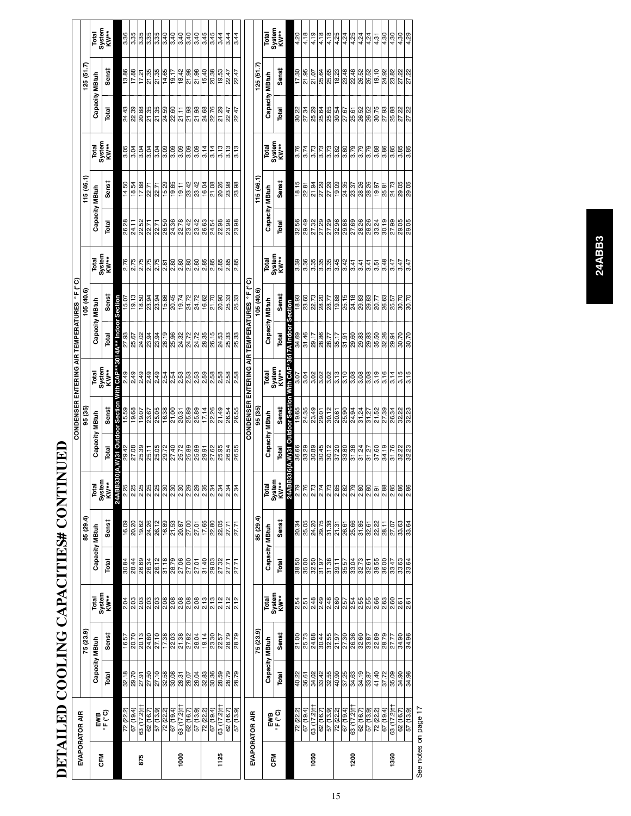|            | DETAILED COOLING CAPACITIES# CONTI |                       |                                                                                                                                                                                                                                                                                                                                                                                              |                         |                                                                                                             |                                                                                                                                             |                                   |                                                                                                                   |                                                                                                                                                                                                                                        | CONDENSER ENTERING AIR TEMPERATURES ºF (°C)                                         |                                             |                                                                                                                                                                                                                                                                                                                     |                                                             |       |                                                                                                                                                                                                                    |                                            |                                                                                                                                                                                                                                           |                                                                                                                                            |                          |
|------------|------------------------------------|-----------------------|----------------------------------------------------------------------------------------------------------------------------------------------------------------------------------------------------------------------------------------------------------------------------------------------------------------------------------------------------------------------------------------------|-------------------------|-------------------------------------------------------------------------------------------------------------|---------------------------------------------------------------------------------------------------------------------------------------------|-----------------------------------|-------------------------------------------------------------------------------------------------------------------|----------------------------------------------------------------------------------------------------------------------------------------------------------------------------------------------------------------------------------------|-------------------------------------------------------------------------------------|---------------------------------------------|---------------------------------------------------------------------------------------------------------------------------------------------------------------------------------------------------------------------------------------------------------------------------------------------------------------------|-------------------------------------------------------------|-------|--------------------------------------------------------------------------------------------------------------------------------------------------------------------------------------------------------------------|--------------------------------------------|-------------------------------------------------------------------------------------------------------------------------------------------------------------------------------------------------------------------------------------------|--------------------------------------------------------------------------------------------------------------------------------------------|--------------------------|
|            | EVAPORATOR AIR                     |                       | 75 (23.9)                                                                                                                                                                                                                                                                                                                                                                                    |                         |                                                                                                             | 85 (29.4)                                                                                                                                   |                                   |                                                                                                                   | 95 (35)                                                                                                                                                                                                                                |                                                                                     |                                             | 105 (40.6)                                                                                                                                                                                                                                                                                                          |                                                             |       | 115(46.1)                                                                                                                                                                                                          |                                            |                                                                                                                                                                                                                                           | (51.7)                                                                                                                                     |                          |
|            |                                    |                       | Capacity MBtuh                                                                                                                                                                                                                                                                                                                                                                               |                         | Capacity MBtuh                                                                                              |                                                                                                                                             |                                   | Capacity MBtuh                                                                                                    |                                                                                                                                                                                                                                        |                                                                                     | Capacity MBtuh                              |                                                                                                                                                                                                                                                                                                                     |                                                             |       | Capacity MBtuh                                                                                                                                                                                                     |                                            | Capacity MBtuh                                                                                                                                                                                                                            |                                                                                                                                            |                          |
| CFM        | ewa<br>F″C)                        | Total                 | Sens‡                                                                                                                                                                                                                                                                                                                                                                                        | Total<br>System<br>KW** | Total                                                                                                       | Sens‡                                                                                                                                       | Total<br>System<br>KW**           | Total                                                                                                             | Sens‡                                                                                                                                                                                                                                  | Total<br>System<br>KW**                                                             | Total                                       | Sens‡                                                                                                                                                                                                                                                                                                               | Total<br>System<br>KW**                                     | Total | Senst                                                                                                                                                                                                              | Total<br>System<br>KW**                    | Total                                                                                                                                                                                                                                     | Sens‡                                                                                                                                      | Total<br>System<br>KW**  |
|            |                                    |                       |                                                                                                                                                                                                                                                                                                                                                                                              |                         |                                                                                                             |                                                                                                                                             | 24ABB3:<br>2.25                   |                                                                                                                   |                                                                                                                                                                                                                                        | th CAP*                                                                             | <b>bul ** AP108</b>                         | Section                                                                                                                                                                                                                                                                                                             |                                                             |       |                                                                                                                                                                                                                    |                                            |                                                                                                                                                                                                                                           |                                                                                                                                            |                          |
|            | 72 (22.2)                          | 32.18                 | 16.57                                                                                                                                                                                                                                                                                                                                                                                        | 2.04                    | 30.84                                                                                                       | 16.09                                                                                                                                       |                                   |                                                                                                                   |                                                                                                                                                                                                                                        | 2.49                                                                                |                                             | 15.07                                                                                                                                                                                                                                                                                                               | 2.76                                                        | 26.28 | 14.50                                                                                                                                                                                                              | 3.05                                       | 24.43                                                                                                                                                                                                                                     | 13.86                                                                                                                                      | 3.36                     |
|            | 67 (19.4)                          | 29.70                 | 20.70                                                                                                                                                                                                                                                                                                                                                                                        | 2.03                    | $\frac{88887}{8887}$                                                                                        | 20.20<br>19.62<br>24.26                                                                                                                     | ရွှံရွှံရွှံရွ<br> မြွှံရွံရွှံရွ |                                                                                                                   | <br> အ  ၁  ၁  အ  ၁  ၁  အ  အ  ၁  အ  အ  အ<br> အ  ၁  ၁  အ  ၁  အ  အ  ၁  ၁  အ  အ  အ                                                                                                                                                         |                                                                                     |                                             | $\frac{1}{2}$ $\frac{1}{2}$ $\frac{1}{2}$ $\frac{1}{2}$ $\frac{1}{2}$ $\frac{1}{2}$ $\frac{1}{2}$ $\frac{1}{2}$ $\frac{1}{2}$ $\frac{1}{2}$ $\frac{1}{2}$ $\frac{1}{2}$ $\frac{1}{2}$ $\frac{1}{2}$ $\frac{1}{2}$ $\frac{1}{2}$ $\frac{1}{2}$ $\frac{1}{2}$ $\frac{1}{2}$ $\frac{1}{2}$ $\frac{1}{2}$ $\frac{1}{2}$ |                                                             |       | $\frac{1}{8}$ = $\frac{1}{8}$ = $\frac{1}{8}$ = $\frac{1}{8}$ = $\frac{1}{8}$ = $\frac{1}{8}$ = $\frac{1}{8}$ = $\frac{1}{8}$ = $\frac{1}{8}$ = $\frac{1}{8}$                                                      |                                            |                                                                                                                                                                                                                                           | $\frac{17.88}{17.21.35}$                                                                                                                   | 3.35                     |
| 875        | 63 (17.2) t                        | $\frac{27.91}{27.50}$ |                                                                                                                                                                                                                                                                                                                                                                                              |                         |                                                                                                             |                                                                                                                                             |                                   |                                                                                                                   |                                                                                                                                                                                                                                        |                                                                                     |                                             |                                                                                                                                                                                                                                                                                                                     |                                                             |       |                                                                                                                                                                                                                    |                                            |                                                                                                                                                                                                                                           |                                                                                                                                            |                          |
|            | 62 (16.7                           |                       | $\frac{25}{25}$                                                                                                                                                                                                                                                                                                                                                                              | $\frac{2.03}{2.03}$     |                                                                                                             |                                                                                                                                             |                                   |                                                                                                                   |                                                                                                                                                                                                                                        | ခု  ခု  ခု  န  န  န  န  န  န  န <br> မ  ခ  ခ  ခ  န  န  န  န  န  န  န<br> မ  ခ  ခ  ခ |                                             |                                                                                                                                                                                                                                                                                                                     | $\frac{275}{218}$                                           |       |                                                                                                                                                                                                                    | $rac{9}{9}$ $rac{9}{9}$ $rac{9}{9}$        |                                                                                                                                                                                                                                           |                                                                                                                                            | $\frac{3.35}{3.35}$      |
|            | 57 (13.9)                          | $\frac{10}{27.58}$    |                                                                                                                                                                                                                                                                                                                                                                                              | 2.03                    |                                                                                                             |                                                                                                                                             |                                   |                                                                                                                   |                                                                                                                                                                                                                                        |                                                                                     |                                             |                                                                                                                                                                                                                                                                                                                     | 2.75                                                        |       |                                                                                                                                                                                                                    | $\frac{3.09}{0.09}$                        |                                                                                                                                                                                                                                           | $\frac{21.35}{14.65}$                                                                                                                      | 3.35                     |
|            | 72 (22.2)                          |                       |                                                                                                                                                                                                                                                                                                                                                                                              | 2.08                    | 31.18                                                                                                       |                                                                                                                                             |                                   |                                                                                                                   |                                                                                                                                                                                                                                        |                                                                                     |                                             |                                                                                                                                                                                                                                                                                                                     | 2.81                                                        |       |                                                                                                                                                                                                                    |                                            |                                                                                                                                                                                                                                           |                                                                                                                                            | $\frac{3.40}{ }$         |
|            | 67(19.4)                           |                       |                                                                                                                                                                                                                                                                                                                                                                                              | $\frac{8}{208}$         | 28.79                                                                                                       | 26.12<br>16.89<br>21.53<br>20.87                                                                                                            | $\frac{2.30}{2.30}$               |                                                                                                                   |                                                                                                                                                                                                                                        |                                                                                     |                                             |                                                                                                                                                                                                                                                                                                                     |                                                             |       |                                                                                                                                                                                                                    | $\frac{8}{30}$                             |                                                                                                                                                                                                                                           |                                                                                                                                            | $\frac{40}{340}$         |
| 8          | H(2.71) 89                         | 28.31                 |                                                                                                                                                                                                                                                                                                                                                                                              |                         |                                                                                                             |                                                                                                                                             |                                   |                                                                                                                   |                                                                                                                                                                                                                                        |                                                                                     |                                             |                                                                                                                                                                                                                                                                                                                     |                                                             |       |                                                                                                                                                                                                                    |                                            |                                                                                                                                                                                                                                           |                                                                                                                                            |                          |
|            | 62(16.7)                           | 28.07                 |                                                                                                                                                                                                                                                                                                                                                                                              | 2.08                    | $\frac{27.00}{27.01}$                                                                                       |                                                                                                                                             | 2.29                              |                                                                                                                   |                                                                                                                                                                                                                                        |                                                                                     |                                             |                                                                                                                                                                                                                                                                                                                     |                                                             |       |                                                                                                                                                                                                                    | $\frac{80}{3}$                             |                                                                                                                                                                                                                                           |                                                                                                                                            | 3.40                     |
|            | 57 (13.9)                          | $\frac{8}{36}$        |                                                                                                                                                                                                                                                                                                                                                                                              | 2.08                    |                                                                                                             | $\frac{27.00}{27.01}$                                                                                                                       | 2.29                              |                                                                                                                   |                                                                                                                                                                                                                                        |                                                                                     |                                             |                                                                                                                                                                                                                                                                                                                     |                                                             |       |                                                                                                                                                                                                                    | $\frac{80}{3}$                             |                                                                                                                                                                                                                                           |                                                                                                                                            | $\frac{40}{340}$         |
|            |                                    |                       |                                                                                                                                                                                                                                                                                                                                                                                              | 2.13                    |                                                                                                             |                                                                                                                                             |                                   |                                                                                                                   |                                                                                                                                                                                                                                        |                                                                                     |                                             |                                                                                                                                                                                                                                                                                                                     |                                                             |       |                                                                                                                                                                                                                    | 3.14                                       |                                                                                                                                                                                                                                           |                                                                                                                                            |                          |
|            | $\frac{72 (22.2)}{67 (19.4)}$      |                       |                                                                                                                                                                                                                                                                                                                                                                                              | 2.13                    | 31.40                                                                                                       | $\frac{17.65}{22.80}$                                                                                                                       | $\frac{2.35}{2.34}$               |                                                                                                                   |                                                                                                                                                                                                                                        |                                                                                     |                                             |                                                                                                                                                                                                                                                                                                                     |                                                             |       |                                                                                                                                                                                                                    | 3.14                                       |                                                                                                                                                                                                                                           |                                                                                                                                            | $\frac{3.45}{3.45}$      |
| 1125       | 63 (17.2) H                        | 28.59                 | 22.57                                                                                                                                                                                                                                                                                                                                                                                        | 2.12                    | 27.32                                                                                                       | 22.05                                                                                                                                       | 2.34                              |                                                                                                                   |                                                                                                                                                                                                                                        | စ္က စ္က <br>လူလြယ                                                                   | ន <mark>្លា</mark> នូ<br>ង <mark>ន</mark> ន |                                                                                                                                                                                                                                                                                                                     | <br>  အ   အ   အ   အ   အ   အ  အ  <br> လ  လ  လ  လ  လ  လ  လ  လ |       | ဒူ ဒူ ဒ္ဓ ၶ န္ဓ ဓ္ဓ <br> အဆြံ  ဒ္ဓ ချွန္ဆ ဓ္တ <br> အဆြံ  ဒ္ဓ ချွန္ဆ                                                                                                                                                | 3.13                                       |                                                                                                                                                                                                                                           | ငြိမ်း ဖြစ်ခြံ<br> -<br> - မြို့အမြို့အမြို့                                                                                               | 3.44                     |
|            | $\frac{62(16.7)}{57(13.9)}$        | 28.79                 | 28.79                                                                                                                                                                                                                                                                                                                                                                                        | 2.12                    | 27.71                                                                                                       | 27.71                                                                                                                                       | $\frac{2.34}{2.34}$               |                                                                                                                   |                                                                                                                                                                                                                                        |                                                                                     |                                             |                                                                                                                                                                                                                                                                                                                     |                                                             |       |                                                                                                                                                                                                                    | 3.13                                       |                                                                                                                                                                                                                                           |                                                                                                                                            | 3.44                     |
|            |                                    | 28.79                 |                                                                                                                                                                                                                                                                                                                                                                                              | 2.12                    | 27.71                                                                                                       | 27.71                                                                                                                                       |                                   |                                                                                                                   |                                                                                                                                                                                                                                        |                                                                                     |                                             |                                                                                                                                                                                                                                                                                                                     |                                                             |       |                                                                                                                                                                                                                    | 3.13                                       |                                                                                                                                                                                                                                           |                                                                                                                                            | 3.44                     |
|            |                                    |                       |                                                                                                                                                                                                                                                                                                                                                                                              |                         |                                                                                                             |                                                                                                                                             |                                   |                                                                                                                   |                                                                                                                                                                                                                                        | CONDENSER ENTERING AIR TEMPERATURES ºF (°C)                                         |                                             |                                                                                                                                                                                                                                                                                                                     |                                                             |       |                                                                                                                                                                                                                    |                                            |                                                                                                                                                                                                                                           |                                                                                                                                            |                          |
|            | EVAPORATOR AIR                     |                       | 75 (23.9)                                                                                                                                                                                                                                                                                                                                                                                    |                         |                                                                                                             | 85 (29.4)                                                                                                                                   |                                   |                                                                                                                   | 95 (35)                                                                                                                                                                                                                                |                                                                                     |                                             | 05 (40.6)                                                                                                                                                                                                                                                                                                           |                                                             |       | 115(46.1)                                                                                                                                                                                                          |                                            |                                                                                                                                                                                                                                           | (51.7)                                                                                                                                     |                          |
|            |                                    |                       | Capacity MBtuh                                                                                                                                                                                                                                                                                                                                                                               |                         | Capacity MBtuh                                                                                              |                                                                                                                                             |                                   | Capacity MBtuh                                                                                                    |                                                                                                                                                                                                                                        |                                                                                     | Capacity MBtuh                              |                                                                                                                                                                                                                                                                                                                     |                                                             |       | Capacity MBtuh                                                                                                                                                                                                     |                                            | Capacity MBtuh                                                                                                                                                                                                                            |                                                                                                                                            |                          |
| <b>CFM</b> | PWB<br>°F(°C)                      |                       |                                                                                                                                                                                                                                                                                                                                                                                              |                         |                                                                                                             |                                                                                                                                             |                                   |                                                                                                                   |                                                                                                                                                                                                                                        |                                                                                     |                                             |                                                                                                                                                                                                                                                                                                                     |                                                             |       |                                                                                                                                                                                                                    |                                            |                                                                                                                                                                                                                                           |                                                                                                                                            |                          |
|            |                                    | Total                 | Sens‡                                                                                                                                                                                                                                                                                                                                                                                        | Total<br>System<br>KW** | Total                                                                                                       | Sens‡                                                                                                                                       | Total<br>System<br>KW**           | Total                                                                                                             | Sens‡                                                                                                                                                                                                                                  | Total<br>System<br>KW**                                                             | Total                                       | Sens‡                                                                                                                                                                                                                                                                                                               | Total<br>System<br>KW**                                     | Total | Senst                                                                                                                                                                                                              | Total<br>System<br>KW**                    | Total                                                                                                                                                                                                                                     | Sens‡                                                                                                                                      | Total<br>System<br>KW**  |
|            |                                    |                       |                                                                                                                                                                                                                                                                                                                                                                                              |                         |                                                                                                             |                                                                                                                                             | 24ABI                             | 3336(A,W)31 Outdoor Section                                                                                       |                                                                                                                                                                                                                                        | With CAP*3617A Indoor                                                               |                                             | Section                                                                                                                                                                                                                                                                                                             |                                                             |       |                                                                                                                                                                                                                    |                                            |                                                                                                                                                                                                                                           |                                                                                                                                            |                          |
|            | 72 (22.2)                          | 40.22                 |                                                                                                                                                                                                                                                                                                                                                                                              | $\frac{2.54}{2.51}$     | 38.50                                                                                                       |                                                                                                                                             |                                   |                                                                                                                   |                                                                                                                                                                                                                                        |                                                                                     |                                             |                                                                                                                                                                                                                                                                                                                     |                                                             |       |                                                                                                                                                                                                                    | 3.76                                       |                                                                                                                                                                                                                                           |                                                                                                                                            | 4.20                     |
|            | (19.4)                             | 36.61                 |                                                                                                                                                                                                                                                                                                                                                                                              |                         |                                                                                                             |                                                                                                                                             |                                   |                                                                                                                   |                                                                                                                                                                                                                                        |                                                                                     |                                             |                                                                                                                                                                                                                                                                                                                     |                                                             |       |                                                                                                                                                                                                                    | 3.74                                       |                                                                                                                                                                                                                                           |                                                                                                                                            | 4.18                     |
| 1050       | 63 (17.2) <sup>+</sup><br>62 (16.7 | 34.02                 | $\frac{218}{218}$                                                                                                                                                                                                                                                                                                                                                                            | $\frac{48}{248}$        | $\frac{50}{31.5}$                                                                                           | $\frac{2}{3}$ $\frac{1}{3}$ $\frac{1}{3}$ $\frac{1}{3}$ $\frac{1}{3}$ $\frac{1}{3}$ $\frac{1}{3}$ $\frac{1}{3}$ $\frac{1}{3}$ $\frac{1}{3}$ |                                   | នី និង មី ដូ ន្រី នី នី ដូ ដូ នី ដូ នី ដូ នី នី នី នី<br>នី នី នី នី នី នី នី នី នី ដូ នី នី នី នី នី នី នី នី នី | <u>ន នាង ១ ដ្ឋា ។ នាង ១ ដ្ឋា ។ នាង ១ ដ្ឋា</u><br>ខ្មែរ ៥ ដ្ឋា ៥ ដ្ឋា ២ ដ្ឋា ៥ ដ្ឋា ២ ដ្ឋា ៥ ដ្ឋា ៥ ដ្ឋា ៥ ដ្ឋា ៥ ដ្ឋា<br>ខ្មែរ ៥ ដ្ឋា ២ ដ្ឋា ២ ដ្ឋា ២ ដ្ឋា ២ ដ្ឋា ២ ដ្ឋា ២ ដ្ឋា ២ ដ្ឋា ២ ដ្ឋា ២ ដ្ឋា ២ ដ្ឋា ២ ដ្ឋា ២ ដ្ឋា ២ ដ្ឋា ២ ដ្ឋ | 9<br>19888<br>2988                                                                  |                                             |                                                                                                                                                                                                                                                                                                                     | အိုမြို့<br>အိုမြို့ အိုမြို့                               |       | <u>is la sis la sis la sis la sis la sis</u><br>la sis la sis la sis la sis la sis la sis la sis<br>la sis la sis la sis la sis la sis la sis la sis la sis la sis la sis la sis la sis la sis la sis la sis la si | $\frac{8}{15}$                             | <u>30.23</u><br>20.34 30.35 30.55 30.55 30.55 30.55 30.55 30.55 30.55 30.55 30.55 30.55 30.55 30.55 30.55 30.55 30.55 30.55 30<br>30.55 30.55 30.55 30.55 30.55 30.55 30.55 30.55 30.55 30.55 30.55 30.55 30.55 30.55 30.55 30.55 30.55 3 | ក <u>ដា ដា ង ង ង ង ង ង ង ង ង ង ង ង ង ង</u><br>ក <u>ដា ដា ង ង ង ង ង ង ង ង ង ង ង ង ង ង ង ង</u><br>ក <u>ដា ដា ង ង ង ង ង ង ង ង ង ង ង ង ង ង</u> | $\frac{4.19}{ }$<br>4.18 |
|            | 57(13.9)                           | 33.42                 |                                                                                                                                                                                                                                                                                                                                                                                              | $\frac{49}{248}$        |                                                                                                             |                                                                                                                                             |                                   |                                                                                                                   |                                                                                                                                                                                                                                        |                                                                                     |                                             |                                                                                                                                                                                                                                                                                                                     |                                                             |       |                                                                                                                                                                                                                    |                                            |                                                                                                                                                                                                                                           |                                                                                                                                            | 4.18                     |
|            |                                    |                       |                                                                                                                                                                                                                                                                                                                                                                                              | 2.60                    |                                                                                                             |                                                                                                                                             |                                   |                                                                                                                   |                                                                                                                                                                                                                                        |                                                                                     |                                             |                                                                                                                                                                                                                                                                                                                     |                                                             |       |                                                                                                                                                                                                                    |                                            |                                                                                                                                                                                                                                           |                                                                                                                                            |                          |
|            | $\frac{72 (22.2)}{67 (19.4)}$      | $\frac{40.90}{37.80}$ | $\frac{1}{2} \frac{1}{1} \frac{1}{2} \frac{1}{2} \frac{1}{2} \frac{1}{2} \frac{1}{2} \frac{1}{2} \frac{1}{2} \frac{1}{2} \frac{1}{2} \frac{1}{2} \frac{1}{2} \frac{1}{2} \frac{1}{2} \frac{1}{2} \frac{1}{2} \frac{1}{2} \frac{1}{2} \frac{1}{2} \frac{1}{2} \frac{1}{2} \frac{1}{2} \frac{1}{2} \frac{1}{2} \frac{1}{2} \frac{1}{2} \frac{1}{2} \frac{1}{2} \frac{1}{2} \frac{1}{2} \frac{$ |                         | $\frac{1}{\frac{1}{8}}\frac{1}{\frac{1}{8}}\frac{1}{\frac{1}{8}}\frac{1}{\frac{1}{8}}\frac{1}{\frac{1}{8}}$ | $\frac{1}{3}$ ត្ត <mark>ន</mark> ន ន ន ន<br>ក្តី ន ន ន ន ន ន ន                                                                              |                                   |                                                                                                                   |                                                                                                                                                                                                                                        | 3.13                                                                                |                                             |                                                                                                                                                                                                                                                                                                                     | $\frac{3.45}{3.42}$                                         |       |                                                                                                                                                                                                                    | $\frac{8}{36}$ $\frac{8}{3}$ $\frac{8}{3}$ |                                                                                                                                                                                                                                           |                                                                                                                                            | $\frac{4.8}{4.24}$       |
| 1200       | 63 (17.2) H                        |                       |                                                                                                                                                                                                                                                                                                                                                                                              |                         |                                                                                                             |                                                                                                                                             |                                   |                                                                                                                   |                                                                                                                                                                                                                                        | $\frac{8}{3}$                                                                       |                                             |                                                                                                                                                                                                                                                                                                                     | 3.41                                                        |       |                                                                                                                                                                                                                    |                                            |                                                                                                                                                                                                                                           |                                                                                                                                            |                          |
|            | 62 (16.7)                          | $\frac{9}{34.19}$     |                                                                                                                                                                                                                                                                                                                                                                                              |                         |                                                                                                             |                                                                                                                                             |                                   |                                                                                                                   |                                                                                                                                                                                                                                        | $\frac{8}{3}$                                                                       |                                             |                                                                                                                                                                                                                                                                                                                     | 3.41                                                        |       |                                                                                                                                                                                                                    | 3.79                                       |                                                                                                                                                                                                                                           |                                                                                                                                            | 4.24                     |
|            | $rac{57(13.9)}{72(22.2)}$          | $\frac{33.87}{41.40}$ |                                                                                                                                                                                                                                                                                                                                                                                              |                         | $\frac{8.61}{8.56}$ $\frac{8.56}{8.00}$                                                                     |                                                                                                                                             | $\frac{8}{2.91}$                  |                                                                                                                   |                                                                                                                                                                                                                                        | $\frac{8}{3.19}$                                                                    |                                             |                                                                                                                                                                                                                                                                                                                     | 3.51                                                        |       |                                                                                                                                                                                                                    | $\frac{8}{3.88}$                           |                                                                                                                                                                                                                                           |                                                                                                                                            | $\frac{4.24}{4.31}$      |
|            |                                    |                       |                                                                                                                                                                                                                                                                                                                                                                                              |                         |                                                                                                             |                                                                                                                                             |                                   |                                                                                                                   |                                                                                                                                                                                                                                        |                                                                                     |                                             |                                                                                                                                                                                                                                                                                                                     |                                                             |       |                                                                                                                                                                                                                    |                                            |                                                                                                                                                                                                                                           |                                                                                                                                            |                          |
|            | 67(19.4)                           | 37.72                 | 28.79                                                                                                                                                                                                                                                                                                                                                                                        | $\frac{2.63}{2.60}$     |                                                                                                             | 28.11                                                                                                                                       |                                   |                                                                                                                   |                                                                                                                                                                                                                                        | $\frac{16}{3.14}$                                                                   |                                             |                                                                                                                                                                                                                                                                                                                     | 3.48                                                        |       |                                                                                                                                                                                                                    |                                            |                                                                                                                                                                                                                                           |                                                                                                                                            | 4.30                     |
| 1350       | -1(2'21) 89                        | 35.09                 | 27.77                                                                                                                                                                                                                                                                                                                                                                                        |                         |                                                                                                             | 27.07                                                                                                                                       |                                   |                                                                                                                   |                                                                                                                                                                                                                                        |                                                                                     |                                             |                                                                                                                                                                                                                                                                                                                     | 3.47                                                        |       |                                                                                                                                                                                                                    | န္ကုန္ကုန္ကုန္တု<br>နြစ္လုန္ကုန္           |                                                                                                                                                                                                                                           |                                                                                                                                            | 4.30                     |
|            | $\frac{62(16.7)}{57(13.9)}$        | 34.96                 | 34.96                                                                                                                                                                                                                                                                                                                                                                                        | 2.61                    | 33.64                                                                                                       | 33.64                                                                                                                                       |                                   |                                                                                                                   |                                                                                                                                                                                                                                        | $3.15$<br>$3.15$                                                                    |                                             |                                                                                                                                                                                                                                                                                                                     | $3.47$<br>$3.47$                                            |       |                                                                                                                                                                                                                    |                                            |                                                                                                                                                                                                                                           |                                                                                                                                            | $\frac{30}{4.29}$        |
|            |                                    |                       |                                                                                                                                                                                                                                                                                                                                                                                              | 2.61                    |                                                                                                             |                                                                                                                                             |                                   |                                                                                                                   |                                                                                                                                                                                                                                        |                                                                                     |                                             |                                                                                                                                                                                                                                                                                                                     |                                                             |       |                                                                                                                                                                                                                    |                                            |                                                                                                                                                                                                                                           |                                                                                                                                            |                          |

| $\frac{1}{2}$  |  |
|----------------|--|
|                |  |
| <br> <br>      |  |
|                |  |
|                |  |
|                |  |
|                |  |
| おんく こくにしにしく こん |  |
|                |  |
|                |  |
|                |  |
|                |  |
|                |  |
|                |  |
|                |  |
|                |  |
|                |  |
|                |  |
|                |  |
|                |  |
|                |  |
|                |  |
|                |  |
|                |  |
|                |  |
|                |  |
| こく ていにんくくて イート |  |
|                |  |
|                |  |
|                |  |
|                |  |

See notes on page 17

See notes on page 17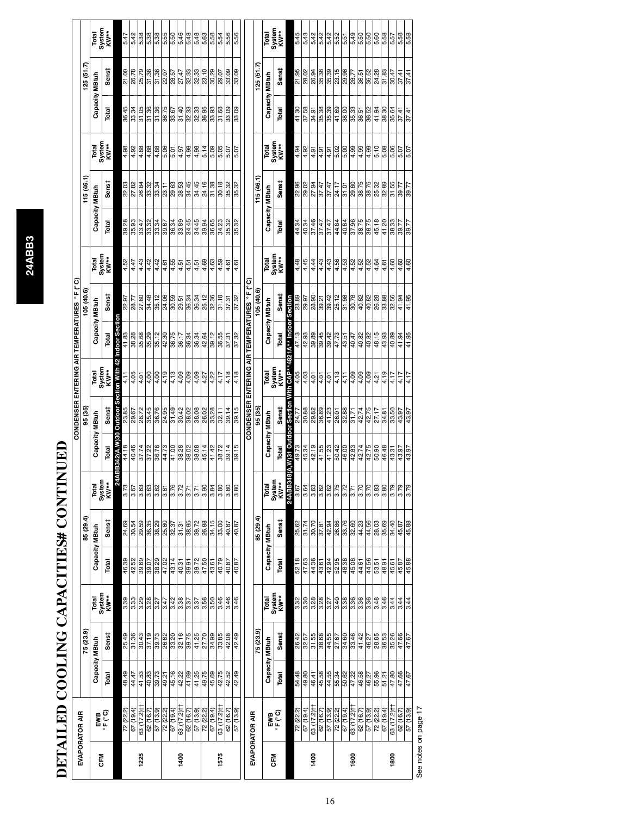# DETAILED COOLING CAPACITIES# CONTINUED **DETAILED COOLING CAPACITIES# CONTINUED**

|                                             |           | Total                   | System<br>KW**                  |                         | 5.47      | 5.42      | 5.38                                | 5.38      | 5.38             | 5.55                                                                                                                                                                 | 5.50          | 5.46                                                                                                                                                                                                                                                                                                                                                                                                     | 5.48             | 5.48                    | 5.63     | 5.58      | 5.54                   | 5.56                  | 5.56                    |                                             |           | Total          | System<br>KW**                  |                                 | 5.45                        | 5.43  | 5.42                | 5.42                  | 5.42              | 5.52               | 5.51     | 5.49                  | 5.50             | 5.50     | 5.60                | 5.58           | 5.57                   | 5.58<br>5.58          |           |
|---------------------------------------------|-----------|-------------------------|---------------------------------|-------------------------|-----------|-----------|-------------------------------------|-----------|------------------|----------------------------------------------------------------------------------------------------------------------------------------------------------------------|---------------|----------------------------------------------------------------------------------------------------------------------------------------------------------------------------------------------------------------------------------------------------------------------------------------------------------------------------------------------------------------------------------------------------------|------------------|-------------------------|----------|-----------|------------------------|-----------------------|-------------------------|---------------------------------------------|-----------|----------------|---------------------------------|---------------------------------|-----------------------------|-------|---------------------|-----------------------|-------------------|--------------------|----------|-----------------------|------------------|----------|---------------------|----------------|------------------------|-----------------------|-----------|
|                                             | 125(51.7) |                         | Senst                           |                         | 21.00     | 26.78     | 25.79                               |           | 31.36            | 22.57                                                                                                                                                                |               | $\frac{17}{12} \times 10^{-10} \times 10^{-10} \times 10^{-10} \times 10^{-10} \times 10^{-10} \times 10^{-10} \times 10^{-10} \times 10^{-10} \times 10^{-10} \times 10^{-10} \times 10^{-10} \times 10^{-10} \times 10^{-10} \times 10^{-10} \times 10^{-10} \times 10^{-10} \times 10^{-10} \times 10^{-10} \times 10^{-10} \times 10^{-10} \times 10^{-10} \times 10^{-10} \times 10^{-10} \times 1$ |                  |                         |          | 80.29     | 29.07                  | 83.09                 | 33.09                   |                                             | (51.7)    |                | Sens‡                           |                                 | 21.95                       | 28.02 | 26.94               | 35.38                 | 35.39             | $\frac{15}{29.98}$ |          | $\frac{28.77}{36.51}$ |                  |          | 8<br>8 8 8<br>8 4 5 |                | 30.47                  | $\frac{37.41}{37.41}$ |           |
|                                             |           | Capacity MBtuh          | Total                           |                         | 36.45     | 33.34     | $\frac{31.05}{31.36}$               |           | 31.36            | 36.75                                                                                                                                                                | 33.67         | $\frac{91.40}{ }$                                                                                                                                                                                                                                                                                                                                                                                        |                  | အ  <br> အ  အ  <br> အ  အ |          | 33.93     | 31.68                  | 33.09                 | 33.09                   |                                             |           | Capacity MBtuh | Total                           |                                 | 41.30                       | 87.58 | 34.91               | 35.38                 | 35.39             | 41.69              | 38.00    | $\frac{35.33}{36.51}$ |                  | 36.52    | 41.94               |                | 35.64                  | 37.41                 | 37.41     |
|                                             |           | Total<br>System<br>KW** |                                 |                         | 4.98      | 4.92      | $\frac{4.88}{4.88}$                 |           | 4.88             | 5.06                                                                                                                                                                 | 5.01          | $\sqrt{6.4}$                                                                                                                                                                                                                                                                                                                                                                                             | 4.98             | 4.98                    | 5.14     | 5.09      | 5.05                   | 5.07                  | 5.07                    |                                             |           |                | Total<br>System<br>KW**         |                                 | 4.94                        | 4.92  | 4.91                | 4.91                  | 4.91              | 5.02               | 5.00     | $\frac{36}{4.99}$     |                  | 4.99     | 5.10                | 5.08           | 5.06                   | 5.07                  | 5.07      |
|                                             | 115(46.1) |                         | Sens#                           |                         | 22.03     | 27.82     | 26.84<br>33.32                      |           | 33.34            | 23.11                                                                                                                                                                | 29.63         | 28.53<br>34.45                                                                                                                                                                                                                                                                                                                                                                                           |                  | 34.45                   |          | 31.38     | 30.18                  | 35.32                 | 35.32                   |                                             | 115(46.1) |                | Senst                           |                                 | 22.96<br>29.02              |       | 27.94               | 37.47                 | 87.47             | 24.17              | 31.01    | 29.75                 |                  | 38.75    | 25.32               | 32.89          | 31.55                  | 39.77                 | 89.77     |
|                                             |           | Capacity MBtuh          | Total                           |                         | 39.28     | 35.93     |                                     |           |                  | $\frac{12}{3}$ $\frac{12}{3}$ $\frac{12}{3}$ $\frac{12}{3}$ $\frac{12}{3}$ $\frac{12}{3}$ $\frac{12}{3}$ $\frac{12}{3}$ $\frac{12}{3}$ $\frac{12}{3}$ $\frac{12}{3}$ |               | 33.89                                                                                                                                                                                                                                                                                                                                                                                                    |                  | 34.45<br>34.45<br>39.34 |          | 36.65     | 34.23                  | 35.32                 | 35.32                   |                                             |           | Capacity MBtuh | Total                           |                                 | 44.34                       | 40.34 | 37.46               |                       | $\frac{37.47}{ }$ | 44.84              | 40.84    | 37.96<br>38.75        |                  | 38.75    | 45.18               | 41.20          | 38.33                  | 39.77                 | 89.77     |
|                                             |           | Total<br>System<br>KW** |                                 |                         | 4.52      | 4.47      | $\frac{4.43}{4.42}$                 |           | 4.42             | $\frac{4.61}{ }$                                                                                                                                                     | 4.55          | $\frac{4.51}{ }$                                                                                                                                                                                                                                                                                                                                                                                         | 4.51             | $\frac{4.51}{4.69}$     |          | 4.63      | 4.59                   | 4.61                  | 4.61                    |                                             |           |                | Total<br>System<br>KW**         |                                 | 4.48                        | 4.45  | 4.44                | 4.43                  | 4.43              | 4.56               | 4.53     | $4.52$<br>$4.52$      |                  | 4.52     | 4.64                | 4.61           | 4.60                   | 4.60                  | 4.60      |
|                                             | 05 (40.6) |                         | Sens‡                           |                         | 22.97     | 28.77     | 27.80<br>34.48                      |           |                  | 35.12                                                                                                                                                                | 30.59         | $\frac{5}{8}$ $\frac{3}{8}$ $\frac{3}{8}$ $\frac{1}{8}$ $\frac{1}{8}$                                                                                                                                                                                                                                                                                                                                    |                  |                         |          | 32.36     | 31.18                  | 37.31                 | 37.32                   | CONDENSER ENTERING AIR TEMPERATURES °F (°C) | (40.6)    | Capacity MBtuh | Sens‡                           | Section                         | 23.89<br>29.97              |       | 28.90               | 39.21                 | 39.42             | 25.12              | 86'13    | $\frac{8}{10.82}$     |                  | 40.82    | 26.28               | 33.88          | 32.56                  | 41.94                 | 41.95     |
| CONDENSER ENTERING AIR TEMPERATURES °F (°C) |           | Capacity MBtuh          | Total                           | sction<br>ndoor Se      | 41.83     | 38.28     | 35.68                               |           |                  | $\frac{35.75}{42.75}$                                                                                                                                                |               | 36.17                                                                                                                                                                                                                                                                                                                                                                                                    |                  | $\frac{36.34}{42.64}$   |          | 39.12     | 36.55                  | 37.31                 | 37.32                   |                                             |           |                | Total                           | <b>A* Indoor</b>                | $rac{47.13}{42.93}$         |       | 39.89               | $\frac{39.45}{39.42}$ |                   | 47.73              | 43.51    | 40.47                 |                  | 40.82    | 48.15               | 43.93          | 40.89                  | 41.94                 | 41.95     |
|                                             |           | Total<br>System<br>KW** |                                 | ion With                | 4.11      |           | $rac{4}{6}$ $rac{4}{6}$ $rac{4}{6}$ |           | $\frac{4.00}{4}$ | 4.19                                                                                                                                                                 | 4.13          | $\frac{4.09}{ }$                                                                                                                                                                                                                                                                                                                                                                                         | $\frac{4.09}{ }$ | $\frac{4.27}{4.27}$     |          | 4.22      | 4.17                   | 4.18                  | 4.18                    |                                             |           |                | Total<br>System<br>KW**         | ith CAP**                       | 4.05                        |       | 4.01                | 4.01                  | $\frac{4.01}{4}$  | 4.13               | 4.11     | 4.09                  | $\frac{4.09}{ }$ | 4.09     | 4.21                | 4.19           | 4.17                   | 4.17                  | 4.17      |
|                                             | 95 (35)   | Capacity MBtuh          | Sens‡                           |                         | 23.85     | 29.67     | 28.72<br>35.45<br>36.76             |           |                  | 24.95                                                                                                                                                                | 81.49         | $\frac{30.42}{5}$                                                                                                                                                                                                                                                                                                                                                                                        | 38.02            | 38.08                   |          | 33.28     | $\frac{32.11}{39.14}$  |                       | 39.15                   |                                             | 95 (35)   | Capacity MBtuh | Sens‡                           |                                 | 24.7                        | 30.88 | 29.82               |                       | 41.23             | 26.01              | 32.88    | 31.71                 | 42.74            | 42.75    | 27.17               | 34.81          | 33.50                  | 43.97                 | 43.97     |
|                                             |           |                         | Total                           | 24ABB342(A,W)30 Outdoor | 44.18     | 40.46     |                                     |           |                  | $\frac{874}{5728}$<br>$\frac{878}{5728}$                                                                                                                             | 41.00         | 38.28                                                                                                                                                                                                                                                                                                                                                                                                    |                  | $\frac{38.08}{45.14}$   |          | 41.42     |                        | $\frac{38.72}{39.15}$ |                         |                                             |           |                | Total                           | 24ABB348(A,W)31 Outdoor Section | 49.73<br>45.34              |       | 42.19               | $\frac{41.55}{41.23}$ |                   | 50.42              | 46.00    | $\frac{42.83}{42.74}$ |                  |          | 42.75<br>50.90      | 46.48          | 43.31                  | 43.97                 | 43.97     |
|                                             |           | Total<br>System<br>KW** |                                 |                         | 3.73      | 3.67      | 3.63                                |           | $rac{88}{360}$   |                                                                                                                                                                      | $\frac{8}{3}$ | $\frac{72}{3.72}$                                                                                                                                                                                                                                                                                                                                                                                        | $\overline{3.7}$ | ¦ञे                     | 3.90     | 3.84      | $\frac{8}{3}$          | $\frac{8}{3}$         | $\overline{\text{3.8}}$ |                                             |           |                | Total<br>System<br>KW**         |                                 | 3.67                        | 3.64  | $\frac{3.62}{3.62}$ |                       | 3.62              | $rac{75}{3.72}$    |          | 3.71                  | $\frac{370}{2}$  | 3.70     | 3.83                | $\frac{80}{3}$ | $\frac{5}{3}$          | 3.75                  |           |
|                                             | 85 (29.4) | Capacity MBtuh          | Sens‡                           |                         | 24.69     | 30.54     | 29.59<br>36.35                      |           | 38.29            | 25.80                                                                                                                                                                | 32.37         | 31.31                                                                                                                                                                                                                                                                                                                                                                                                    | 38.85            | 39.72                   | 26.88    | 34.15     | 33.00                  | 40.87                 | 40.87                   |                                             | 85 (29.4) | Capacity MBtuh | Sens‡                           |                                 | 25.62                       | 31.74 | 30.70               | 37.81                 | 42.94             | 26.86              | 33.76    | $\frac{32}{4}$        |                  |          | 44.56               | 35.69          | 34.40                  | 45.87                 | 45.88     |
|                                             |           |                         | Total                           |                         | 46.39     | 42.52     | $\frac{8000}{3900}$                 |           |                  | 47.02                                                                                                                                                                | 43.14         | $\frac{40.31}{39.91}$                                                                                                                                                                                                                                                                                                                                                                                    |                  | 39.72                   | 47.50    | 43.61     | 40.79                  | 40.87                 | 40.87                   |                                             |           |                | Total                           |                                 | $rac{52.18}{47.63}$         |       | 44.36               | 43.61                 | 42.94             | 52.95              | 48.38    | $\frac{45.08}{44.61}$ |                  |          | 44.56<br>53.51      | 48.91          | 45.61                  | 45.87                 | 45.88     |
|                                             |           | Total<br>System<br>KW** |                                 |                         | 3.39      | 3.33      | $\frac{8}{3.28}$                    |           | 3.27             | 3.47                                                                                                                                                                 | 3.42          | 3.38                                                                                                                                                                                                                                                                                                                                                                                                     | 3.37             | $\frac{3.37}{ }$        | 3.56     | 3.50      | 3.46                   | 3.46                  | 3.46                    |                                             |           |                | Total<br>System<br>KW**         |                                 | 3.32                        | 3.30  | 3.28                | 3.28                  | 3.27              | 3.40               | 3.38     | $\frac{8}{3.36}$      |                  | 3.36     | 84.8                | 3.46           | 3.44                   | 3.44                  | 3.44      |
|                                             | 75 (23.9) | Capacity MBtuh          | Sens‡                           |                         | 25.49     | 31.36     | 30.43                               | 37.19     | 39.73            | 26.62                                                                                                                                                                | 33.20         | $\frac{16}{39.75}$                                                                                                                                                                                                                                                                                                                                                                                       |                  | $\frac{41.25}{27.70}$   |          | 84.99     | 33.85                  | 42.08                 | 42.49                   |                                             | 75 (23.9) | Capacity MBtuh | Sens‡                           |                                 | 26.42                       | 32.57 | 31.55               | 38.68                 | 44.55             | 27.67              | 34.60    | 33.46                 | 41.42            | 46.27    | 28.85               | 36.53          | 35.26                  | 47.66                 | 47.67     |
|                                             |           |                         | Total                           |                         | 48.49     | 44.47     | $\frac{41.53}{40.83}$               |           | 39.73            | 49.21                                                                                                                                                                | 45.16         | 42.22                                                                                                                                                                                                                                                                                                                                                                                                    | 41.69            | $\frac{41.25}{49.75}$   |          | 45.69     | 42.75                  | 42.52                 | 42.49                   |                                             |           |                | Total                           |                                 | 54.48                       |       | 46.41               | 45.58                 | 44.55             | 55.34              | 50.62    | $\frac{47.22}{46.58}$ |                  | 46.27    | 55.96               | 51.21          | 47.80                  | 47.66                 | 47.67     |
|                                             |           |                         | $\sum_{\alpha \in \mathcal{K}}$ |                         | 72 (22.2) | 67 (19.4) | 63 (17.2)                           | 62 (16.7) | 57(13.9)         | 72(22.2)                                                                                                                                                             | 67(19.4)      | -1(2.71) 69                                                                                                                                                                                                                                                                                                                                                                                              | 62 (16.7)        | 57 (13.9)               | 72(22.2) | 67 (19.4) | 63 (17.2) <sup>+</sup> | 62 (16.7)             | 57 (13.9)               |                                             |           |                | $\sum_{\alpha \in \mathcal{K}}$ |                                 | $\frac{72(22.2)}{67(19.4)}$ |       | 63 (17.2) H         | 62 (16.7)             | 57(13.9)          | 72(22.2)           | 67(19.4) | 63 (17.2) H           | 62 (16.7)        | 57(13.9) | 72(22.2)            | 67(19.4)       | 63 (17.2) <sup>+</sup> | 62 (16.7)             | 57 (13.9) |
| EVAPORATOR AIR                              |           | <b>SFM</b>              |                                 |                         |           |           | 1225                                |           |                  |                                                                                                                                                                      |               | 1400                                                                                                                                                                                                                                                                                                                                                                                                     |                  |                         |          |           | 1575                   |                       |                         | EVAPORATOR AIR                              |           | ᅙ              |                                 |                                 |                             |       | 1400                |                       |                   |                    |          | 1600                  |                  |          |                     |                | 1800                   |                       |           |

See notes on page 17 See notes on page 17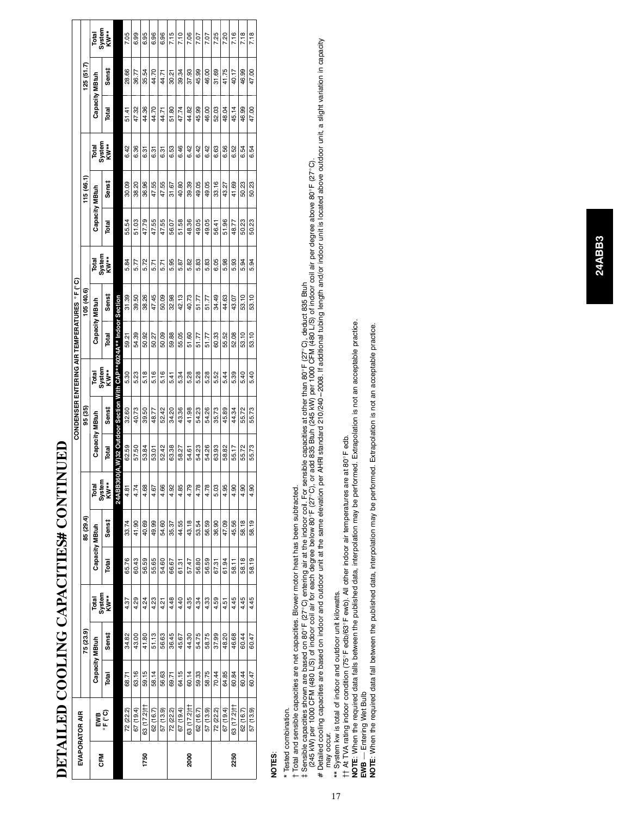|            |                |                |           |                         |                |           |                |                |         | <b>CONDENSER ENTERING AIR TEMPERATURES ºF(°C)</b>                |                |            |                 |                |           |                |                |           |                |
|------------|----------------|----------------|-----------|-------------------------|----------------|-----------|----------------|----------------|---------|------------------------------------------------------------------|----------------|------------|-----------------|----------------|-----------|----------------|----------------|-----------|----------------|
|            | EVAPORATOR AIR |                | 75 (23.9) |                         |                | 85 (29.4) |                |                | 95 (35) |                                                                  |                | 105 (40.6) |                 |                | 115(46.1) |                |                | (51.7)    |                |
| <b>N</b> E |                | Capacity MBtuh |           | Total<br>System<br>KW** | Capacity MBtuh |           | Total          | Capacity MBtuh |         | System<br>Total                                                  | Capacity MBtuh |            | System<br>Total | Capacity MBtuh |           | Total          | Capacity MBtuh |           | Total          |
|            | ະ⊾ະ<br>⊑wa     | Total          | Sens‡     |                         | Total          | Sens‡     | System<br>KW** | Total          | Sens‡   | $KW^{**}$                                                        | Total          | Sens‡      | <b>KW**</b>     | Total          | Senst     | System<br>KW** | Total          | Sens‡     | System<br>KW** |
|            |                |                |           |                         |                |           | <b>24ABB36</b> |                |         | <b>J(A,W)32 Outdoor Section With CAP**6024A** Indoor Section</b> |                |            |                 |                |           |                |                |           |                |
|            | 72 (22.2)      | 68.71          | 34.82     | 4.37                    | 65.76          | 33.74     | 4.81           | 62.59          | 32.60   | 8<br>ທ່                                                          | 59.21          | 31.39      | 5.84            | 55.54          | 30.09     | 6.42           | 51.41          | 28.66     | 7.05           |
|            | 67 (19.4)      | 63.16          | 43.00     | 4.29                    | 60.43          | 41.90     | 4.74           | 57.50          | 40.73   | g<br>ທ່                                                          | 54.39          | 39.50      | 5.77            | 51.03          | 38.20     | 6.36           | 47.32          | 36.77     | 6.99           |
| 1750       | 63 (17.2) ††   | 59.15          | 41.80     | 4.24                    | 56.59          | 40.69     | 4.68           | 53.84          | 39.50   | 5.18                                                             | 50.92          | 38.26      | 5.72            | 47.79          | 36.96     | 6.31           | 44.36          | 54<br>35. | 6.95           |
|            | 62 (16.7)      | 58.14          | 51.13     | 4.23                    | 55.65          | 49.99     | 4.67           | 53.01          | 48.77   | 5.16                                                             | 50.27          | 47.45      | 5.71            | 47.55          | 47.55     | 6.31           | 44.70          | 44.70     | 6.96           |
|            | 57 (13.9)      | 56.63          | 56,63     | 4.21                    | 54.60          | 54,60     | 4.66           | 52.42          | 52.42   | 5.16                                                             | 50.09          | 50.09      | 5.71            | 47.55          | 47.55     | 6.31           | 44.71          | 44.71     | 6.96           |
|            | 72 (22.2)      | 69.71          | 36.45     | 4.48                    | 66.67          | 35.37     | 4.92           | 63.38          | 34.20   | 5.41                                                             | 59.88          | 32.98      | 5.95            | 56.07          | 31.67     | 6.53           | 51.80          | 30.21     | 7.15           |
|            | 67 (19.4)      | 64.15          | 45.67     | 4.40                    | 61.31          | 44.55     | 4.85           | 58.27          | 43.36   | 5.34                                                             | 55.05          | 42.13      | 5.87            | 51.58          | 40.80     | 6.46           | 47.74          | 34<br>99  | 7.10           |
| 2000       | 63 (17.2) H    | 60.14          | 44.30     | 4.35                    | 57.47          | 43.18     | 4.79           | 54.61          | 41.98   | 8<br>ທ່                                                          | 80<br>51.      | 40.73      | 5.82            | 48.36          | 39.39     | 6.42           | 44.82          | 8<br>57.  | 7.06           |
|            | 62 (16.7)      | 59.33          | 54.75     | 4.34                    | 56.80          | 53.54     | 4.78           | 54.23          | 54.23   | 5.28                                                             | 51.77          | 51.77      | 5.83            | 49.05          | 49.05     | 6.42           | 45.99          | 45.99     | 7.07           |
|            | 57 (13.9)      | 58.75          | 58.75     | 4.33                    | 56.59          | 56.59     | 4.78           | 54.26          | 54.26   | 5.28                                                             | 51.77          | 51.77      | 5.83            | 49.05          | 49.05     | 6.42           | 46.00          | 46.00     | 7.07           |
|            | 72 (22.2)      | 70.44          | 37.99     | 4.59                    | 67.31          | 36.90     | 5.03           | 63.93          | 35.73   | S <sub>3</sub><br>ທ່                                             | 60.33          | 34.49      | 6.05            | 56.41          | 33.16     | 6.63           | 52.03          | 8<br>5    | 7.25           |
|            | 67 (19.4)      | 64.85          | 48.20     | 4.51                    | 61.94          | 47.09     | 4.95           | 58.82          | 45.89   | 4<br>ທ່                                                          | 55.52          | 44.63      | 5.98            | 51.96          | 43.27     | 6.56           | 48.04          | 41.75     | 7.20           |
| 2250       | 63 (17.2) H    | 60.84          | 46.68     | 4.45                    | 58.11          | 45.56     | 4.90           | 55.17          | 44.34   | 8<br>ທ່                                                          | 52.08          | 43.07      | 5.93            | 48.77          | 41.69     | 6.52           | 45.14          | 40.17     | 7.16           |
|            | 62 (16.7)      | 60.44          | 60.44     | 4.45                    | 58.18          | 58.18     | 4.90           | 55.72          | 55.72   | 5.40                                                             | 53.10          | 53.10      | 5.94            | 50.23          | 50.23     | 6.54           | 46.99          | 46.99     | 7.18           |
|            | 57 (13.9)      | 60.47          | 60.47     | 4.45                    | 58.19          | 58.19     | 4.90           | 55.73          | 55.73   | 5.40                                                             | 53.10          | 53.10      | 5.94            | 50.23          | 50.23     | 6.54           | 47.00          | 47.00     | 7.18           |
|            |                |                |           |                         |                |           |                |                |         |                                                                  |                |            |                 |                |           |                |                |           |                |

# DETAILED COOLING CAPACITIES# CONTINUED **DETAILED COOLING CAPACITIES# CONTINUED**

# **NOTES**:

\* Tested combination.

Total and sensible capacities are net capacities. Blower motor heat has been subtracted. \* Tested combination. +

 Total and sensible capacities are net capacities. Blower motor heat has been subtracted. t Sensible capacities shown are based on 80°F (27°C) entering air at the indoor coil. For sensible capacities at other than 80°F (27°C), deduct 835 Btuh<br>1945 kWl per 1000 CFM (480 L/S) of indoor coil air for each degree be

‡ Sensible capacities shown are based on 80°F (27°C) entering air at the indoor coil. For sensible capacities at other than 80°F (27°C), deduct 835 Btuh<br>〔245 kW) per 1000 CFM (480 L/S) of indoor coil air for each degree b (245 kW) per 1000 CFM (480 L/S) of indoor coil air for each degree below 80°F (27°C), or add 835 Btuh (245 kW) per 1000 CFM (480 L/S) of indoor coil air per degree above 80°F (27°C).<br>Idailad cooling capacities are based on

# Detailed cooling capacities are based on indoor and outdoor are based on indone varithers at the same elevation per AHRI standard 210/240–2008. If additional tubing length and/or indoor unit is looked above outdoor unit,

\*\* System kw is total of indoor and outdoor unit kilowatts.

may occur.<br>\*\* System kw is total of indoor and outdoor unit kilowatts.<br>†† At TVA rating indoor condition (75°F edb/63°F ewb). All other indoor air temperatures are at 80°F edb. {{ At TVA rating indoor condition (75\_F edb/63\_F ewb). All other indoor air temperatures are at 80\_F edb.

NOTE: When the required data falls between the published data, interpolation may be performed. Extrapolation is not an acceptable practice.<br>EWB — Entering Wet Bulb<br>NOTE: When the required data fall between the published da **NOTE**: When the required data falls between the published data, interpolation may be performed. Extrapolation is not an acceptable practice.

**EWB** — Entering Wet Bulb

**NOTE**: When the required data fall between the published data, interpolation may be performed. Extrapolation is not an acceptable practice.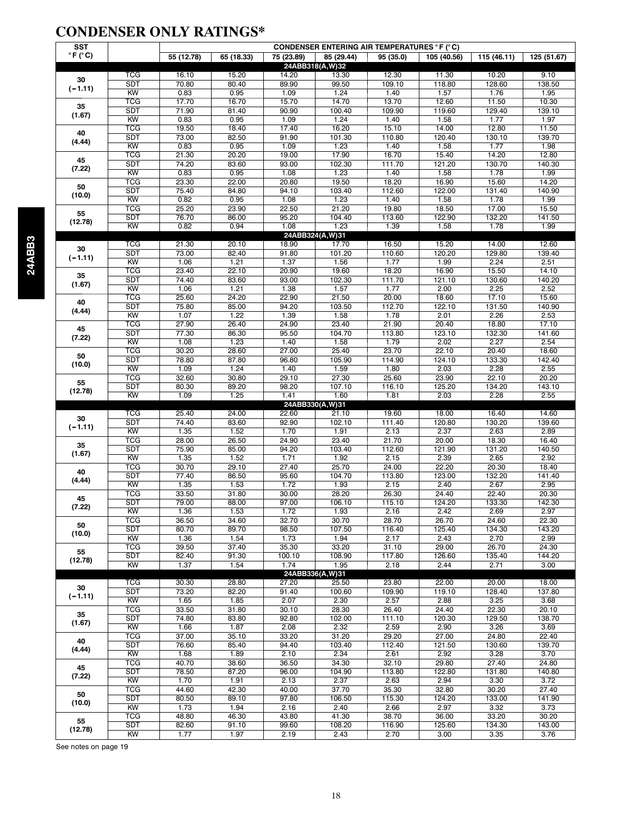#### **CONDENSER ONLY RATINGS\***

| <b>SST</b>                                                                                                                                                                                                             |                         | <b>CONDENSER ENTERING AIR TEMPERATURES °F (°C)</b>                                                                                                                                                                                                                                                                                                                                                                           |               |                                                                                                                                                                                                                                                                                                                                                                                                                                                                                                                                                                                                                                   |                                                                                                                                                                                                                                                                                                                                                                                                                                                                                                                                                                                                                                                                                                                                                                                             |                 |                        |                 |                 |  |
|------------------------------------------------------------------------------------------------------------------------------------------------------------------------------------------------------------------------|-------------------------|------------------------------------------------------------------------------------------------------------------------------------------------------------------------------------------------------------------------------------------------------------------------------------------------------------------------------------------------------------------------------------------------------------------------------|---------------|-----------------------------------------------------------------------------------------------------------------------------------------------------------------------------------------------------------------------------------------------------------------------------------------------------------------------------------------------------------------------------------------------------------------------------------------------------------------------------------------------------------------------------------------------------------------------------------------------------------------------------------|---------------------------------------------------------------------------------------------------------------------------------------------------------------------------------------------------------------------------------------------------------------------------------------------------------------------------------------------------------------------------------------------------------------------------------------------------------------------------------------------------------------------------------------------------------------------------------------------------------------------------------------------------------------------------------------------------------------------------------------------------------------------------------------------|-----------------|------------------------|-----------------|-----------------|--|
| $\circ$ F ( $\circ$ C)                                                                                                                                                                                                 |                         | 55 (12.78)                                                                                                                                                                                                                                                                                                                                                                                                                   | 65 (18.33)    | 75 (23.89)<br>85 (29.44)                                                                                                                                                                                                                                                                                                                                                                                                                                                                                                                                                                                                          |                                                                                                                                                                                                                                                                                                                                                                                                                                                                                                                                                                                                                                                                                                                                                                                             | 95 (35.0)       | 105 (40.56)            | 115 (46.11)     | 125 (51.67)     |  |
|                                                                                                                                                                                                                        |                         |                                                                                                                                                                                                                                                                                                                                                                                                                              |               |                                                                                                                                                                                                                                                                                                                                                                                                                                                                                                                                                                                                                                   | 24ABB318(A,W)32                                                                                                                                                                                                                                                                                                                                                                                                                                                                                                                                                                                                                                                                                                                                                                             |                 |                        |                 |                 |  |
|                                                                                                                                                                                                                        | <b>TCG</b>              | 16.10                                                                                                                                                                                                                                                                                                                                                                                                                        | 15.20         | 14.20                                                                                                                                                                                                                                                                                                                                                                                                                                                                                                                                                                                                                             | 13.30                                                                                                                                                                                                                                                                                                                                                                                                                                                                                                                                                                                                                                                                                                                                                                                       | 12.30           | 11.30                  | 10.20           | 9.10            |  |
|                                                                                                                                                                                                                        | <b>SDT</b>              | 70.80                                                                                                                                                                                                                                                                                                                                                                                                                        | 80.40         | 89.90                                                                                                                                                                                                                                                                                                                                                                                                                                                                                                                                                                                                                             | 99.50                                                                                                                                                                                                                                                                                                                                                                                                                                                                                                                                                                                                                                                                                                                                                                                       | 109.10          | 118.80                 | 128.60          | 138.50          |  |
|                                                                                                                                                                                                                        | KW                      | 0.83                                                                                                                                                                                                                                                                                                                                                                                                                         | 0.95          | 1.09                                                                                                                                                                                                                                                                                                                                                                                                                                                                                                                                                                                                                              | 1.24                                                                                                                                                                                                                                                                                                                                                                                                                                                                                                                                                                                                                                                                                                                                                                                        | 1.40            | 1.57                   | 1.76            | 1.95            |  |
| 35                                                                                                                                                                                                                     | <b>TCG</b>              | 17.70                                                                                                                                                                                                                                                                                                                                                                                                                        | 16.70         | 15.70                                                                                                                                                                                                                                                                                                                                                                                                                                                                                                                                                                                                                             | 14.70                                                                                                                                                                                                                                                                                                                                                                                                                                                                                                                                                                                                                                                                                                                                                                                       | 13.70           | 12.60                  | 11.50           | 10.30<br>139.10 |  |
| (1.67)                                                                                                                                                                                                                 | <b>SDT</b><br><b>KW</b> | 71.90<br>0.83                                                                                                                                                                                                                                                                                                                                                                                                                | 81.40<br>0.95 | 90.90<br>1.09                                                                                                                                                                                                                                                                                                                                                                                                                                                                                                                                                                                                                     | 100.40<br>1.24                                                                                                                                                                                                                                                                                                                                                                                                                                                                                                                                                                                                                                                                                                                                                                              | 109.90<br>1.40  | 119.60<br>1.58         | 129.40<br>1.77  | 1.97            |  |
|                                                                                                                                                                                                                        | <b>TCG</b>              | 19.50                                                                                                                                                                                                                                                                                                                                                                                                                        | 18.40         |                                                                                                                                                                                                                                                                                                                                                                                                                                                                                                                                                                                                                                   |                                                                                                                                                                                                                                                                                                                                                                                                                                                                                                                                                                                                                                                                                                                                                                                             |                 | 14.00                  | 12.80           | 11.50           |  |
| 40                                                                                                                                                                                                                     | <b>SDT</b>              | 73.00                                                                                                                                                                                                                                                                                                                                                                                                                        | 82.50         |                                                                                                                                                                                                                                                                                                                                                                                                                                                                                                                                                                                                                                   |                                                                                                                                                                                                                                                                                                                                                                                                                                                                                                                                                                                                                                                                                                                                                                                             |                 | 120.40                 | 130.10          | 139.70          |  |
|                                                                                                                                                                                                                        | KW                      | 0.83                                                                                                                                                                                                                                                                                                                                                                                                                         | 0.95          |                                                                                                                                                                                                                                                                                                                                                                                                                                                                                                                                                                                                                                   |                                                                                                                                                                                                                                                                                                                                                                                                                                                                                                                                                                                                                                                                                                                                                                                             |                 | 1.58                   | 1.77            | 1.98            |  |
|                                                                                                                                                                                                                        | <b>TCG</b>              | 21.30                                                                                                                                                                                                                                                                                                                                                                                                                        | 20.20         |                                                                                                                                                                                                                                                                                                                                                                                                                                                                                                                                                                                                                                   |                                                                                                                                                                                                                                                                                                                                                                                                                                                                                                                                                                                                                                                                                                                                                                                             |                 | 15.40                  | 14.20           | 12.80           |  |
|                                                                                                                                                                                                                        | <b>SDT</b>              | 74.20                                                                                                                                                                                                                                                                                                                                                                                                                        | 83.60         | 93.00                                                                                                                                                                                                                                                                                                                                                                                                                                                                                                                                                                                                                             | 102.30                                                                                                                                                                                                                                                                                                                                                                                                                                                                                                                                                                                                                                                                                                                                                                                      | 111.70          | 121.20                 | 130.70          | 140.30          |  |
|                                                                                                                                                                                                                        | KW                      | 0.83                                                                                                                                                                                                                                                                                                                                                                                                                         | 0.95          | 1.08                                                                                                                                                                                                                                                                                                                                                                                                                                                                                                                                                                                                                              | 1.23                                                                                                                                                                                                                                                                                                                                                                                                                                                                                                                                                                                                                                                                                                                                                                                        | 1.40            | 1.58                   | 1.78            | 1.99            |  |
|                                                                                                                                                                                                                        | <b>TCG</b>              | 23.30                                                                                                                                                                                                                                                                                                                                                                                                                        | 22.00         | 20.80                                                                                                                                                                                                                                                                                                                                                                                                                                                                                                                                                                                                                             | 19.50                                                                                                                                                                                                                                                                                                                                                                                                                                                                                                                                                                                                                                                                                                                                                                                       | 18.20           | 16.90                  | 15.60           | 14.20           |  |
|                                                                                                                                                                                                                        | <b>SDT</b>              | 75.40                                                                                                                                                                                                                                                                                                                                                                                                                        | 84.80         |                                                                                                                                                                                                                                                                                                                                                                                                                                                                                                                                                                                                                                   | 103.40                                                                                                                                                                                                                                                                                                                                                                                                                                                                                                                                                                                                                                                                                                                                                                                      |                 | 122.00                 | 131.40          | 140.90          |  |
|                                                                                                                                                                                                                        | KW                      | 0.82                                                                                                                                                                                                                                                                                                                                                                                                                         | 0.95          |                                                                                                                                                                                                                                                                                                                                                                                                                                                                                                                                                                                                                                   |                                                                                                                                                                                                                                                                                                                                                                                                                                                                                                                                                                                                                                                                                                                                                                                             |                 | 1.58                   | 1.78            | 1.99            |  |
|                                                                                                                                                                                                                        | <b>TCG</b>              |                                                                                                                                                                                                                                                                                                                                                                                                                              |               |                                                                                                                                                                                                                                                                                                                                                                                                                                                                                                                                                                                                                                   |                                                                                                                                                                                                                                                                                                                                                                                                                                                                                                                                                                                                                                                                                                                                                                                             |                 |                        |                 |                 |  |
|                                                                                                                                                                                                                        | <b>SDT</b>              |                                                                                                                                                                                                                                                                                                                                                                                                                              |               |                                                                                                                                                                                                                                                                                                                                                                                                                                                                                                                                                                                                                                   |                                                                                                                                                                                                                                                                                                                                                                                                                                                                                                                                                                                                                                                                                                                                                                                             |                 |                        |                 |                 |  |
|                                                                                                                                                                                                                        | KW                      |                                                                                                                                                                                                                                                                                                                                                                                                                              |               |                                                                                                                                                                                                                                                                                                                                                                                                                                                                                                                                                                                                                                   |                                                                                                                                                                                                                                                                                                                                                                                                                                                                                                                                                                                                                                                                                                                                                                                             |                 |                        |                 |                 |  |
|                                                                                                                                                                                                                        |                         |                                                                                                                                                                                                                                                                                                                                                                                                                              |               |                                                                                                                                                                                                                                                                                                                                                                                                                                                                                                                                                                                                                                   | 19.80<br>18.50<br>17.00<br>21.20<br>15.50<br>95.20<br>122.90<br>132.20<br>104.40<br>113.60<br>141.50<br>1.08<br>1.23<br>1.58<br>1.78<br>1.99<br>1.39<br>24ABB324(A,W)31<br>18.90<br>17.70<br>16.50<br>15.20<br>14.00<br>12.60<br>91.80<br>101.20<br>110.60<br>120.20<br>129.80<br>139.40<br>1.99<br>1.37<br>1.56<br>1.77<br>2.24<br>2.51<br>20.90<br>19.60<br>18.20<br>16.90<br>15.50<br>14.10<br>93.00<br>102.30<br>130.60<br>111.70<br>121.10<br>140.20<br>1.38<br>1.57<br>2.00<br>2.25<br>2.52<br>1.77<br>22.90<br>21.50<br>20.00<br>18.60<br>17.10<br>15.60<br>94.20<br>103.50<br>112.70<br>122.10<br>131.50<br>140.90<br>2.26<br>1.39<br>1.58<br>1.78<br>2.01<br>2.53<br>21.90<br>20.40<br>18.80<br>24.90<br>23.40<br>17.10<br>132.30<br>95.50<br>104.70<br>113.80<br>123.10<br>141.60 |                 |                        |                 |                 |  |
| 30                                                                                                                                                                                                                     | <b>TCG</b>              |                                                                                                                                                                                                                                                                                                                                                                                                                              |               |                                                                                                                                                                                                                                                                                                                                                                                                                                                                                                                                                                                                                                   |                                                                                                                                                                                                                                                                                                                                                                                                                                                                                                                                                                                                                                                                                                                                                                                             |                 |                        |                 |                 |  |
|                                                                                                                                                                                                                        | <b>SDT</b><br>KW        |                                                                                                                                                                                                                                                                                                                                                                                                                              |               |                                                                                                                                                                                                                                                                                                                                                                                                                                                                                                                                                                                                                                   |                                                                                                                                                                                                                                                                                                                                                                                                                                                                                                                                                                                                                                                                                                                                                                                             |                 |                        |                 |                 |  |
|                                                                                                                                                                                                                        | <b>TCG</b>              |                                                                                                                                                                                                                                                                                                                                                                                                                              |               |                                                                                                                                                                                                                                                                                                                                                                                                                                                                                                                                                                                                                                   |                                                                                                                                                                                                                                                                                                                                                                                                                                                                                                                                                                                                                                                                                                                                                                                             |                 |                        |                 |                 |  |
| 35                                                                                                                                                                                                                     | <b>SDT</b>              |                                                                                                                                                                                                                                                                                                                                                                                                                              |               |                                                                                                                                                                                                                                                                                                                                                                                                                                                                                                                                                                                                                                   |                                                                                                                                                                                                                                                                                                                                                                                                                                                                                                                                                                                                                                                                                                                                                                                             |                 |                        |                 |                 |  |
|                                                                                                                                                                                                                        | KW                      |                                                                                                                                                                                                                                                                                                                                                                                                                              |               |                                                                                                                                                                                                                                                                                                                                                                                                                                                                                                                                                                                                                                   | 1.58<br>1.79<br>2.02                                                                                                                                                                                                                                                                                                                                                                                                                                                                                                                                                                                                                                                                                                                                                                        |                 |                        |                 |                 |  |
|                                                                                                                                                                                                                        | <b>TCG</b>              |                                                                                                                                                                                                                                                                                                                                                                                                                              |               |                                                                                                                                                                                                                                                                                                                                                                                                                                                                                                                                                                                                                                   |                                                                                                                                                                                                                                                                                                                                                                                                                                                                                                                                                                                                                                                                                                                                                                                             |                 |                        |                 |                 |  |
|                                                                                                                                                                                                                        | <b>SDT</b>              |                                                                                                                                                                                                                                                                                                                                                                                                                              |               | 17.40<br>16.20<br>15.10<br>91.90<br>101.30<br>110.80<br>1.09<br>1.23<br>1.40<br>17.90<br>19.00<br>16.70<br>94.10<br>112.60<br>1.08<br>1.23<br>1.40<br>22.50<br>1.40<br>27.00<br>23.70<br>25.40<br>96.80<br>105.90<br>114.90<br>1.40<br>1.59<br>1.80<br>27.30<br>25.60<br>29.10<br>98.20<br>107.10<br>116.10<br>1.60<br>1.41<br>1.81<br>24ABB330(A,W)31<br>21.10<br>19.60<br>22.60<br>92.90<br>102.10<br>111.40<br>1.70<br>1.91<br>2.13<br>24.90<br>23.40<br>21.70<br>94.20<br>103.40<br>112.60<br>1.71<br>1.92<br>2.15<br>25.70<br>24.00<br>27.40<br>95.60<br>104.70<br>113.80<br>1.72<br>1.93<br>2.15<br>30.00<br>28.20<br>26.30 |                                                                                                                                                                                                                                                                                                                                                                                                                                                                                                                                                                                                                                                                                                                                                                                             |                 |                        |                 |                 |  |
|                                                                                                                                                                                                                        | KW                      |                                                                                                                                                                                                                                                                                                                                                                                                                              |               |                                                                                                                                                                                                                                                                                                                                                                                                                                                                                                                                                                                                                                   |                                                                                                                                                                                                                                                                                                                                                                                                                                                                                                                                                                                                                                                                                                                                                                                             |                 | 2.27<br>20.40<br>22.10 |                 |                 |  |
|                                                                                                                                                                                                                        | <b>TCG</b>              | 25.20<br>23.90<br>86.00<br>76.70<br>0.82<br>0.94<br>21.30<br>20.10<br>73.00<br>82.40<br>1.21<br>1.06<br>23.40<br>22.10<br>74.40<br>83.60<br>1.06<br>1.21<br>25.60<br>24.20<br>75.80<br>85.00<br>1.07<br>1.22<br>27.90<br>26.40<br>77.30<br>86.30<br>1.08<br>1.23<br>30.20<br>28.60<br>78.80<br>87.80<br>1.09<br>1.24<br>32.60<br>30.80<br>89.20<br>80.30<br>1.25<br>1.09<br>25.40<br>24.00<br>74.40<br>83.60<br>1.35<br>1.52 |               |                                                                                                                                                                                                                                                                                                                                                                                                                                                                                                                                                                                                                                   |                                                                                                                                                                                                                                                                                                                                                                                                                                                                                                                                                                                                                                                                                                                                                                                             |                 |                        |                 |                 |  |
| 45<br>(7.22)                                                                                                                                                                                                           | <b>SDT</b>              |                                                                                                                                                                                                                                                                                                                                                                                                                              |               |                                                                                                                                                                                                                                                                                                                                                                                                                                                                                                                                                                                                                                   |                                                                                                                                                                                                                                                                                                                                                                                                                                                                                                                                                                                                                                                                                                                                                                                             |                 |                        |                 |                 |  |
|                                                                                                                                                                                                                        | KW                      |                                                                                                                                                                                                                                                                                                                                                                                                                              |               |                                                                                                                                                                                                                                                                                                                                                                                                                                                                                                                                                                                                                                   |                                                                                                                                                                                                                                                                                                                                                                                                                                                                                                                                                                                                                                                                                                                                                                                             |                 |                        |                 | 2.54            |  |
|                                                                                                                                                                                                                        | <b>TCG</b>              |                                                                                                                                                                                                                                                                                                                                                                                                                              |               |                                                                                                                                                                                                                                                                                                                                                                                                                                                                                                                                                                                                                                   |                                                                                                                                                                                                                                                                                                                                                                                                                                                                                                                                                                                                                                                                                                                                                                                             |                 |                        |                 | 18.60           |  |
|                                                                                                                                                                                                                        | <b>SDT</b>              |                                                                                                                                                                                                                                                                                                                                                                                                                              |               |                                                                                                                                                                                                                                                                                                                                                                                                                                                                                                                                                                                                                                   |                                                                                                                                                                                                                                                                                                                                                                                                                                                                                                                                                                                                                                                                                                                                                                                             |                 | 124.10                 | 133.30          | 142.40          |  |
|                                                                                                                                                                                                                        | KW                      |                                                                                                                                                                                                                                                                                                                                                                                                                              |               |                                                                                                                                                                                                                                                                                                                                                                                                                                                                                                                                                                                                                                   |                                                                                                                                                                                                                                                                                                                                                                                                                                                                                                                                                                                                                                                                                                                                                                                             |                 | 2.03                   | 2.28            | 2.55            |  |
|                                                                                                                                                                                                                        | <b>TCG</b>              |                                                                                                                                                                                                                                                                                                                                                                                                                              |               |                                                                                                                                                                                                                                                                                                                                                                                                                                                                                                                                                                                                                                   |                                                                                                                                                                                                                                                                                                                                                                                                                                                                                                                                                                                                                                                                                                                                                                                             |                 | 23.90                  | 22.10           | 20.20           |  |
|                                                                                                                                                                                                                        | <b>SDT</b>              |                                                                                                                                                                                                                                                                                                                                                                                                                              |               |                                                                                                                                                                                                                                                                                                                                                                                                                                                                                                                                                                                                                                   |                                                                                                                                                                                                                                                                                                                                                                                                                                                                                                                                                                                                                                                                                                                                                                                             |                 | 125.20                 | 134.20          | 143.10          |  |
|                                                                                                                                                                                                                        | KW                      |                                                                                                                                                                                                                                                                                                                                                                                                                              |               |                                                                                                                                                                                                                                                                                                                                                                                                                                                                                                                                                                                                                                   |                                                                                                                                                                                                                                                                                                                                                                                                                                                                                                                                                                                                                                                                                                                                                                                             |                 | 2.03                   | 2.28            | 2.55            |  |
|                                                                                                                                                                                                                        | <b>TCG</b>              |                                                                                                                                                                                                                                                                                                                                                                                                                              |               |                                                                                                                                                                                                                                                                                                                                                                                                                                                                                                                                                                                                                                   |                                                                                                                                                                                                                                                                                                                                                                                                                                                                                                                                                                                                                                                                                                                                                                                             |                 | 18.00                  | 16.40           | 14.60           |  |
| 30                                                                                                                                                                                                                     | <b>SDT</b>              |                                                                                                                                                                                                                                                                                                                                                                                                                              |               |                                                                                                                                                                                                                                                                                                                                                                                                                                                                                                                                                                                                                                   |                                                                                                                                                                                                                                                                                                                                                                                                                                                                                                                                                                                                                                                                                                                                                                                             |                 | 120.80                 | 130.20          | 139.60          |  |
|                                                                                                                                                                                                                        | KW                      |                                                                                                                                                                                                                                                                                                                                                                                                                              |               |                                                                                                                                                                                                                                                                                                                                                                                                                                                                                                                                                                                                                                   |                                                                                                                                                                                                                                                                                                                                                                                                                                                                                                                                                                                                                                                                                                                                                                                             |                 | 2.37                   | 2.63            | 2.89            |  |
|                                                                                                                                                                                                                        |                         |                                                                                                                                                                                                                                                                                                                                                                                                                              |               |                                                                                                                                                                                                                                                                                                                                                                                                                                                                                                                                                                                                                                   |                                                                                                                                                                                                                                                                                                                                                                                                                                                                                                                                                                                                                                                                                                                                                                                             |                 |                        |                 |                 |  |
|                                                                                                                                                                                                                        |                         |                                                                                                                                                                                                                                                                                                                                                                                                                              |               |                                                                                                                                                                                                                                                                                                                                                                                                                                                                                                                                                                                                                                   |                                                                                                                                                                                                                                                                                                                                                                                                                                                                                                                                                                                                                                                                                                                                                                                             |                 |                        |                 |                 |  |
|                                                                                                                                                                                                                        | <b>TCG</b>              | 28.00                                                                                                                                                                                                                                                                                                                                                                                                                        | 26.50         |                                                                                                                                                                                                                                                                                                                                                                                                                                                                                                                                                                                                                                   |                                                                                                                                                                                                                                                                                                                                                                                                                                                                                                                                                                                                                                                                                                                                                                                             |                 | 20.00                  | 18.30           | 16.40           |  |
| (1.67)                                                                                                                                                                                                                 | <b>SDT</b><br>KW        | 75.90<br>1.35                                                                                                                                                                                                                                                                                                                                                                                                                | 85.00<br>1.52 |                                                                                                                                                                                                                                                                                                                                                                                                                                                                                                                                                                                                                                   |                                                                                                                                                                                                                                                                                                                                                                                                                                                                                                                                                                                                                                                                                                                                                                                             |                 | 121.90<br>2.39         | 131.20<br>2.65  | 140.50<br>2.92  |  |
|                                                                                                                                                                                                                        | <b>TCG</b>              | 30.70                                                                                                                                                                                                                                                                                                                                                                                                                        | 29.10         |                                                                                                                                                                                                                                                                                                                                                                                                                                                                                                                                                                                                                                   |                                                                                                                                                                                                                                                                                                                                                                                                                                                                                                                                                                                                                                                                                                                                                                                             |                 | 22.20                  | 20.30           | 18.40           |  |
| 40                                                                                                                                                                                                                     | <b>SDT</b>              | 77.40                                                                                                                                                                                                                                                                                                                                                                                                                        | 86.50         |                                                                                                                                                                                                                                                                                                                                                                                                                                                                                                                                                                                                                                   |                                                                                                                                                                                                                                                                                                                                                                                                                                                                                                                                                                                                                                                                                                                                                                                             |                 | 123.00                 | 132.20          | 141.40          |  |
| (4.44)                                                                                                                                                                                                                 | $\overline{KW}$         | 1.35                                                                                                                                                                                                                                                                                                                                                                                                                         | 1.53          |                                                                                                                                                                                                                                                                                                                                                                                                                                                                                                                                                                                                                                   |                                                                                                                                                                                                                                                                                                                                                                                                                                                                                                                                                                                                                                                                                                                                                                                             |                 | 2.40                   | 2.67            | 2.95            |  |
|                                                                                                                                                                                                                        | <b>TCG</b>              | 33.50                                                                                                                                                                                                                                                                                                                                                                                                                        | 31.80         |                                                                                                                                                                                                                                                                                                                                                                                                                                                                                                                                                                                                                                   |                                                                                                                                                                                                                                                                                                                                                                                                                                                                                                                                                                                                                                                                                                                                                                                             |                 | 24.40                  | 22.40           | 20.30           |  |
| 45                                                                                                                                                                                                                     | <b>SDT</b>              | 79.00                                                                                                                                                                                                                                                                                                                                                                                                                        | 88.00         | 97.00                                                                                                                                                                                                                                                                                                                                                                                                                                                                                                                                                                                                                             | 106.10                                                                                                                                                                                                                                                                                                                                                                                                                                                                                                                                                                                                                                                                                                                                                                                      | 115.10          | 124.20                 | 133.30          | 142.30          |  |
| 30<br>$(-1.11)$<br>(4.44)<br>45<br>(7.22)<br>50<br>(10.0)<br>55<br>(12.78)<br>$(-1.11)$<br>(1.67)<br>40<br>(4.44)<br>50<br>(10.0)<br>55<br>(12.78)<br>$(-1.11)$<br>35<br>(7.22)<br>50<br>(10.0)<br>55<br>(12.78)<br>30 | <b>KW</b>               | 1.36                                                                                                                                                                                                                                                                                                                                                                                                                         | 1.53          | 1.72                                                                                                                                                                                                                                                                                                                                                                                                                                                                                                                                                                                                                              | 1.93                                                                                                                                                                                                                                                                                                                                                                                                                                                                                                                                                                                                                                                                                                                                                                                        | 2.16            | 2.42                   | 2.69            | 2.97            |  |
|                                                                                                                                                                                                                        | <b>TCG</b>              | 36.50                                                                                                                                                                                                                                                                                                                                                                                                                        | 34.60         | 32.70                                                                                                                                                                                                                                                                                                                                                                                                                                                                                                                                                                                                                             | 30.70                                                                                                                                                                                                                                                                                                                                                                                                                                                                                                                                                                                                                                                                                                                                                                                       | 28.70           | 26.70                  | 24.60           | 22.30           |  |
|                                                                                                                                                                                                                        | <b>SDT</b>              | 80.70                                                                                                                                                                                                                                                                                                                                                                                                                        | 89.70         | 98.50                                                                                                                                                                                                                                                                                                                                                                                                                                                                                                                                                                                                                             | 107.50                                                                                                                                                                                                                                                                                                                                                                                                                                                                                                                                                                                                                                                                                                                                                                                      | 116.40          | 125.40                 | 134.30          | 143.20          |  |
|                                                                                                                                                                                                                        | KW                      | 1.36                                                                                                                                                                                                                                                                                                                                                                                                                         | 1.54          | 1.73                                                                                                                                                                                                                                                                                                                                                                                                                                                                                                                                                                                                                              | 1.94                                                                                                                                                                                                                                                                                                                                                                                                                                                                                                                                                                                                                                                                                                                                                                                        | 2.17            | 2.43                   | 2.70            | 2.99            |  |
|                                                                                                                                                                                                                        | <b>TCG</b>              | 39.50                                                                                                                                                                                                                                                                                                                                                                                                                        | 37.40         | 35.30                                                                                                                                                                                                                                                                                                                                                                                                                                                                                                                                                                                                                             | 33.20                                                                                                                                                                                                                                                                                                                                                                                                                                                                                                                                                                                                                                                                                                                                                                                       | 31.10           | 29.00                  | 26.70           | 24.30           |  |
|                                                                                                                                                                                                                        | <b>SDT</b>              | 82.40                                                                                                                                                                                                                                                                                                                                                                                                                        | 91.30         | 100.10                                                                                                                                                                                                                                                                                                                                                                                                                                                                                                                                                                                                                            | 108.90                                                                                                                                                                                                                                                                                                                                                                                                                                                                                                                                                                                                                                                                                                                                                                                      | 117.80          | 126.60                 | 135.40          | 144.20          |  |
|                                                                                                                                                                                                                        | KW                      | 1.37                                                                                                                                                                                                                                                                                                                                                                                                                         | 1.54          | 1.74                                                                                                                                                                                                                                                                                                                                                                                                                                                                                                                                                                                                                              | 1.95                                                                                                                                                                                                                                                                                                                                                                                                                                                                                                                                                                                                                                                                                                                                                                                        | 2.18            | 2.44                   | 2.71            | 3.00            |  |
|                                                                                                                                                                                                                        | <b>TCG</b>              | 30.30                                                                                                                                                                                                                                                                                                                                                                                                                        | 28.80         | 27.20                                                                                                                                                                                                                                                                                                                                                                                                                                                                                                                                                                                                                             | 24ABB336(A,W)31<br>25.50                                                                                                                                                                                                                                                                                                                                                                                                                                                                                                                                                                                                                                                                                                                                                                    | 23.80           | 22.00                  | 20.00           | 18.00           |  |
|                                                                                                                                                                                                                        | <b>SDT</b>              | 73.20                                                                                                                                                                                                                                                                                                                                                                                                                        | 82.20         | 91.40                                                                                                                                                                                                                                                                                                                                                                                                                                                                                                                                                                                                                             | 100.60                                                                                                                                                                                                                                                                                                                                                                                                                                                                                                                                                                                                                                                                                                                                                                                      | 109.90          | 119.10                 | 128.40          | 137.80          |  |
| $(-1.11)$                                                                                                                                                                                                              | KW                      | 1.65                                                                                                                                                                                                                                                                                                                                                                                                                         | 1.85          | 2.07                                                                                                                                                                                                                                                                                                                                                                                                                                                                                                                                                                                                                              | 2.30                                                                                                                                                                                                                                                                                                                                                                                                                                                                                                                                                                                                                                                                                                                                                                                        | 2.57            | 2.88                   | 3.25            | 3.68            |  |
|                                                                                                                                                                                                                        | <b>TCG</b>              | 33.50                                                                                                                                                                                                                                                                                                                                                                                                                        | 31.80         | 30.10                                                                                                                                                                                                                                                                                                                                                                                                                                                                                                                                                                                                                             | 28.30                                                                                                                                                                                                                                                                                                                                                                                                                                                                                                                                                                                                                                                                                                                                                                                       | 26.40           | 24.40                  | 22.30           | 20.10           |  |
| 35                                                                                                                                                                                                                     | <b>SDT</b>              | 74.80                                                                                                                                                                                                                                                                                                                                                                                                                        | 83.80         | 92.80                                                                                                                                                                                                                                                                                                                                                                                                                                                                                                                                                                                                                             | 102.00                                                                                                                                                                                                                                                                                                                                                                                                                                                                                                                                                                                                                                                                                                                                                                                      | 111.10          | 120.30                 | 129.50          | 138.70          |  |
| (1.67)                                                                                                                                                                                                                 | KW                      | 1.66                                                                                                                                                                                                                                                                                                                                                                                                                         | 1.87          | 2.08                                                                                                                                                                                                                                                                                                                                                                                                                                                                                                                                                                                                                              | 2.32                                                                                                                                                                                                                                                                                                                                                                                                                                                                                                                                                                                                                                                                                                                                                                                        | 2.59            | 2.90                   | 3.26            | 3.69            |  |
|                                                                                                                                                                                                                        | <b>TCG</b>              | 37.00                                                                                                                                                                                                                                                                                                                                                                                                                        | 35.10         | 33.20                                                                                                                                                                                                                                                                                                                                                                                                                                                                                                                                                                                                                             | 31.20                                                                                                                                                                                                                                                                                                                                                                                                                                                                                                                                                                                                                                                                                                                                                                                       | 29.20           | 27.00                  | 24.80           | 22.40           |  |
| 40<br>(4.44)                                                                                                                                                                                                           | <b>SDT</b>              | 76.60                                                                                                                                                                                                                                                                                                                                                                                                                        | 85.40         | 94.40                                                                                                                                                                                                                                                                                                                                                                                                                                                                                                                                                                                                                             | 103.40                                                                                                                                                                                                                                                                                                                                                                                                                                                                                                                                                                                                                                                                                                                                                                                      | 112.40          | 121.50                 | 130.60          | 139.70          |  |
|                                                                                                                                                                                                                        | KW                      | 1.68                                                                                                                                                                                                                                                                                                                                                                                                                         | 1.89          | 2.10                                                                                                                                                                                                                                                                                                                                                                                                                                                                                                                                                                                                                              | 2.34                                                                                                                                                                                                                                                                                                                                                                                                                                                                                                                                                                                                                                                                                                                                                                                        | 2.61            | 2.92                   | 3.28            | 3.70            |  |
| 45                                                                                                                                                                                                                     | <b>TCG</b>              | 40.70                                                                                                                                                                                                                                                                                                                                                                                                                        | 38.60         | 36.50                                                                                                                                                                                                                                                                                                                                                                                                                                                                                                                                                                                                                             | 34.30                                                                                                                                                                                                                                                                                                                                                                                                                                                                                                                                                                                                                                                                                                                                                                                       | 32.10           | 29.80                  | 27.40           | 24.80           |  |
| (7.22)                                                                                                                                                                                                                 | <b>SDT</b>              | 78.50                                                                                                                                                                                                                                                                                                                                                                                                                        | 87.20         | 96.00                                                                                                                                                                                                                                                                                                                                                                                                                                                                                                                                                                                                                             | 104.90                                                                                                                                                                                                                                                                                                                                                                                                                                                                                                                                                                                                                                                                                                                                                                                      | 113.80          | 122.80                 | 131.80          | 140.80          |  |
|                                                                                                                                                                                                                        | KW                      | 1.70                                                                                                                                                                                                                                                                                                                                                                                                                         | 1.91          | 2.13                                                                                                                                                                                                                                                                                                                                                                                                                                                                                                                                                                                                                              | 2.37                                                                                                                                                                                                                                                                                                                                                                                                                                                                                                                                                                                                                                                                                                                                                                                        | 2.63            | 2.94                   | 3.30            | 3.72            |  |
| 50                                                                                                                                                                                                                     | <b>TCG</b>              | 44.60                                                                                                                                                                                                                                                                                                                                                                                                                        | 42.30         | 40.00                                                                                                                                                                                                                                                                                                                                                                                                                                                                                                                                                                                                                             | 37.70                                                                                                                                                                                                                                                                                                                                                                                                                                                                                                                                                                                                                                                                                                                                                                                       | 35.30           | 32.80                  | 30.20           | 27.40           |  |
| (10.0)                                                                                                                                                                                                                 | <b>SDT</b>              | 80.50                                                                                                                                                                                                                                                                                                                                                                                                                        | 89.10         | 97.80                                                                                                                                                                                                                                                                                                                                                                                                                                                                                                                                                                                                                             | 106.50                                                                                                                                                                                                                                                                                                                                                                                                                                                                                                                                                                                                                                                                                                                                                                                      | 115.30          | 124.20                 | 133.00          | 141.90          |  |
|                                                                                                                                                                                                                        | KW<br><b>TCG</b>        | 1.73                                                                                                                                                                                                                                                                                                                                                                                                                         | 1.94<br>46.30 | 2.16<br>43.80                                                                                                                                                                                                                                                                                                                                                                                                                                                                                                                                                                                                                     | 2.40                                                                                                                                                                                                                                                                                                                                                                                                                                                                                                                                                                                                                                                                                                                                                                                        | 2.66            | 2.97                   | 3.32            | 3.73<br>30.20   |  |
| 55<br>(12.78)                                                                                                                                                                                                          | <b>SDT</b>              | 48.80<br>82.60                                                                                                                                                                                                                                                                                                                                                                                                               | 91.10         | 99.60                                                                                                                                                                                                                                                                                                                                                                                                                                                                                                                                                                                                                             | 41.30<br>108.20                                                                                                                                                                                                                                                                                                                                                                                                                                                                                                                                                                                                                                                                                                                                                                             | 38.70<br>116.90 | 36.00<br>125.60        | 33.20<br>134.30 | 143.00          |  |

See notes on page 19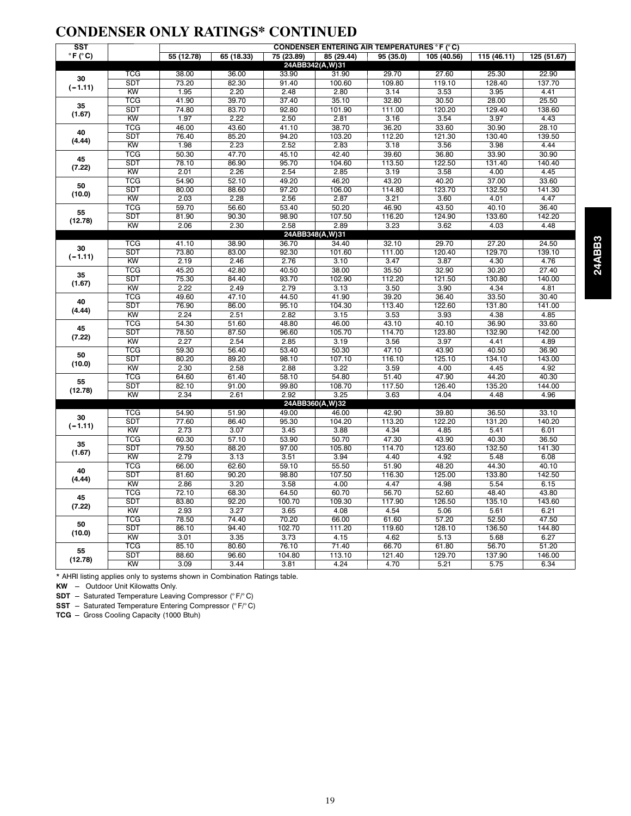#### **CONDENSER ONLY RATINGS\* CONTINUED**

| <b>SST</b>                 |                         |            |            |           | <b>CONDENSER ENTERING AIR TEMPERATURES °F (°C)</b> |                   |             |                                                                                                                                              |             |  |  |
|----------------------------|-------------------------|------------|------------|-----------|----------------------------------------------------|-------------------|-------------|----------------------------------------------------------------------------------------------------------------------------------------------|-------------|--|--|
| $\degree$ F ( $\degree$ C) |                         | 55 (12.78) | 65 (18.33) | 75(23.89) | 85 (29.44)                                         | 95(35.0)          | 105 (40.56) | 115 (46.11)                                                                                                                                  | 125 (51.67) |  |  |
|                            |                         |            |            |           | 24ABB342(A,W)31                                    |                   |             |                                                                                                                                              |             |  |  |
| 30<br>$(-1.11)$            | TCG                     | 38.00      | 36.00      | 33.90     | 31.90                                              | 29.70             | 27.60       | 25.30                                                                                                                                        | 22.90       |  |  |
|                            | <b>SDT</b>              | 73.20      | 82.30      | 91.40     | 100.60                                             | 109.80            | 119.10      | 128.40                                                                                                                                       | 137.70      |  |  |
|                            | KW                      | 1.95       | 2.20       | 2.48      | 2.80                                               | 3.14              | 3.53        | 3.95                                                                                                                                         | 4.41        |  |  |
| 35<br>(1.67)               | <b>TCG</b>              | 41.90      | 39.70      | 37.40     | 35.10                                              | 32.80             | 30.50       | 28.00                                                                                                                                        | 25.50       |  |  |
|                            | <b>SDT</b>              | 74.80      | 83.70      | 92.80     | 101.90                                             | 111.00            | 120.20      | 129.40                                                                                                                                       | 138.60      |  |  |
|                            | KW                      | 1.97       | 2.22       | 2.50      | 2.81                                               | $\overline{3.16}$ | 3.54        | 3.97                                                                                                                                         | 4.43        |  |  |
| 40                         | <b>TCG</b>              | 46.00      | 43.60      | 41.10     | 38.70                                              | 36.20             | 33.60       | 30.90                                                                                                                                        | 28.10       |  |  |
| (4.44)                     | <b>SDT</b>              | 76.40      | 85.20      | 94.20     | 103.20                                             | 112.20            | 121.30      | 130.40                                                                                                                                       | 139.50      |  |  |
|                            | KW                      | 1.98       | 2.23       | 2.52      | 2.83                                               | 3.18              | 3.56        | 3.98                                                                                                                                         | 4.44        |  |  |
| 45                         | <b>TCG</b>              | 50.30      | 47.70      | 45.10     | 42.40                                              | 39.60             | 36.80       | 33.90                                                                                                                                        | 30.90       |  |  |
| (7.22)                     | <b>SDT</b>              | 78.10      | 86.90      | 95.70     | 104.60                                             | 113.50            | 122.50      | 131.40                                                                                                                                       | 140.40      |  |  |
|                            | KW                      | 2.01       | 2.26       | 2.54      | 2.85                                               | 3.19              | 3.58        | 4.00                                                                                                                                         | 4.45        |  |  |
| 50                         | <b>TCG</b>              | 54.90      | 52.10      | 49.20     | 46.20                                              | 43.20             | 40.20       | 37.00                                                                                                                                        | 33.60       |  |  |
| (10.0)                     | <b>SDT</b>              | 80.00      | 88.60      | 97.20     | 106.00                                             | 114.80            | 123.70      |                                                                                                                                              |             |  |  |
|                            | <b>KW</b>               | 2.03       | 2.28       | 2.56      | 2.87                                               | 3.21              | 3.60        |                                                                                                                                              |             |  |  |
| 55                         | $\overline{\text{TCG}}$ | 59.70      | 56.60      | 53.40     | 50.20                                              | 46.90             | 43.50       |                                                                                                                                              |             |  |  |
| (12.78)                    | <b>SDT</b>              | 81.90      | 90.30      | 98.90     | 107.50                                             | 116.20            | 124.90      |                                                                                                                                              |             |  |  |
|                            | KW                      | 2.06       | 2.30       | 2.58      | 2.89                                               | 3.23              | 3.62        |                                                                                                                                              |             |  |  |
|                            | <b>TCG</b>              | 41.10      | 38.90      | 36.70     | 24ABB348(A,W)31                                    | 32.10             | 29.70       | 132.50<br>141.30<br>4.47<br>4.01<br>40.10<br>36.40<br>133.60<br>142.20<br>4.03<br>4.48<br>27.20<br>24.50<br>129.70<br>139.10<br>4.30<br>4.76 |             |  |  |
| 30                         | <b>SDT</b>              | 73.80      | 83.00      | 92.30     | 34.40<br>101.60                                    | 111.00            | 120.40      |                                                                                                                                              |             |  |  |
| $(-1.11)$                  | KW                      | 2.19       | 2.46       | 2.76      | 3.10                                               | 3.47              | 3.87        |                                                                                                                                              |             |  |  |
|                            | <b>TCG</b>              | 45.20      | 42.80      | 40.50     | 38.00                                              | 35.50             | 32.90       | 30.20                                                                                                                                        | 27.40       |  |  |
| 35                         | <b>SDT</b>              | 75.30      | 84.40      | 93.70     | 102.90                                             | 112.20            | 121.50      | 130.80                                                                                                                                       | 140.00      |  |  |
| (1.67)                     | KW                      | 2.22       | 2.49       | 2.79      | 3.13                                               | 3.50              | 3.90        | 4.34                                                                                                                                         | 4.81        |  |  |
|                            | <b>TCG</b>              | 49.60      | 47.10      | 44.50     | 41.90                                              | 39.20             | 36.40       | 33.50                                                                                                                                        | 30.40       |  |  |
| 40                         | <b>SDT</b>              | 76.90      | 86.00      | 95.10     | 104.30                                             | 113.40            | 122.60      | 131.80                                                                                                                                       | 141.00      |  |  |
| (4.44)                     | KW                      | 2.24       | 2.51       | 2.82      | 3.15                                               | 3.53              | 3.93        | 4.38                                                                                                                                         | 4.85        |  |  |
|                            | <b>TCG</b>              | 54.30      | 51.60      | 48.80     | 46.00                                              | 43.10             | 40.10       | 36.90                                                                                                                                        | 33.60       |  |  |
| 45                         | <b>SDT</b>              | 78.50      | 87.50      | 96.60     | 105.70                                             | 114.70            | 123.80      | 132.90                                                                                                                                       | 142.00      |  |  |
| (7.22)                     | KW                      | 2.27       | 2.54       | 2.85      | 3.19                                               | 3.56              | 3.97        | 4.41                                                                                                                                         | 4.89        |  |  |
|                            | <b>TCG</b>              | 59.30      | 56.40      | 53.40     | 50.30                                              | 47.10             | 43.90       | 40.50                                                                                                                                        | 36.90       |  |  |
| 50                         | <b>SDT</b>              | 80.20      | 89.20      | 98.10     | 107.10                                             | 116.10            | 125.10      | 134.10                                                                                                                                       | 143.00      |  |  |
| (10.0)                     | KW                      | 2.30       | 2.58       | 2.88      | 3.22                                               | 3.59              | 4.00        | 4.45                                                                                                                                         | 4.92        |  |  |
|                            | <b>TCG</b>              | 64.60      | 61.40      | 58.10     | 54.80                                              | 51.40             | 47.90       | 44.20                                                                                                                                        | 40.30       |  |  |
| 55                         | <b>SDT</b>              | 82.10      | 91.00      | 99.80     | 108.70                                             | 117.50            | 126.40      | 135.20                                                                                                                                       | 144.00      |  |  |
| (12.78)                    | KW                      | 2.34       | 2.61       | 2.92      | 3.25                                               | 3.63              | 4.04        | 4.48                                                                                                                                         | 4.96        |  |  |
|                            |                         |            |            |           | 24ABB360(A,W)32                                    |                   |             |                                                                                                                                              |             |  |  |
|                            | <b>TCG</b>              | 54.90      | 51.90      | 49.00     | 46.00                                              | 42.90             | 39.80       | 36.50                                                                                                                                        | 33.10       |  |  |
| 30                         | <b>SDT</b>              | 77.60      | 86.40      | 95.30     | 104.20                                             | 113.20            | 122.20      | 131.20                                                                                                                                       | 140.20      |  |  |
| $(-1.11)$                  | KW                      | 2.73       | 3.07       | 3.45      | 3.88                                               | 4.34              | 4.85        | 5.41                                                                                                                                         | 6.01        |  |  |
|                            | <b>TCG</b>              | 60.30      | 57.10      | 53.90     | 50.70                                              | 47.30             | 43.90       | 40.30                                                                                                                                        | 36.50       |  |  |
| 35                         | <b>SDT</b>              | 79.50      | 88.20      | 97.00     | 105.80                                             | 114.70            | 123.60      | 132.50                                                                                                                                       | 141.30      |  |  |
| (1.67)                     | KW                      | 2.79       | 3.13       | 3.51      | 3.94                                               | 4.40              | 4.92        | 5.48                                                                                                                                         | 6.08        |  |  |
|                            | TCG                     | 66.00      | 62.60      | 59.10     | 55.50                                              | 51.90             | 48.20       | 44.30                                                                                                                                        | 40.10       |  |  |
| 40                         | <b>SDT</b>              | 81.60      | 90.20      | 98.80     | 107.50                                             | 116.30            | 125.00      | 133.80                                                                                                                                       | 142.50      |  |  |
| (4.44)                     | KW                      | 2.86       | 3.20       | 3.58      | 4.00                                               | 4.47              | 4.98        | 5.54                                                                                                                                         | 6.15        |  |  |
|                            | <b>TCG</b>              | 72.10      | 68.30      | 64.50     | 60.70                                              | 56.70             | 52.60       | 48.40                                                                                                                                        | 43.80       |  |  |
| 45                         | <b>SDT</b>              | 83.80      | 92.20      | 100.70    | 109.30                                             | 117.90            | 126.50      | 135.10                                                                                                                                       | 143.60      |  |  |
| (7.22)                     | KW                      | 2.93       | 3.27       | 3.65      | 4.08                                               | 4.54              | 5.06        | 5.61                                                                                                                                         | 6.21        |  |  |
|                            | <b>TCG</b>              | 78.50      | 74.40      | 70.20     | 66.00                                              | 61.60             | 57.20       | 52.50                                                                                                                                        | 47.50       |  |  |
| 50                         | <b>SDT</b>              | 86.10      | 94.40      | 102.70    | 111.20                                             | 119.60            | 128.10      | 136.50                                                                                                                                       | 144.80      |  |  |
| (10.0)                     | KW                      | 3.01       | 3.35       | 3.73      | 4.15                                               | 4.62              | 5.13        | 5.68                                                                                                                                         | 6.27        |  |  |
|                            | TCG                     | 85.10      | 80.60      | 76.10     | 71.40                                              | 66.70             | 61.80       | 56.70                                                                                                                                        | 51.20       |  |  |
| 55                         | <b>SDT</b>              | 88.60      | 96.60      | 104.80    | 113.10                                             | 121.40            | 129.70      | 137.90                                                                                                                                       | 146.00      |  |  |
| (12.78)                    | <b>KW</b>               | 3.09       | 3.44       | 3.81      | 4.24                                               | 4.70              | 5.21        | 5.75                                                                                                                                         | 6.34        |  |  |

24ABB3 **24ABB3**

\* AHRI listing applies only to systems shown in Combination Ratings table.

**KW** - Outdoor Unit Kilowatts Only.

**SDT** - Saturated Temperature Leaving Compressor (° F/° C)

**SST** - Saturated Temperature Entering Compressor (° F/°C)

**TCG** - Gross Cooling Capacity (1000 Btuh)

19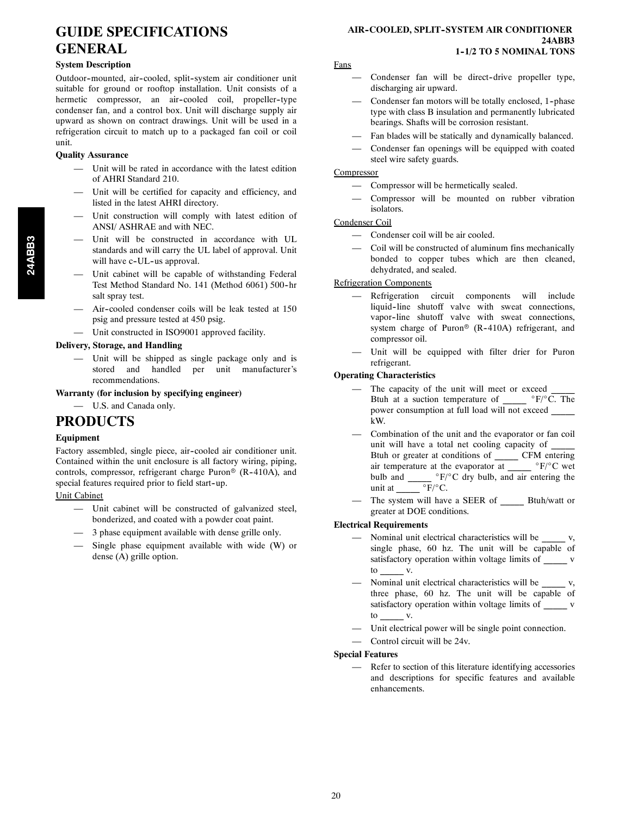#### **GUIDE SPECIFICATIONS GENERAL**

#### **System Description**

Outdoor-mounted, air-cooled, split-system air conditioner unit suitable for ground or rooftop installation. Unit consists of a hermetic compressor, an air-cooled coil, propeller-type condenser fan, and a control box. Unit will discharge supply air upward as shown on contract drawings. Unit will be used in a refrigeration circuit to match up to a packaged fan coil or coil unit.

#### **Quality Assurance**

- Unit will be rated in accordance with the latest edition of AHRI Standard 210.
- Unit will be certified for capacity and efficiency, and listed in the latest AHRI directory.
- Unit construction will comply with latest edition of ANSI/ ASHRAE and with NEC.
- Unit will be constructed in accordance with UL standards and will carry the UL label of approval. Unit will have c-UL-us approval.
- Unit cabinet will be capable of withstanding Federal Test Method Standard No. 141 (Method 6061) 500-hr salt spray test.
- Air--cooled condenser coils will be leak tested at 150 psig and pressure tested at 450 psig.
- Unit constructed in ISO9001 approved facility.

#### **Delivery, Storage, and Handling**

— Unit will be shipped as single package only and is stored and handled per unit manufacturer's recommendations.

**Warranty (for inclusion by specifying engineer)**

— U.S. and Canada only.

#### **PRODUCTS**

#### **Equipment**

Factory assembled, single piece, air-cooled air conditioner unit. Contained within the unit enclosure is all factory wiring, piping, controls, compressor, refrigerant charge Puron<sup>®</sup> (R-410A), and special features required prior to field start-up.

#### Unit Cabinet

- Unit cabinet will be constructed of galvanized steel, bonderized, and coated with a powder coat paint.
- 3 phase equipment available with dense grille only.
- Single phase equipment available with wide  $(W)$  or dense (A) grille option.

#### **AIR-COOLED, SPLIT-SYSTEM AIR CONDITIONER 24ABB3 1--1/2 TO 5 NOMINAL TONS**

#### Fans

- Condenser fan will be direct-drive propeller type, discharging air upward.
- Condenser fan motors will be totally enclosed, 1--phase type with class B insulation and permanently lubricated bearings. Shafts will be corrosion resistant.
- Fan blades will be statically and dynamically balanced.
- Condenser fan openings will be equipped with coated steel wire safety guards.

#### **Compressor**

- Compressor will be hermetically sealed.
- Compressor will be mounted on rubber vibration isolators.

#### Condenser Coil

- Condenser coil will be air cooled.
- Coil will be constructed of aluminum fins mechanically bonded to copper tubes which are then cleaned, dehydrated, and sealed.

#### Refrigeration Components

- Refrigeration circuit components will include liquid--line shutoff valve with sweat connections, vapor-line shutoff valve with sweat connections, system charge of Puron<sup>®</sup> (R-410A) refrigerant, and compressor oil.
- Unit will be equipped with filter drier for Puron refrigerant.

#### **Operating Characteristics**

- The capacity of the unit will meet or exceed Btuh at a suction temperature of  $\degree$ F/ $\degree$ C. The power consumption at full load will not exceed \_\_\_\_\_ kW.
- Combination of the unit and the evaporator or fan coil unit will have a total net cooling capacity of Btuh or greater at conditions of \_\_\_\_\_ CFM entering air temperature at the evaporator at  $\overline{F}/^{\circ}C$  wet bulb and  $\frac{{}^{\circ}F/{}^{\circ}C}{{}^{\circ}F/{}^{\circ}C}$  dry bulb, and air entering the unit at unit at
- The system will have a SEER of Btuh/watt or greater at DOE conditions.

#### **Electrical Requirements**

- Nominal unit electrical characteristics will be \_\_\_\_\_\_ v, single phase, 60 hz. The unit will be capable of satisfactory operation within voltage limits of \_\_\_\_\_\_ v to \_\_\_\_\_ v.
- Nominal unit electrical characteristics will be \_\_\_\_\_\_ v, three phase, 60 hz. The unit will be capable of satisfactory operation within voltage limits of \_\_\_\_\_ v to \_\_\_\_\_ v.
- Unit electrical power will be single point connection.
- Control circuit will be 24v.

#### **Special Features**

Refer to section of this literature identifying accessories and descriptions for specific features and available enhancements.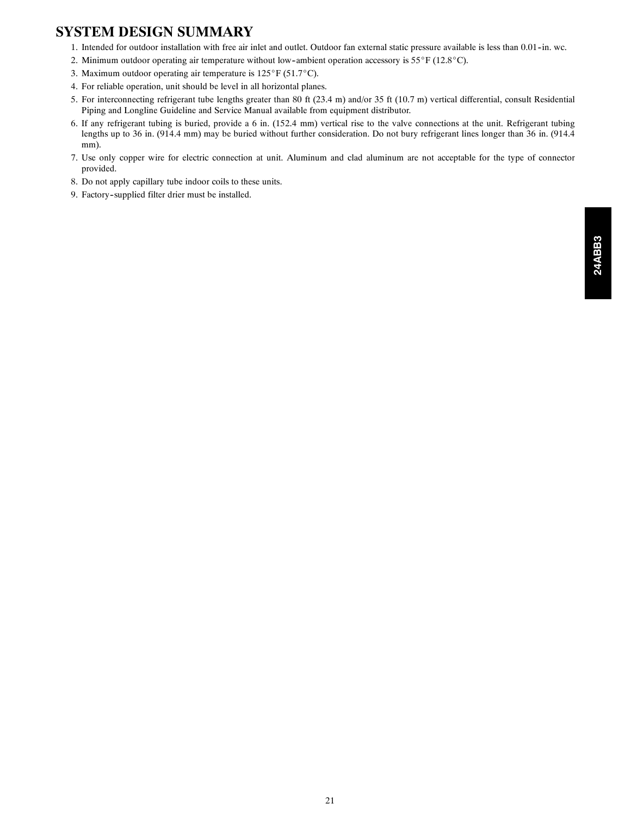#### **SYSTEM DESIGN SUMMARY**

- 1. Intended for outdoor installation with free air inlet and outlet. Outdoor fan external static pressure available is less than 0.01-in. wc.
- 2. Minimum outdoor operating air temperature without low-ambient operation accessory is  $55^{\circ}F$  (12.8 $^{\circ}C$ ).
- 3. Maximum outdoor operating air temperature is  $125^{\circ}F$  (51.7 $^{\circ}C$ ).
- 4. For reliable operation, unit should be level in all horizontal planes.
- 5. For interconnecting refrigerant tube lengths greater than 80 ft (23.4 m) and/or 35 ft (10.7 m) vertical differential, consult Residential Piping and Longline Guideline and Service Manual available from equipment distributor.
- 6. If any refrigerant tubing is buried, provide a 6 in. (152.4 mm) vertical rise to the valve connections at the unit. Refrigerant tubing lengths up to 36 in. (914.4 mm) may be buried without further consideration. Do not bury refrigerant lines longer than 36 in. (914.4 mm).
- 7. Use only copper wire for electric connection at unit. Aluminum and clad aluminum are not acceptable for the type of connector provided.
- 8. Do not apply capillary tube indoor coils to these units.
- 9. Factory--supplied filter drier must be installed.